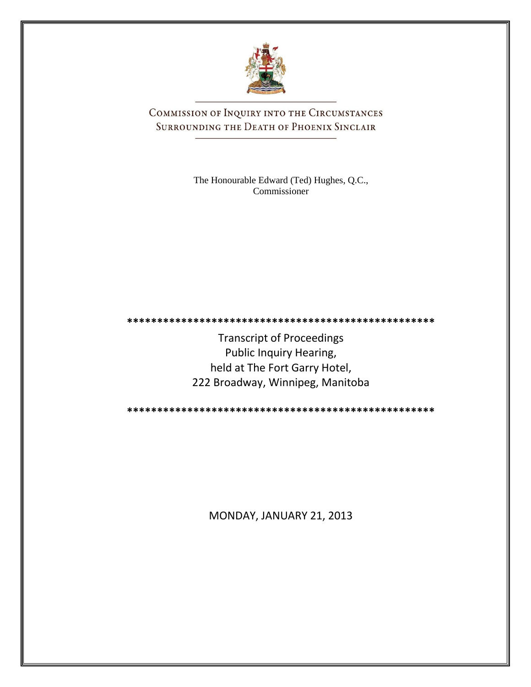

COMMISSION OF INQUIRY INTO THE CIRCUMSTANCES SURROUNDING THE DEATH OF PHOENIX SINCLAIR

> The Honourable Edward (Ted) Hughes, Q.C., Commissioner

**\*\*\*\*\*\*\*\*\*\*\*\*\*\*\*\*\*\*\*\*\*\*\*\*\*\*\*\*\*\*\*\*\*\*\*\*\*\*\*\*\*\*\*\*\*\*\*\*\*\*\***

Transcript of Proceedings Public Inquiry Hearing, held at The Fort Garry Hotel, 222 Broadway, Winnipeg, Manitoba

**\*\*\*\*\*\*\*\*\*\*\*\*\*\*\*\*\*\*\*\*\*\*\*\*\*\*\*\*\*\*\*\*\*\*\*\*\*\*\*\*\*\*\*\*\*\*\*\*\*\*\***

MONDAY, JANUARY 21, 2013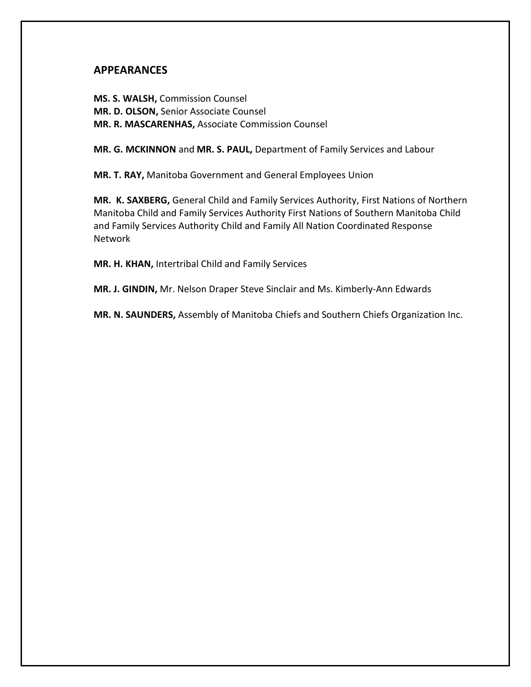## **APPEARANCES**

**MS. S. WALSH,** Commission Counsel **MR. D. OLSON,** Senior Associate Counsel **MR. R. MASCARENHAS,** Associate Commission Counsel

**MR. G. MCKINNON** and **MR. S. PAUL,** Department of Family Services and Labour

**MR. T. RAY,** Manitoba Government and General Employees Union

**MR. K. SAXBERG,** General Child and Family Services Authority, First Nations of Northern Manitoba Child and Family Services Authority First Nations of Southern Manitoba Child and Family Services Authority Child and Family All Nation Coordinated Response Network

**MR. H. KHAN,** Intertribal Child and Family Services

**MR. J. GINDIN,** Mr. Nelson Draper Steve Sinclair and Ms. Kimberly-Ann Edwards

**MR. N. SAUNDERS,** Assembly of Manitoba Chiefs and Southern Chiefs Organization Inc.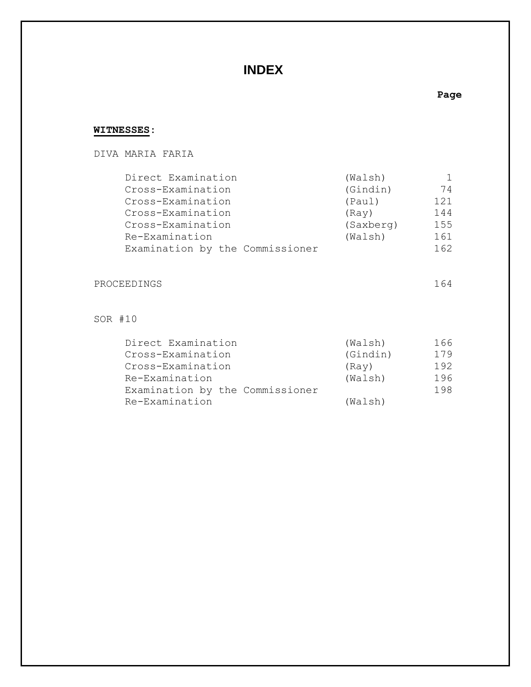## **INDEX**

#### **Page**

## **WITNESSES:**

## DIVA MARIA FARIA Direct Examination (Walsh) 1 Cross-Examination (Gindin) 74 Cross-Examination (Paul) 121 Cross-Examination (Ray) 144 Cross-Examination (Saxberg) 155

# Re-Examination (Walsh) 161 Examination by the Commissioner 162

## PROCEEDINGS 164

### SOR #10

| Direct Examination              | (Walsh)  | 166 |
|---------------------------------|----------|-----|
| Cross-Examination               | (Gindin) | 179 |
| Cross-Examination               | (Ray)    | 192 |
| Re-Examination                  | (Walsh)  | 196 |
| Examination by the Commissioner |          | 198 |
| Re-Examination                  | (Walsh)  |     |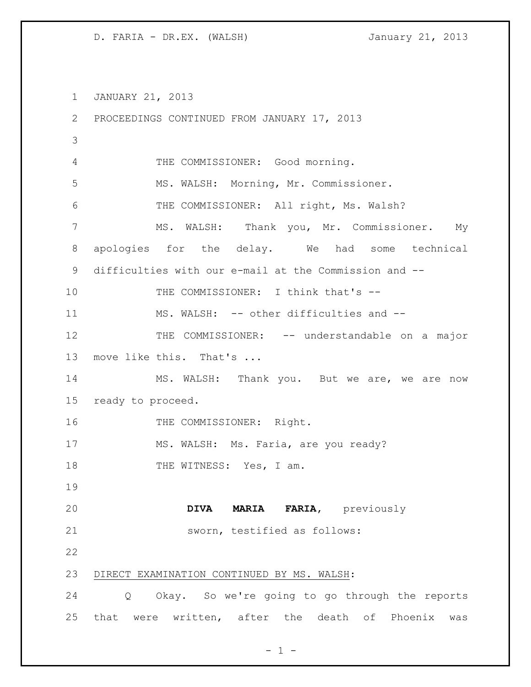JANUARY 21, 2013 PROCEEDINGS CONTINUED FROM JANUARY 17, 2013 THE COMMISSIONER: Good morning. MS. WALSH: Morning, Mr. Commissioner. THE COMMISSIONER: All right, Ms. Walsh? MS. WALSH: Thank you, Mr. Commissioner. My apologies for the delay. We had some technical difficulties with our e-mail at the Commission and -- 10 THE COMMISSIONER: I think that's -- MS. WALSH: -- other difficulties and -- 12 THE COMMISSIONER: -- understandable on a major move like this. That's ... 14 MS. WALSH: Thank you. But we are, we are now ready to proceed. 16 THE COMMISSIONER: Right. 17 MS. WALSH: Ms. Faria, are you ready? 18 THE WITNESS: Yes, I am. **DIVA MARIA FARIA,** previously sworn, testified as follows: DIRECT EXAMINATION CONTINUED BY MS. WALSH: Q Okay. So we're going to go through the reports that were written, after the death of Phoenix was

 $- 1 -$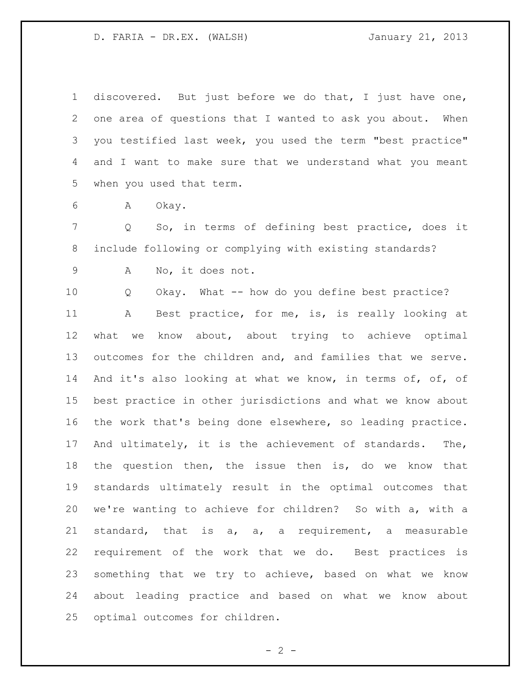discovered. But just before we do that, I just have one, one area of questions that I wanted to ask you about. When you testified last week, you used the term "best practice" and I want to make sure that we understand what you meant when you used that term.

A Okay.

 Q So, in terms of defining best practice, does it include following or complying with existing standards?

A No, it does not.

 Q Okay. What -- how do you define best practice? A Best practice, for me, is, is really looking at what we know about, about trying to achieve optimal outcomes for the children and, and families that we serve. And it's also looking at what we know, in terms of, of, of best practice in other jurisdictions and what we know about the work that's being done elsewhere, so leading practice. And ultimately, it is the achievement of standards. The, the question then, the issue then is, do we know that standards ultimately result in the optimal outcomes that we're wanting to achieve for children? So with a, with a standard, that is a, a, a requirement, a measurable requirement of the work that we do. Best practices is something that we try to achieve, based on what we know about leading practice and based on what we know about optimal outcomes for children.

 $- 2 -$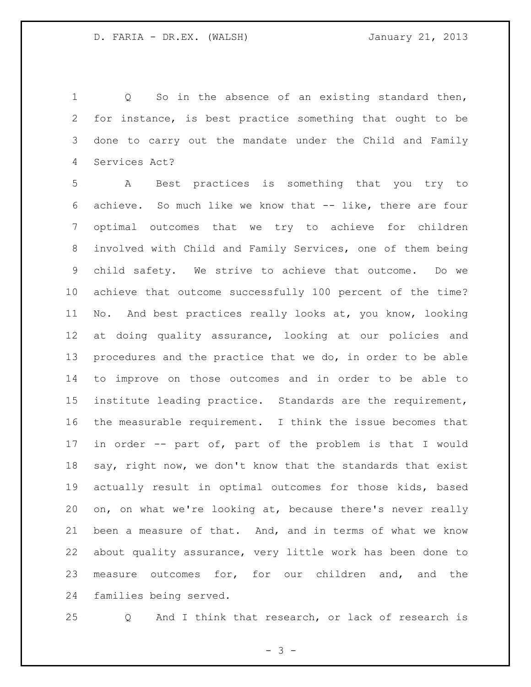1 Q So in the absence of an existing standard then, for instance, is best practice something that ought to be done to carry out the mandate under the Child and Family Services Act?

 A Best practices is something that you try to achieve. So much like we know that -- like, there are four optimal outcomes that we try to achieve for children involved with Child and Family Services, one of them being child safety. We strive to achieve that outcome. Do we achieve that outcome successfully 100 percent of the time? No. And best practices really looks at, you know, looking at doing quality assurance, looking at our policies and procedures and the practice that we do, in order to be able to improve on those outcomes and in order to be able to institute leading practice. Standards are the requirement, the measurable requirement. I think the issue becomes that in order -- part of, part of the problem is that I would say, right now, we don't know that the standards that exist actually result in optimal outcomes for those kids, based on, on what we're looking at, because there's never really been a measure of that. And, and in terms of what we know about quality assurance, very little work has been done to measure outcomes for, for our children and, and the families being served.

Q And I think that research, or lack of research is

 $- 3 -$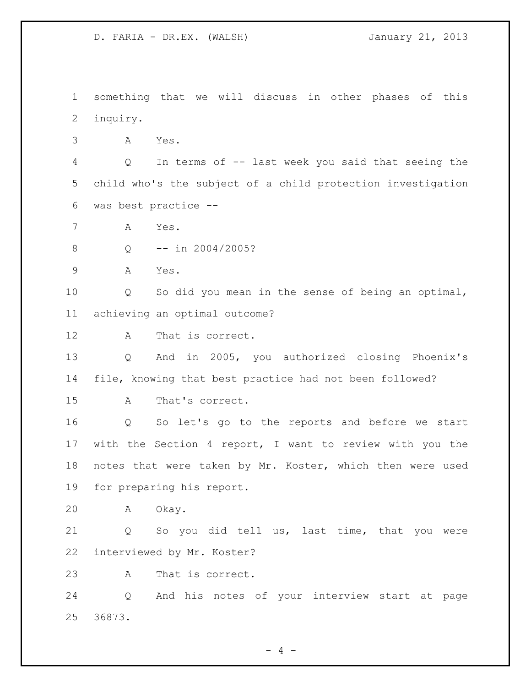something that we will discuss in other phases of this inquiry.

A Yes.

 Q In terms of -- last week you said that seeing the child who's the subject of a child protection investigation was best practice --

A Yes.

Q -- in 2004/2005?

A Yes.

 Q So did you mean in the sense of being an optimal, achieving an optimal outcome?

A That is correct.

 Q And in 2005, you authorized closing Phoenix's file, knowing that best practice had not been followed?

A That's correct.

 Q So let's go to the reports and before we start with the Section 4 report, I want to review with you the notes that were taken by Mr. Koster, which then were used for preparing his report.

A Okay.

 Q So you did tell us, last time, that you were interviewed by Mr. Koster?

A That is correct.

 Q And his notes of your interview start at page 36873.

 $- 4 -$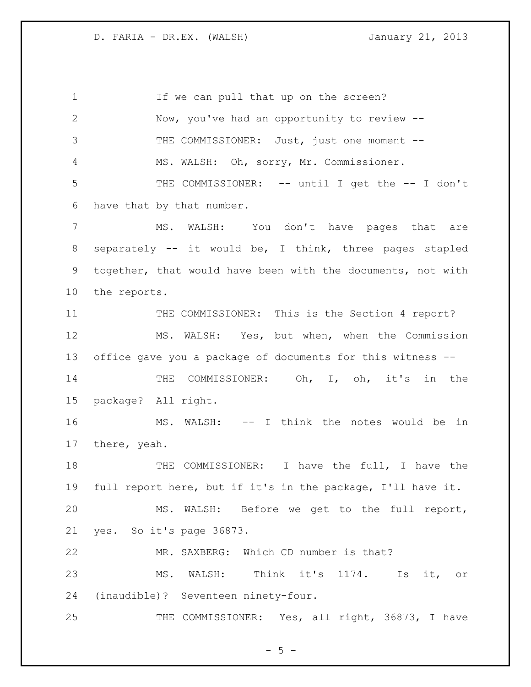1 If we can pull that up on the screen? Now, you've had an opportunity to review -- 3 THE COMMISSIONER: Just, just one moment -- MS. WALSH: Oh, sorry, Mr. Commissioner. THE COMMISSIONER: -- until I get the -- I don't have that by that number. MS. WALSH: You don't have pages that are separately -- it would be, I think, three pages stapled together, that would have been with the documents, not with the reports. THE COMMISSIONER: This is the Section 4 report? MS. WALSH: Yes, but when, when the Commission office gave you a package of documents for this witness -- THE COMMISSIONER: Oh, I, oh, it's in the package? All right. MS. WALSH: -- I think the notes would be in there, yeah. THE COMMISSIONER: I have the full, I have the full report here, but if it's in the package, I'll have it. MS. WALSH: Before we get to the full report, yes. So it's page 36873. MR. SAXBERG: Which CD number is that? MS. WALSH: Think it's 1174. Is it, or (inaudible)? Seventeen ninety-four. 25 THE COMMISSIONER: Yes, all right, 36873, I have

 $- 5 -$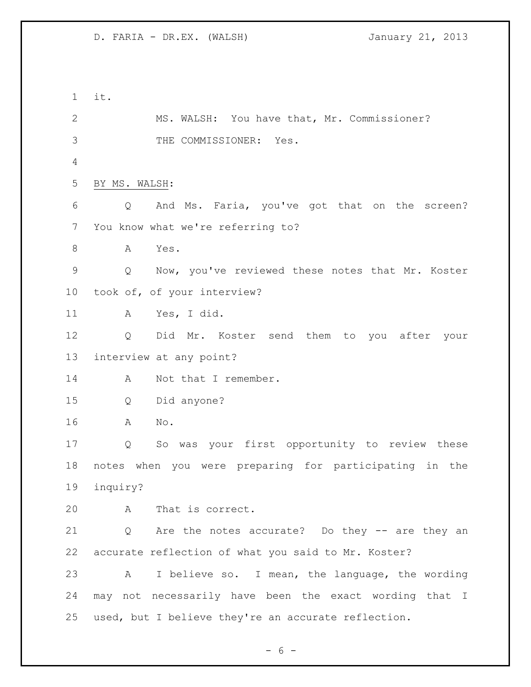it. MS. WALSH: You have that, Mr. Commissioner? THE COMMISSIONER: Yes. BY MS. WALSH: Q And Ms. Faria, you've got that on the screen? You know what we're referring to? A Yes. Q Now, you've reviewed these notes that Mr. Koster took of, of your interview? A Yes, I did. Q Did Mr. Koster send them to you after your interview at any point? 14 A Not that I remember. Q Did anyone? A No. Q So was your first opportunity to review these notes when you were preparing for participating in the inquiry? A That is correct. Q Are the notes accurate? Do they -- are they an accurate reflection of what you said to Mr. Koster? A I believe so. I mean, the language, the wording may not necessarily have been the exact wording that I used, but I believe they're an accurate reflection.

 $- 6 -$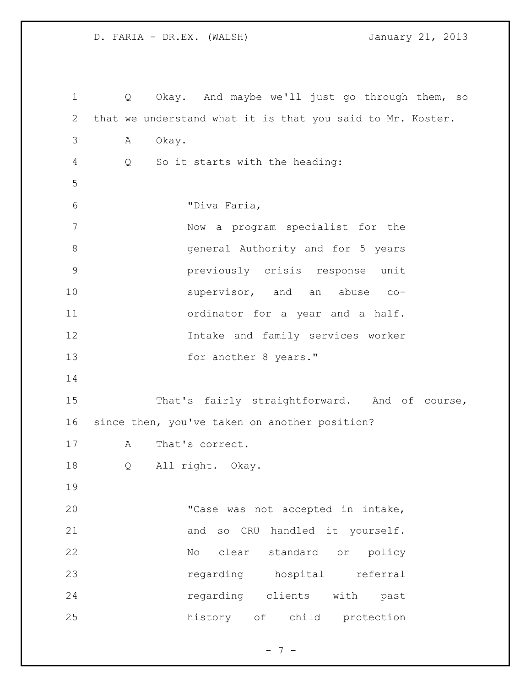Q Okay. And maybe we'll just go through them, so that we understand what it is that you said to Mr. Koster. A Okay. Q So it starts with the heading: "Diva Faria, Now a program specialist for the general Authority and for 5 years previously crisis response unit 10 supervisor, and an abuse co- ordinator for a year and a half. Intake and family services worker 13 for another 8 years." That's fairly straightforward. And of course, since then, you've taken on another position? A That's correct. Q All right. Okay. "Case was not accepted in intake, 21 and so CRU handled it yourself. No clear standard or policy regarding hospital referral regarding clients with past history of child protection

- 7 -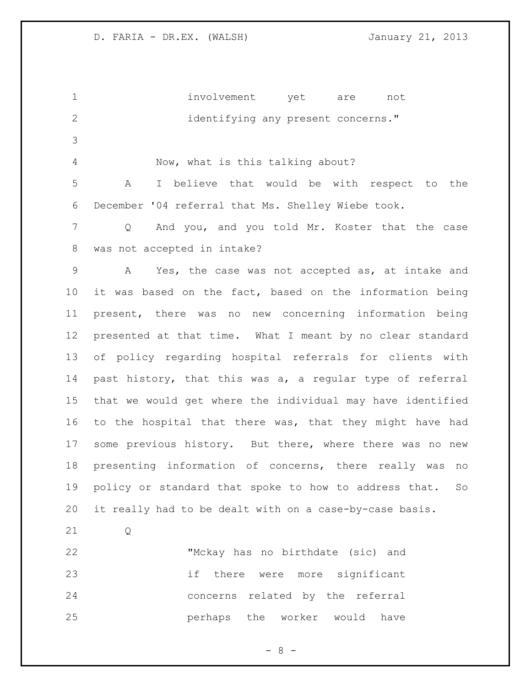| $\mathbf 1$    | involvement yet are not                                          |
|----------------|------------------------------------------------------------------|
| $\overline{2}$ | identifying any present concerns."                               |
| 3              |                                                                  |
| 4              | Now, what is this talking about?                                 |
| 5              | I believe that would be with respect to the<br>A                 |
| 6              | December '04 referral that Ms. Shelley Wiebe took.               |
| 7              | And you, and you told Mr. Koster that the case<br>$\overline{Q}$ |
| $\,8\,$        | was not accepted in intake?                                      |
| $\mathsf 9$    | Yes, the case was not accepted as, at intake and<br>A            |
| 10             | it was based on the fact, based on the information being         |
| 11             | present, there was no new concerning information being           |
| 12             | presented at that time. What I meant by no clear standard        |
| 13             | of policy regarding hospital referrals for clients with          |
| 14             | past history, that this was a, a regular type of referral        |
| 15             | that we would get where the individual may have identified       |
| 16             | to the hospital that there was, that they might have had         |
| 17             | some previous history. But there, where there was no new         |
| 18             | presenting information of concerns, there really was no          |
| 19             | policy or standard that spoke to how to address that.<br>So      |
| 20             | it really had to be dealt with on a case-by-case basis.          |
| 21             | Q                                                                |
| 22             | "Mckay has no birthdate (sic) and                                |
| 23             | if<br>there were more significant                                |
| 24             | related by the referral<br>concerns                              |
| 25             | perhaps<br>the worker would have                                 |

- 8 -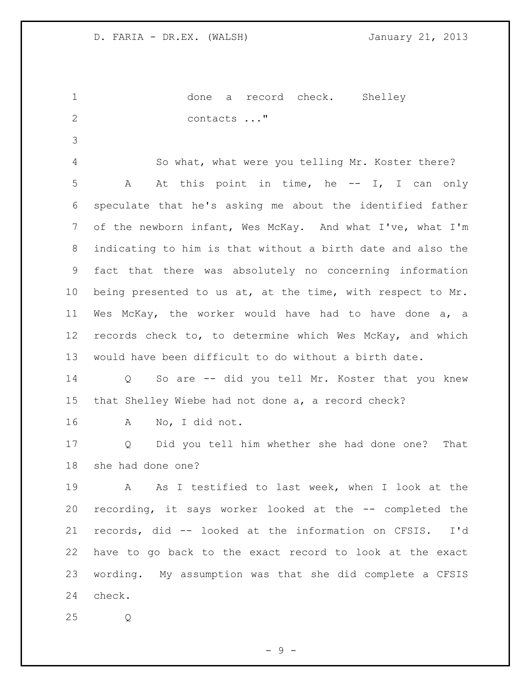done a record check. Shelley contacts ..."

 So what, what were you telling Mr. Koster there? A At this point in time, he -- I, I can only speculate that he's asking me about the identified father of the newborn infant, Wes McKay. And what I've, what I'm indicating to him is that without a birth date and also the fact that there was absolutely no concerning information being presented to us at, at the time, with respect to Mr. Wes McKay, the worker would have had to have done a, a records check to, to determine which Wes McKay, and which would have been difficult to do without a birth date.

 Q So are -- did you tell Mr. Koster that you knew that Shelley Wiebe had not done a, a record check?

A No, I did not.

 Q Did you tell him whether she had done one? That she had done one?

 A As I testified to last week, when I look at the recording, it says worker looked at the -- completed the records, did -- looked at the information on CFSIS. I'd have to go back to the exact record to look at the exact wording. My assumption was that she did complete a CFSIS check.

Q

- 9 -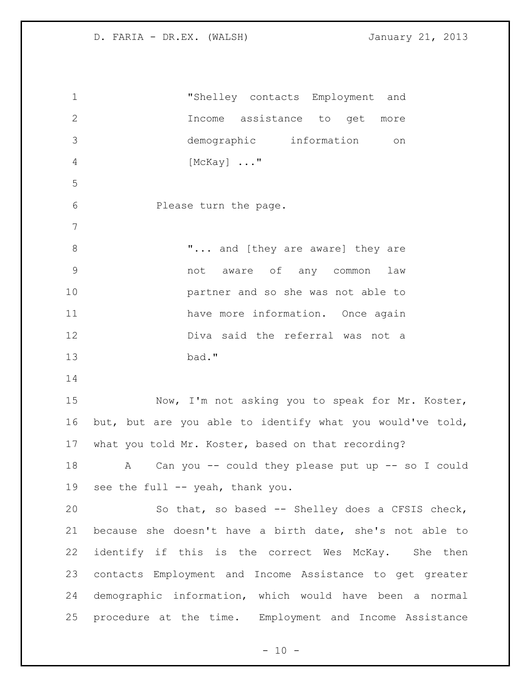"Shelley contacts Employment and Income assistance to get more demographic information on [McKay] ..." Please turn the page. **"...** and [they are aware] they are not aware of any common law partner and so she was not able to 11 have more information. Once again Diva said the referral was not a bad." Now, I'm not asking you to speak for Mr. Koster, but, but are you able to identify what you would've told, what you told Mr. Koster, based on that recording? A Can you -- could they please put up -- so I could see the full -- yeah, thank you. So that, so based -- Shelley does a CFSIS check, because she doesn't have a birth date, she's not able to identify if this is the correct Wes McKay. She then contacts Employment and Income Assistance to get greater demographic information, which would have been a normal procedure at the time. Employment and Income Assistance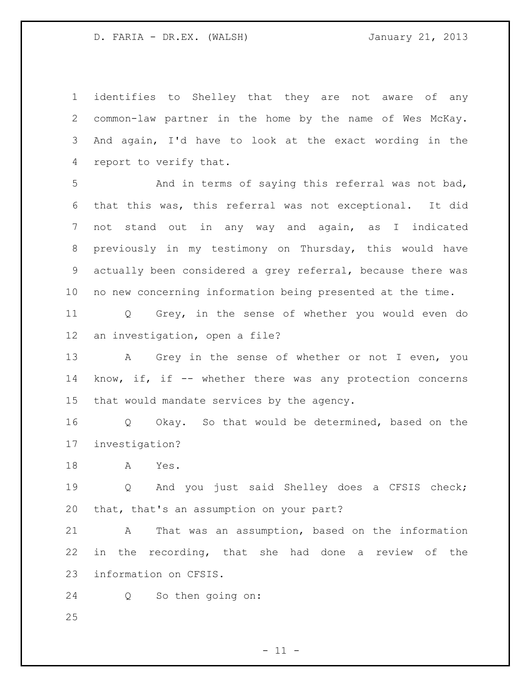identifies to Shelley that they are not aware of any common-law partner in the home by the name of Wes McKay. And again, I'd have to look at the exact wording in the report to verify that.

 And in terms of saying this referral was not bad, that this was, this referral was not exceptional. It did not stand out in any way and again, as I indicated previously in my testimony on Thursday, this would have actually been considered a grey referral, because there was no new concerning information being presented at the time.

 Q Grey, in the sense of whether you would even do an investigation, open a file?

13 A Grey in the sense of whether or not I even, you know, if, if -- whether there was any protection concerns that would mandate services by the agency.

 Q Okay. So that would be determined, based on the investigation?

A Yes.

 Q And you just said Shelley does a CFSIS check; that, that's an assumption on your part?

 A That was an assumption, based on the information in the recording, that she had done a review of the information on CFSIS.

Q So then going on: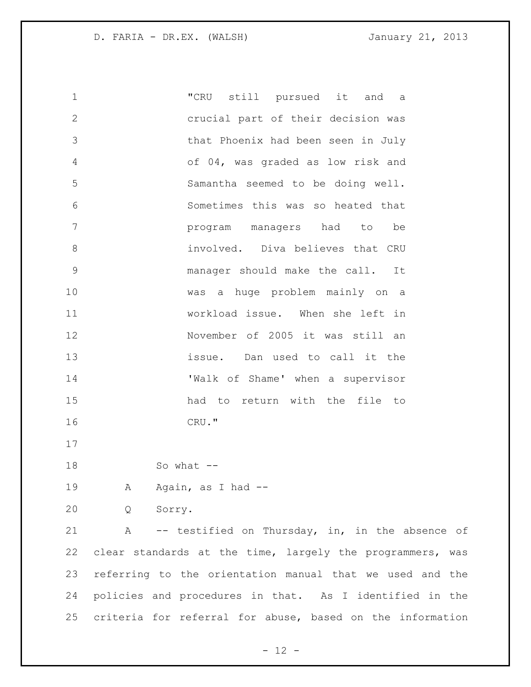"CRU still pursued it and a crucial part of their decision was that Phoenix had been seen in July of 04, was graded as low risk and Samantha seemed to be doing well. Sometimes this was so heated that program managers had to be involved. Diva believes that CRU manager should make the call. It was a huge problem mainly on a workload issue. When she left in November of 2005 it was still an issue. Dan used to call it the 'Walk of Shame' when a supervisor had to return with the file to CRU." So what -- 19 A Again, as I had -- Q Sorry. A -- testified on Thursday, in, in the absence of clear standards at the time, largely the programmers, was referring to the orientation manual that we used and the

criteria for referral for abuse, based on the information

policies and procedures in that. As I identified in the

 $- 12 -$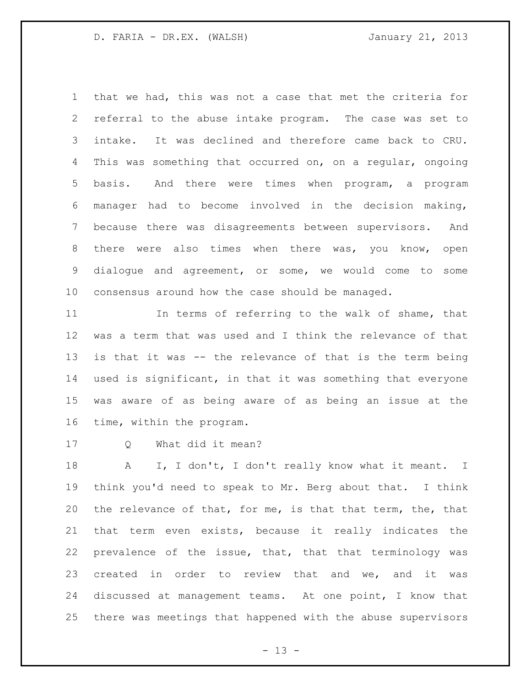that we had, this was not a case that met the criteria for referral to the abuse intake program. The case was set to intake. It was declined and therefore came back to CRU. This was something that occurred on, on a regular, ongoing basis. And there were times when program, a program manager had to become involved in the decision making, because there was disagreements between supervisors. And there were also times when there was, you know, open dialogue and agreement, or some, we would come to some consensus around how the case should be managed.

 In terms of referring to the walk of shame, that was a term that was used and I think the relevance of that is that it was -- the relevance of that is the term being used is significant, in that it was something that everyone was aware of as being aware of as being an issue at the time, within the program.

Q What did it mean?

18 A I, I don't, I don't really know what it meant. I think you'd need to speak to Mr. Berg about that. I think the relevance of that, for me, is that that term, the, that that term even exists, because it really indicates the prevalence of the issue, that, that that terminology was created in order to review that and we, and it was discussed at management teams. At one point, I know that there was meetings that happened with the abuse supervisors

 $- 13 -$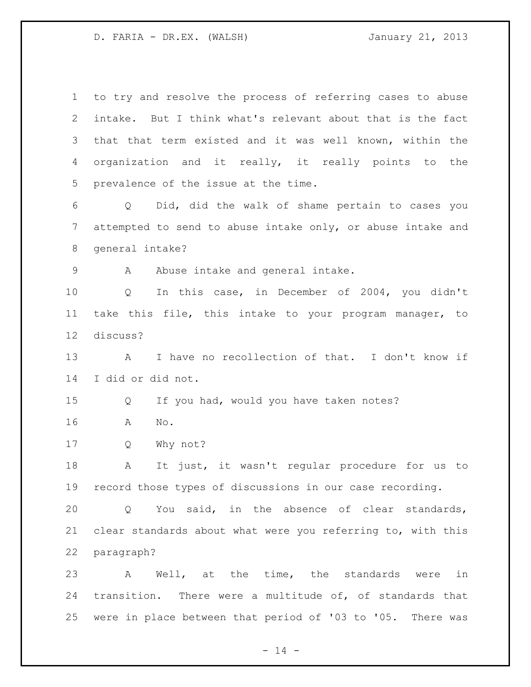to try and resolve the process of referring cases to abuse intake. But I think what's relevant about that is the fact that that term existed and it was well known, within the organization and it really, it really points to the prevalence of the issue at the time. Q Did, did the walk of shame pertain to cases you attempted to send to abuse intake only, or abuse intake and general intake? 9 A Abuse intake and general intake. Q In this case, in December of 2004, you didn't take this file, this intake to your program manager, to discuss? A I have no recollection of that. I don't know if I did or did not. Q If you had, would you have taken notes? A No. Q Why not? A It just, it wasn't regular procedure for us to record those types of discussions in our case recording. Q You said, in the absence of clear standards, clear standards about what were you referring to, with this paragraph? A Well, at the time, the standards were in transition. There were a multitude of, of standards that were in place between that period of '03 to '05. There was

 $- 14 -$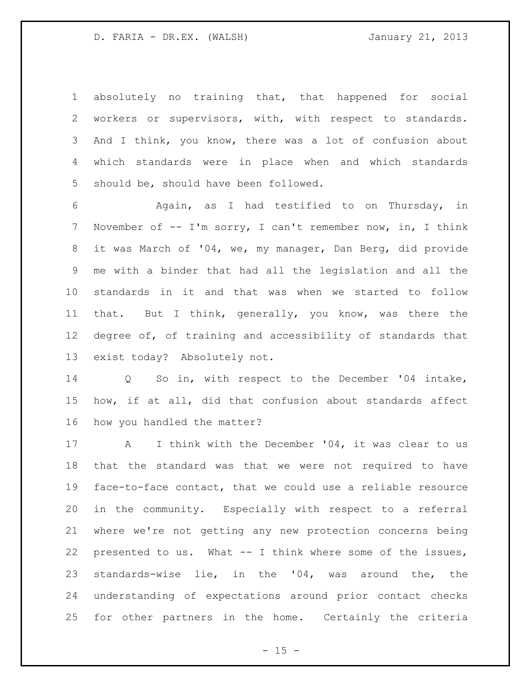absolutely no training that, that happened for social workers or supervisors, with, with respect to standards. And I think, you know, there was a lot of confusion about which standards were in place when and which standards should be, should have been followed.

 Again, as I had testified to on Thursday, in November of -- I'm sorry, I can't remember now, in, I think it was March of '04, we, my manager, Dan Berg, did provide me with a binder that had all the legislation and all the standards in it and that was when we started to follow that. But I think, generally, you know, was there the degree of, of training and accessibility of standards that exist today? Absolutely not.

 Q So in, with respect to the December '04 intake, how, if at all, did that confusion about standards affect how you handled the matter?

17 A I think with the December '04, it was clear to us that the standard was that we were not required to have face-to-face contact, that we could use a reliable resource in the community. Especially with respect to a referral where we're not getting any new protection concerns being presented to us. What -- I think where some of the issues, standards-wise lie, in the '04, was around the, the understanding of expectations around prior contact checks for other partners in the home. Certainly the criteria

 $- 15 -$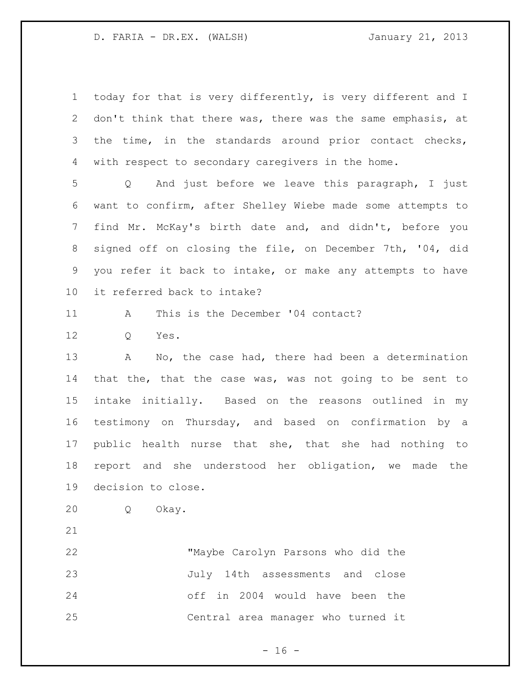today for that is very differently, is very different and I don't think that there was, there was the same emphasis, at 3 the time, in the standards around prior contact checks, with respect to secondary caregivers in the home.

 Q And just before we leave this paragraph, I just want to confirm, after Shelley Wiebe made some attempts to find Mr. McKay's birth date and, and didn't, before you signed off on closing the file, on December 7th, '04, did you refer it back to intake, or make any attempts to have it referred back to intake?

A This is the December '04 contact?

Q Yes.

13 A No, the case had, there had been a determination that the, that the case was, was not going to be sent to intake initially. Based on the reasons outlined in my testimony on Thursday, and based on confirmation by a public health nurse that she, that she had nothing to report and she understood her obligation, we made the decision to close.

Q Okay.

 "Maybe Carolyn Parsons who did the July 14th assessments and close off in 2004 would have been the Central area manager who turned it

 $- 16 -$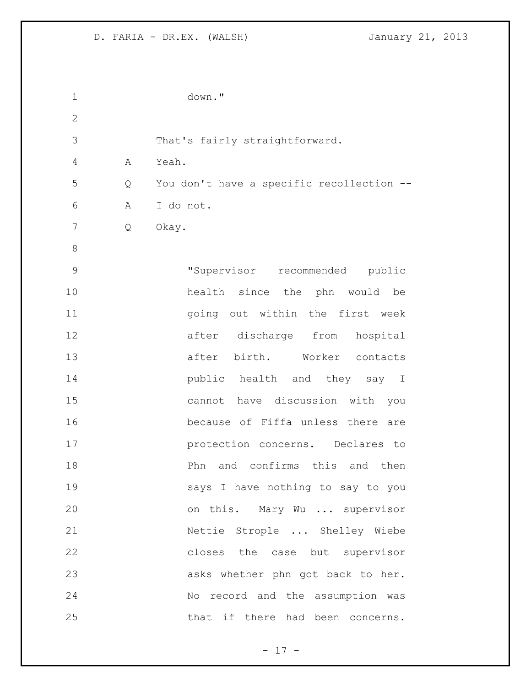| 1             |   | down."                                    |
|---------------|---|-------------------------------------------|
| $\mathbf{2}$  |   |                                           |
| 3             |   | That's fairly straightforward.            |
| 4             | A | Yeah.                                     |
| 5             | Q | You don't have a specific recollection -- |
| 6             | Α | I do not.                                 |
| 7             | Q | Okay.                                     |
| 8             |   |                                           |
| $\mathcal{G}$ |   | "Supervisor recommended public            |
| 10            |   | health since the phn would be             |
| 11            |   | going out within the first week           |
| 12            |   | after discharge from hospital             |
| 13            |   | after birth. Worker contacts              |
| 14            |   | public health and they say I              |
| 15            |   | cannot have discussion with you           |
| 16            |   | because of Fiffa unless there are         |
| 17            |   | protection concerns. Declares to          |
| 18            |   | and confirms this and then<br>Phn         |
| 19            |   | says I have nothing to say to you         |
| 20            |   | on this. Mary Wu  supervisor              |
| 21            |   | Nettie Strople  Shelley Wiebe             |
| 22            |   | closes the case but supervisor            |
| 23            |   | asks whether phn got back to her.         |
| 24            |   | No record and the assumption was          |
| 25            |   | that if there had been concerns.          |

- 17 -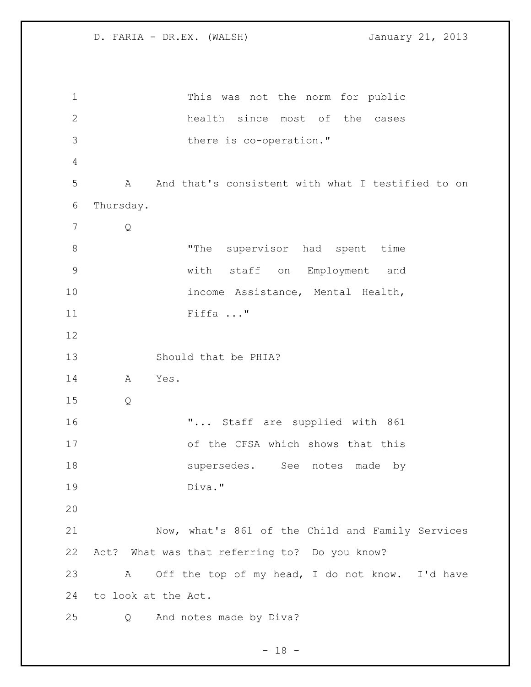This was not the norm for public health since most of the cases there is co-operation." A And that's consistent with what I testified to on Thursday. Q 8 The supervisor had spent time with staff on Employment and 10 income Assistance, Mental Health, Fiffa ..." Should that be PHIA? A Yes. Q **"...** Staff are supplied with 861 of the CFSA which shows that this 18 supersedes. See notes made by Diva." Now, what's 861 of the Child and Family Services Act? What was that referring to? Do you know? A Off the top of my head, I do not know. I'd have to look at the Act. Q And notes made by Diva?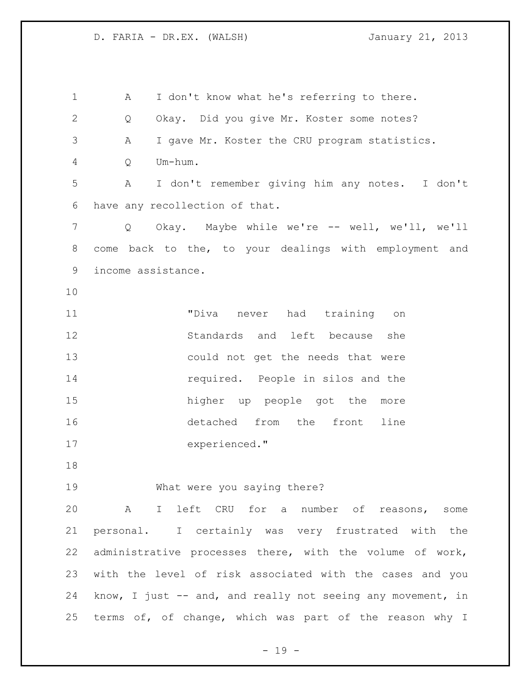| $\mathbf 1$    | I don't know what he's referring to there.<br>A             |
|----------------|-------------------------------------------------------------|
| $\mathbf{2}$   | Okay. Did you give Mr. Koster some notes?<br>Q              |
| 3              | I gave Mr. Koster the CRU program statistics.<br>Α          |
| $\overline{4}$ | Um-hum.<br>Q                                                |
| 5              | I don't remember giving him any notes. I don't<br>Α         |
| 6              | have any recollection of that.                              |
| 7              | Okay. Maybe while we're -- well, we'll, we'll<br>Q          |
| 8              | come back to the, to your dealings with employment and      |
| 9              | income assistance.                                          |
| 10             |                                                             |
| 11             | "Diva<br>never had training<br>on                           |
| 12             | Standards and left because<br>she                           |
| 13             | could not get the needs that were                           |
| 14             | required. People in silos and the                           |
| 15             | higher up people got the more                               |
| 16             | detached from the front<br>line                             |
| 17             | experienced."                                               |
| 18             |                                                             |
| 19             | What were you saying there?                                 |
| 20             | A I left CRU for a number of reasons, some                  |
| 21             | personal. I certainly was very frustrated with the          |
| 22             | administrative processes there, with the volume of work,    |
| 23             | with the level of risk associated with the cases and you    |
| 24             | know, I just -- and, and really not seeing any movement, in |
| 25             | terms of, of change, which was part of the reason why I     |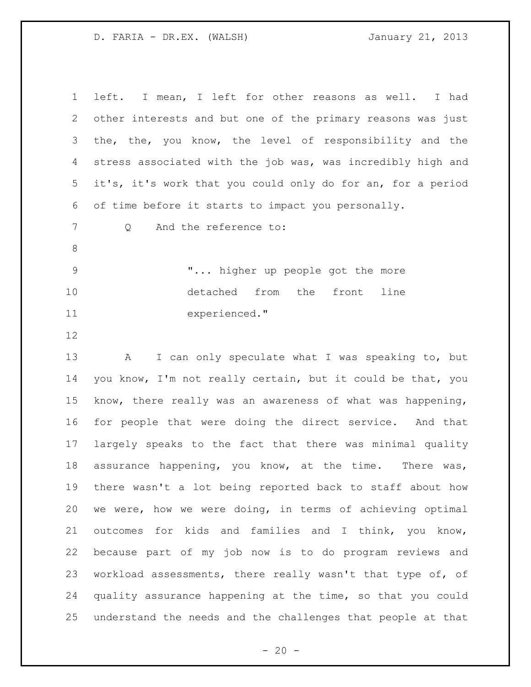| $\mathbf 1$    | left. I mean, I left for other reasons as well. I had       |
|----------------|-------------------------------------------------------------|
| 2              | other interests and but one of the primary reasons was just |
| 3              | the, the, you know, the level of responsibility and the     |
| 4              | stress associated with the job was, was incredibly high and |
| 5              | it's, it's work that you could only do for an, for a period |
| 6              | of time before it starts to impact you personally.          |
| 7              | And the reference to:<br>Q                                  |
| 8              |                                                             |
| $\overline{9}$ | " higher up people got the more                             |
| 10             | detached from the front<br>line                             |
| 11             | experienced."                                               |
| 12             |                                                             |
| 13             | I can only speculate what I was speaking to, but<br>A       |
| 14             | you know, I'm not really certain, but it could be that, you |
| 15             | know, there really was an awareness of what was happening,  |
| 16             | for people that were doing the direct service. And that     |
| 17             | largely speaks to the fact that there was minimal quality   |
| 18             | assurance happening, you know, at the time. There was,      |
| 19             | there wasn't a lot being reported back to staff about how   |
| 20             | we were, how we were doing, in terms of achieving optimal   |
| 21             | outcomes for kids and families and I think, you know,       |
| 22             | because part of my job now is to do program reviews and     |
| 23             | workload assessments, there really wasn't that type of, of  |
| 24             | quality assurance happening at the time, so that you could  |
| 25             | understand the needs and the challenges that people at that |

 $- 20 -$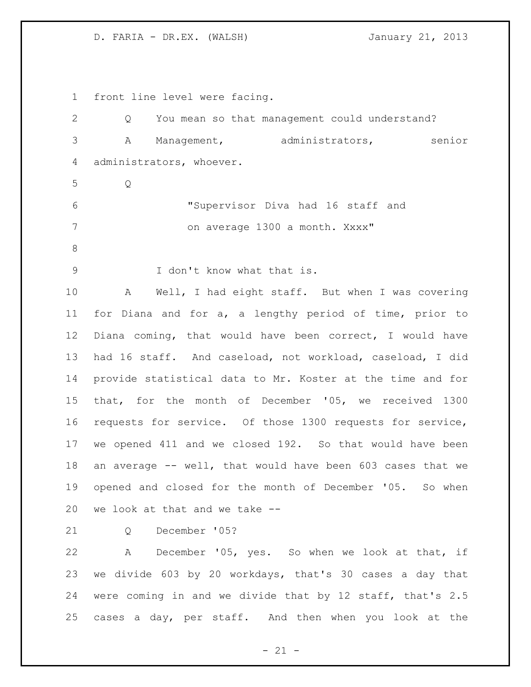front line level were facing. Q You mean so that management could understand? A Management, administrators, senior administrators, whoever. Q "Supervisor Diva had 16 staff and 7 on average 1300 a month. Xxxx" I don't know what that is. A Well, I had eight staff. But when I was covering for Diana and for a, a lengthy period of time, prior to Diana coming, that would have been correct, I would have had 16 staff. And caseload, not workload, caseload, I did provide statistical data to Mr. Koster at the time and for that, for the month of December '05, we received 1300 requests for service. Of those 1300 requests for service, we opened 411 and we closed 192. So that would have been an average -- well, that would have been 603 cases that we opened and closed for the month of December '05. So when we look at that and we take -- Q December '05? A December '05, yes. So when we look at that, if we divide 603 by 20 workdays, that's 30 cases a day that were coming in and we divide that by 12 staff, that's 2.5 cases a day, per staff. And then when you look at the

 $- 21 -$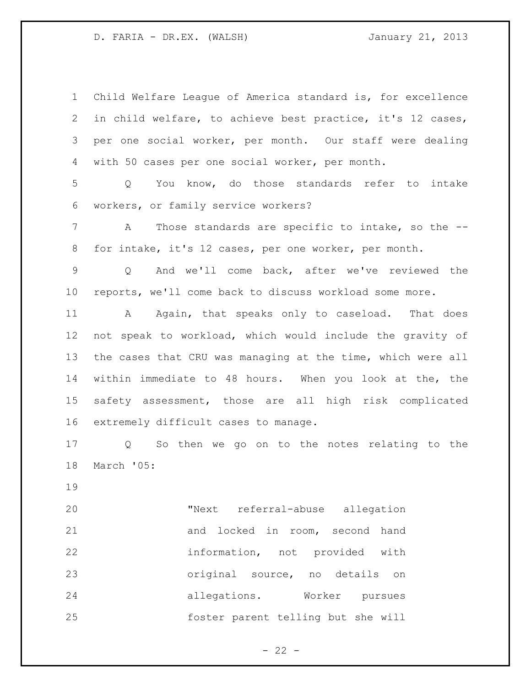Child Welfare League of America standard is, for excellence in child welfare, to achieve best practice, it's 12 cases, per one social worker, per month. Our staff were dealing with 50 cases per one social worker, per month.

 Q You know, do those standards refer to intake workers, or family service workers?

 A Those standards are specific to intake, so the -- for intake, it's 12 cases, per one worker, per month.

 Q And we'll come back, after we've reviewed the reports, we'll come back to discuss workload some more.

11 A Again, that speaks only to caseload. That does not speak to workload, which would include the gravity of the cases that CRU was managing at the time, which were all within immediate to 48 hours. When you look at the, the safety assessment, those are all high risk complicated extremely difficult cases to manage.

 Q So then we go on to the notes relating to the March '05:

 "Next referral-abuse allegation and locked in room, second hand information, not provided with original source, no details on allegations. Worker pursues foster parent telling but she will

 $- 22 -$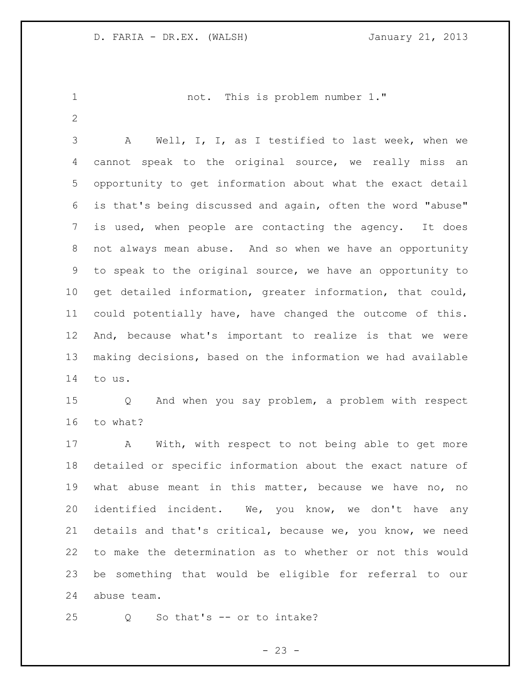not. This is problem number 1."

 A Well, I, I, as I testified to last week, when we cannot speak to the original source, we really miss an opportunity to get information about what the exact detail is that's being discussed and again, often the word "abuse" is used, when people are contacting the agency. It does not always mean abuse. And so when we have an opportunity to speak to the original source, we have an opportunity to get detailed information, greater information, that could, could potentially have, have changed the outcome of this. And, because what's important to realize is that we were making decisions, based on the information we had available to us.

 Q And when you say problem, a problem with respect to what?

 A With, with respect to not being able to get more detailed or specific information about the exact nature of what abuse meant in this matter, because we have no, no identified incident. We, you know, we don't have any details and that's critical, because we, you know, we need to make the determination as to whether or not this would be something that would be eligible for referral to our abuse team.

Q So that's -- or to intake?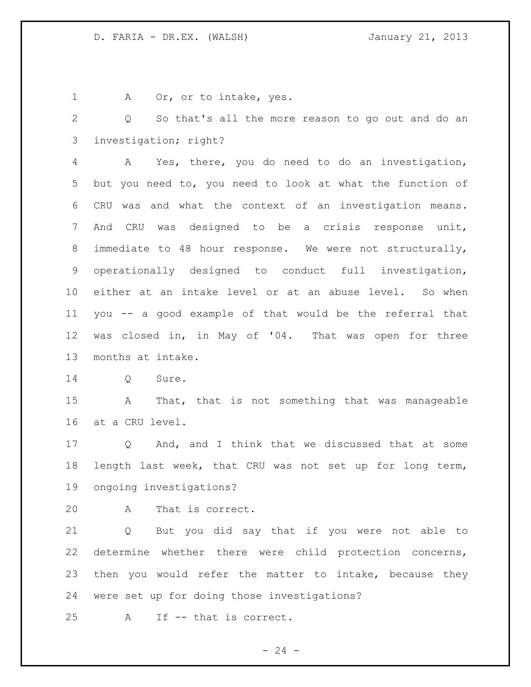1 A Or, or to intake, yes.

 Q So that's all the more reason to go out and do an investigation; right?

 A Yes, there, you do need to do an investigation, but you need to, you need to look at what the function of CRU was and what the context of an investigation means. And CRU was designed to be a crisis response unit, immediate to 48 hour response. We were not structurally, operationally designed to conduct full investigation, either at an intake level or at an abuse level. So when you -- a good example of that would be the referral that was closed in, in May of '04. That was open for three months at intake.

Q Sure.

 A That, that is not something that was manageable at a CRU level.

 Q And, and I think that we discussed that at some length last week, that CRU was not set up for long term, ongoing investigations?

A That is correct.

 Q But you did say that if you were not able to determine whether there were child protection concerns, then you would refer the matter to intake, because they were set up for doing those investigations?

A If -- that is correct.

 $- 24 -$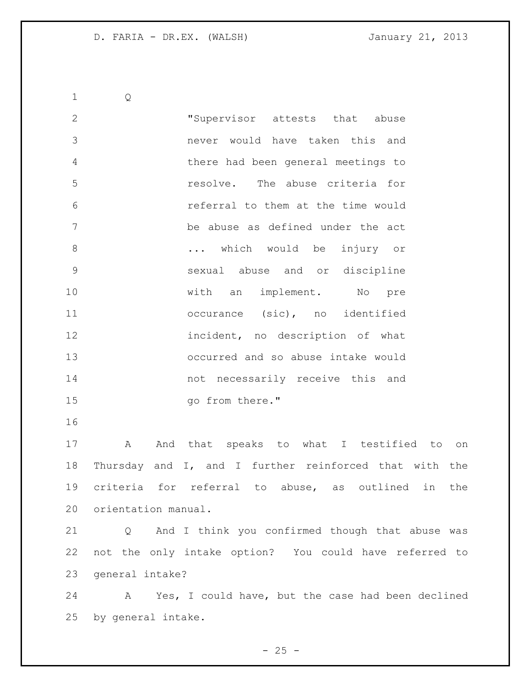Q "Supervisor attests that abuse never would have taken this and there had been general meetings to resolve. The abuse criteria for referral to them at the time would be abuse as defined under the act ... which would be injury or sexual abuse and or discipline 10 with an implement. No pre occurance (sic), no identified incident, no description of what occurred and so abuse intake would not necessarily receive this and 15 go from there." A And that speaks to what I testified to on Thursday and I, and I further reinforced that with the

 criteria for referral to abuse, as outlined in the orientation manual.

 Q And I think you confirmed though that abuse was not the only intake option? You could have referred to general intake?

 A Yes, I could have, but the case had been declined by general intake.

 $- 25 -$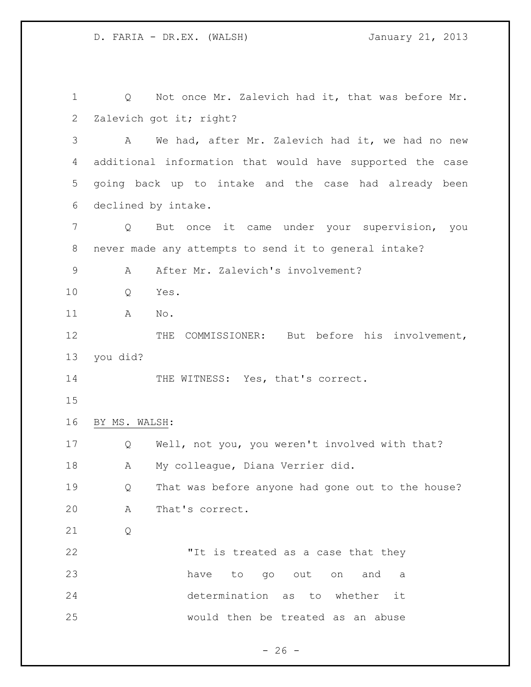1 Q Not once Mr. Zalevich had it, that was before Mr. 2 Zalevich got it; right? A We had, after Mr. Zalevich had it, we had no new additional information that would have supported the case going back up to intake and the case had already been declined by intake. Q But once it came under your supervision, you never made any attempts to send it to general intake? 9 A After Mr. Zalevich's involvement? Q Yes. A No. 12 THE COMMISSIONER: But before his involvement, you did? 14 THE WITNESS: Yes, that's correct. BY MS. WALSH: Q Well, not you, you weren't involved with that? A My colleague, Diana Verrier did. Q That was before anyone had gone out to the house? A That's correct. Q 22 TIT is treated as a case that they have to go out on and a determination as to whether it would then be treated as an abuse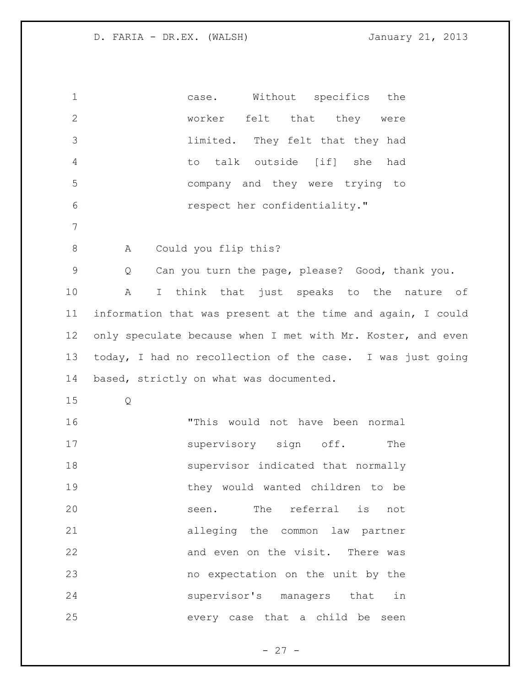| $\mathbf 1$    | Without specifics the<br>case.                              |
|----------------|-------------------------------------------------------------|
| $\overline{2}$ | worker felt that they were                                  |
| 3              | limited. They felt that they had                            |
| $\overline{4}$ | to talk outside [if] she<br>had                             |
| 5              | company and they were trying to                             |
| $\epsilon$     | respect her confidentiality."                               |
| 7              |                                                             |
| $\,8\,$        | Could you flip this?<br>A                                   |
| $\mathsf 9$    | Can you turn the page, please? Good, thank you.<br>Q        |
| 10             | I think that just speaks to the nature of<br>Α              |
| 11             | information that was present at the time and again, I could |
| 12             | only speculate because when I met with Mr. Koster, and even |
| 13             | today, I had no recollection of the case. I was just going  |
| 14             | based, strictly on what was documented.                     |
| 15             | Q                                                           |
| 16             | "This would not have been normal                            |
| 17             | supervisory sign off.<br>The                                |
| 18             | supervisor indicated that normally                          |
| 19             | they would wanted children to be                            |
| 20             | seen. The referral is<br>not                                |
| 21             | alleging the common law partner                             |
| 22             | and even on the visit. There was                            |
| 23             | no expectation on the unit by the                           |
| 24             | supervisor's managers that in                               |
| 25             | every case that a child be<br>seen                          |

- 27 -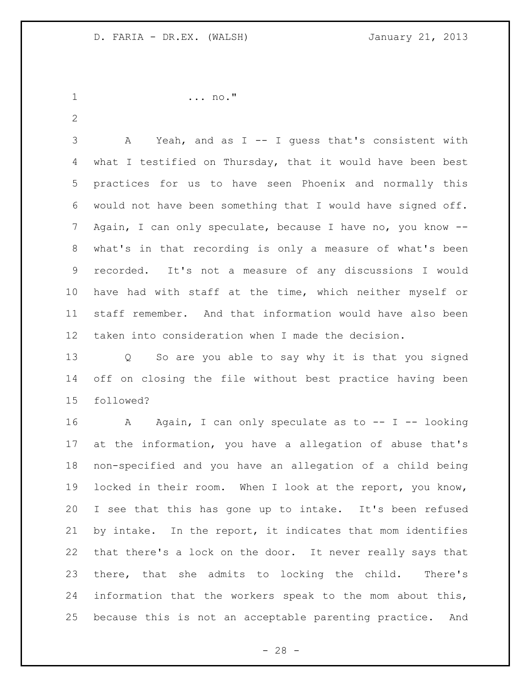```
1 ... no."
```
 A Yeah, and as I -- I guess that's consistent with what I testified on Thursday, that it would have been best practices for us to have seen Phoenix and normally this would not have been something that I would have signed off. Again, I can only speculate, because I have no, you know -- what's in that recording is only a measure of what's been recorded. It's not a measure of any discussions I would have had with staff at the time, which neither myself or staff remember. And that information would have also been taken into consideration when I made the decision.

 Q So are you able to say why it is that you signed off on closing the file without best practice having been followed?

16 A Again, I can only speculate as to -- I -- looking at the information, you have a allegation of abuse that's non-specified and you have an allegation of a child being locked in their room. When I look at the report, you know, I see that this has gone up to intake. It's been refused by intake. In the report, it indicates that mom identifies that there's a lock on the door. It never really says that there, that she admits to locking the child. There's information that the workers speak to the mom about this, because this is not an acceptable parenting practice. And

 $- 28 -$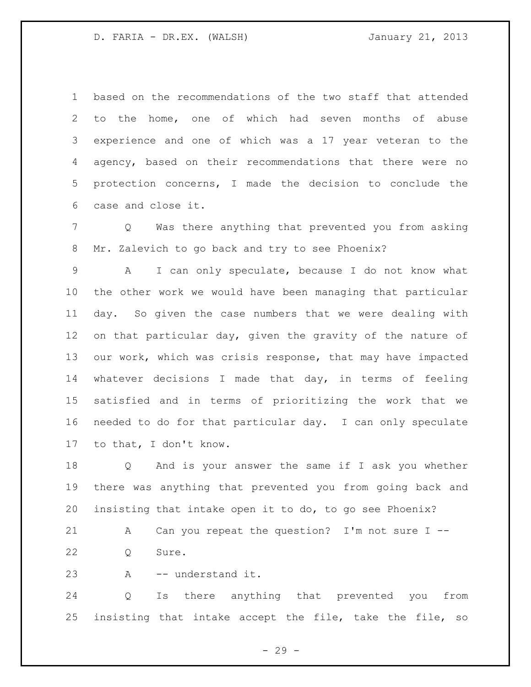based on the recommendations of the two staff that attended to the home, one of which had seven months of abuse experience and one of which was a 17 year veteran to the agency, based on their recommendations that there were no protection concerns, I made the decision to conclude the case and close it.

 Q Was there anything that prevented you from asking Mr. Zalevich to go back and try to see Phoenix?

 A I can only speculate, because I do not know what the other work we would have been managing that particular day. So given the case numbers that we were dealing with on that particular day, given the gravity of the nature of our work, which was crisis response, that may have impacted whatever decisions I made that day, in terms of feeling satisfied and in terms of prioritizing the work that we needed to do for that particular day. I can only speculate to that, I don't know.

 Q And is your answer the same if I ask you whether there was anything that prevented you from going back and insisting that intake open it to do, to go see Phoenix?

 A Can you repeat the question? I'm not sure I -- Q Sure.

A -- understand it.

 Q Is there anything that prevented you from insisting that intake accept the file, take the file, so

- 29 -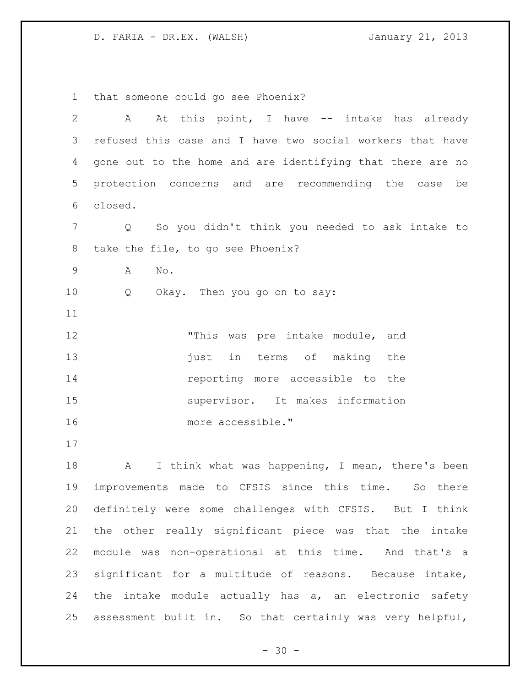that someone could go see Phoenix? A At this point, I have -- intake has already refused this case and I have two social workers that have gone out to the home and are identifying that there are no protection concerns and are recommending the case be closed. Q So you didn't think you needed to ask intake to take the file, to go see Phoenix? A No. Q Okay. Then you go on to say: 12 This was pre intake module, and 13 iust in terms of making the reporting more accessible to the supervisor. It makes information more accessible." 18 A I think what was happening, I mean, there's been improvements made to CFSIS since this time. So there definitely were some challenges with CFSIS. But I think the other really significant piece was that the intake

 $- 30 -$ 

module was non-operational at this time. And that's a

significant for a multitude of reasons. Because intake,

24 the intake module actually has a, an electronic safety

assessment built in. So that certainly was very helpful,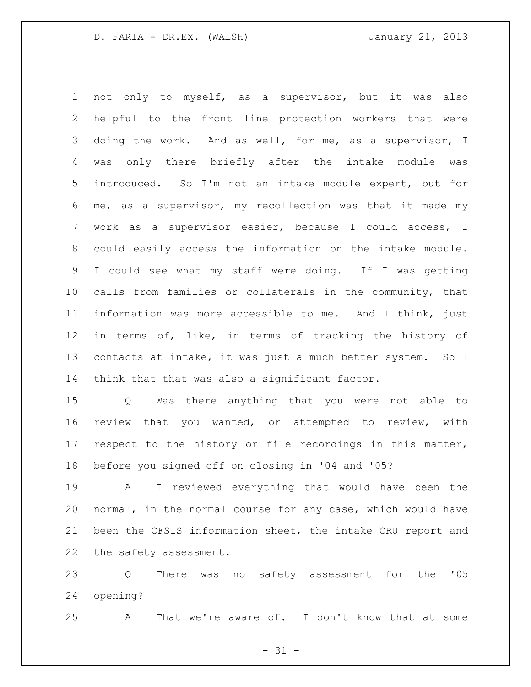not only to myself, as a supervisor, but it was also helpful to the front line protection workers that were doing the work. And as well, for me, as a supervisor, I was only there briefly after the intake module was introduced. So I'm not an intake module expert, but for me, as a supervisor, my recollection was that it made my work as a supervisor easier, because I could access, I could easily access the information on the intake module. I could see what my staff were doing. If I was getting calls from families or collaterals in the community, that information was more accessible to me. And I think, just in terms of, like, in terms of tracking the history of 13 contacts at intake, it was just a much better system. So I think that that was also a significant factor.

 Q Was there anything that you were not able to review that you wanted, or attempted to review, with respect to the history or file recordings in this matter, before you signed off on closing in '04 and '05?

 A I reviewed everything that would have been the normal, in the normal course for any case, which would have been the CFSIS information sheet, the intake CRU report and the safety assessment.

 Q There was no safety assessment for the '05 opening?

A That we're aware of. I don't know that at some

 $- 31 -$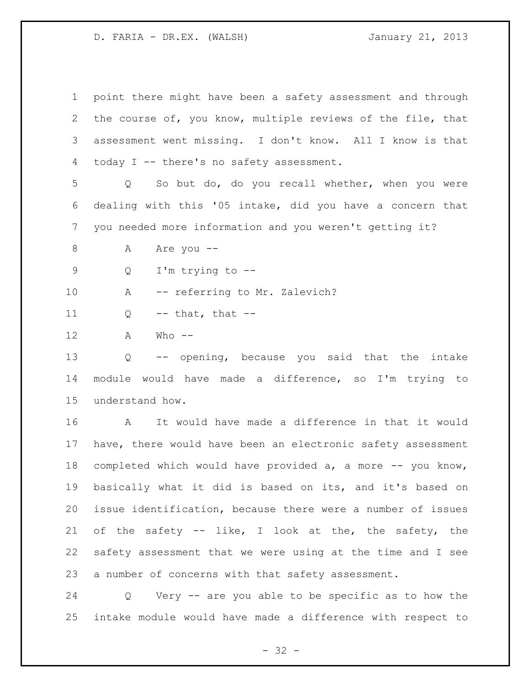| $\mathbf 1$  | point there might have been a safety assessment and through |
|--------------|-------------------------------------------------------------|
| $\mathbf{2}$ | the course of, you know, multiple reviews of the file, that |
| 3            | assessment went missing. I don't know. All I know is that   |
| 4            | today I -- there's no safety assessment.                    |
| 5            | So but do, do you recall whether, when you were<br>Q        |
| 6            | dealing with this '05 intake, did you have a concern that   |
| 7            | you needed more information and you weren't getting it?     |
| 8            | Are you --<br>Α                                             |
| 9            | I'm trying to $-$ -<br>Q                                    |
| 10           | -- referring to Mr. Zalevich?<br>Α                          |
| 11           | $--$ that, that $--$<br>Q                                   |
| 12           | Α<br>$Who$ --                                               |
| 13           | -- opening, because you said that the intake<br>Q           |
| 14           | module would have made a difference, so I'm trying to       |
| 15           | understand how.                                             |
| 16           | It would have made a difference in that it would<br>A       |
| 17           | have, there would have been an electronic safety assessment |
| 18           | completed which would have provided a, a more -- you know,  |
| 19           | basically what it did is based on its, and it's based on    |
| 20           | issue identification, because there were a number of issues |
| 21           | of the safety -- like, I look at the, the safety, the       |
| 22           | safety assessment that we were using at the time and I see  |
| 23           | a number of concerns with that safety assessment.           |
|              |                                                             |

 Q Very -- are you able to be specific as to how the intake module would have made a difference with respect to

- 32 -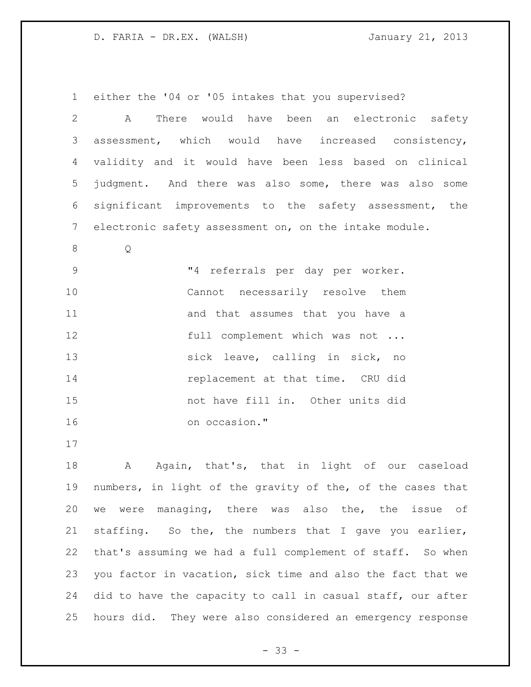either the '04 or '05 intakes that you supervised? A There would have been an electronic safety assessment, which would have increased consistency, validity and it would have been less based on clinical judgment. And there was also some, there was also some significant improvements to the safety assessment, the electronic safety assessment on, on the intake module. Q "4 referrals per day per worker. Cannot necessarily resolve them 11 and that assumes that you have a **full complement which was not ...**  sick leave, calling in sick, no 14 replacement at that time. CRU did not have fill in. Other units did on occasion." 

18 A Again, that's, that in light of our caseload numbers, in light of the gravity of the, of the cases that we were managing, there was also the, the issue of staffing. So the, the numbers that I gave you earlier, that's assuming we had a full complement of staff. So when you factor in vacation, sick time and also the fact that we did to have the capacity to call in casual staff, our after hours did. They were also considered an emergency response

 $- 33 -$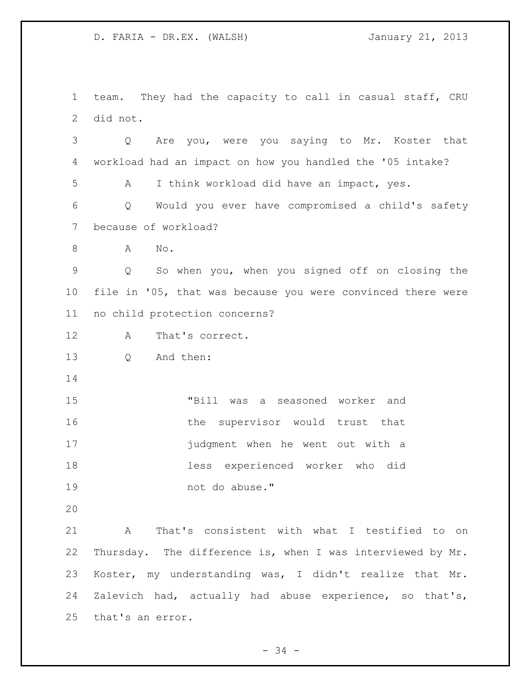team. They had the capacity to call in casual staff, CRU did not.

 Q Are you, were you saying to Mr. Koster that workload had an impact on how you handled the '05 intake? A I think workload did have an impact, yes. Q Would you ever have compromised a child's safety because of workload? A No. Q So when you, when you signed off on closing the file in '05, that was because you were convinced there were no child protection concerns? A That's correct. Q And then: "Bill was a seasoned worker and 16 the supervisor would trust that judgment when he went out with a less experienced worker who did not do abuse." A That's consistent with what I testified to on Thursday. The difference is, when I was interviewed by Mr. Koster, my understanding was, I didn't realize that Mr. Zalevich had, actually had abuse experience, so that's,

that's an error.

- 34 -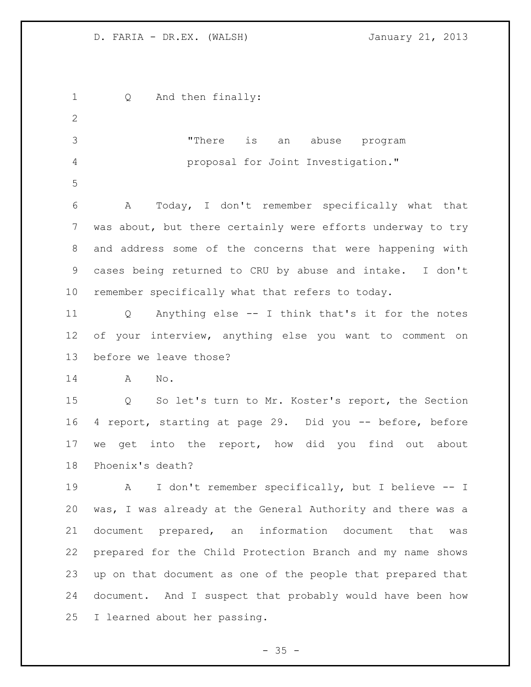Q And then finally: "There is an abuse program proposal for Joint Investigation." A Today, I don't remember specifically what that was about, but there certainly were efforts underway to try and address some of the concerns that were happening with cases being returned to CRU by abuse and intake. I don't remember specifically what that refers to today. Q Anything else -- I think that's it for the notes of your interview, anything else you want to comment on before we leave those? A No. Q So let's turn to Mr. Koster's report, the Section 4 report, starting at page 29. Did you -- before, before we get into the report, how did you find out about Phoenix's death? A I don't remember specifically, but I believe -- I was, I was already at the General Authority and there was a document prepared, an information document that was prepared for the Child Protection Branch and my name shows up on that document as one of the people that prepared that document. And I suspect that probably would have been how I learned about her passing.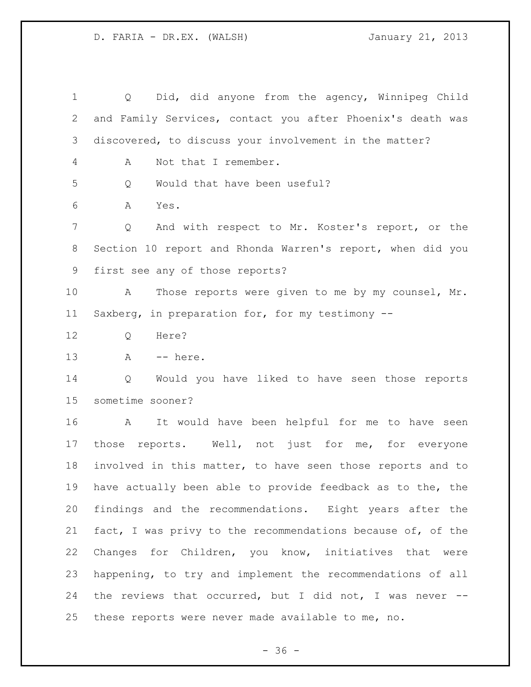Q Did, did anyone from the agency, Winnipeg Child and Family Services, contact you after Phoenix's death was discovered, to discuss your involvement in the matter? A Not that I remember. Q Would that have been useful? A Yes. Q And with respect to Mr. Koster's report, or the Section 10 report and Rhonda Warren's report, when did you first see any of those reports? A Those reports were given to me by my counsel, Mr. Saxberg, in preparation for, for my testimony -- Q Here? A -- here. Q Would you have liked to have seen those reports sometime sooner? A It would have been helpful for me to have seen those reports. Well, not just for me, for everyone involved in this matter, to have seen those reports and to have actually been able to provide feedback as to the, the findings and the recommendations. Eight years after the fact, I was privy to the recommendations because of, of the Changes for Children, you know, initiatives that were happening, to try and implement the recommendations of all the reviews that occurred, but I did not, I was never -- these reports were never made available to me, no.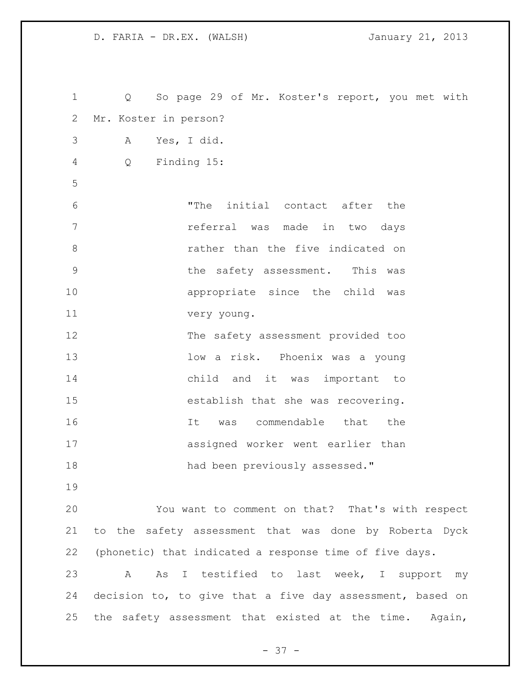| $\mathbf 1$    | Q So page 29 of Mr. Koster's report, you met with         |
|----------------|-----------------------------------------------------------|
| 2              | Mr. Koster in person?                                     |
| 3              | Yes, I did.<br>Α                                          |
| $\overline{4}$ | Finding 15:<br>Q                                          |
| 5              |                                                           |
| 6              | "The initial contact after the                            |
| 7              | referral was made in two days                             |
| $8\,$          | rather than the five indicated on                         |
| $\mathsf 9$    | the safety assessment. This was                           |
| 10             | appropriate since the child was                           |
| 11             | very young.                                               |
| 12             | The safety assessment provided too                        |
| 13             | low a risk. Phoenix was a young                           |
| 14             | child and it was important to                             |
| 15             | establish that she was recovering.                        |
| 16             | was commendable that the<br>It                            |
| 17             | assigned worker went earlier than                         |
| 18             | had been previously assessed."                            |
| 19             |                                                           |
| 20             | You want to comment on that? That's with respect          |
| 21             | to the safety assessment that was done by Roberta Dyck    |
| 22             | (phonetic) that indicated a response time of five days.   |
| 23             | As I testified to last week, I support my<br>A            |
| 24             | decision to, to give that a five day assessment, based on |
| 25             | the safety assessment that existed at the time. Again,    |

- 37 -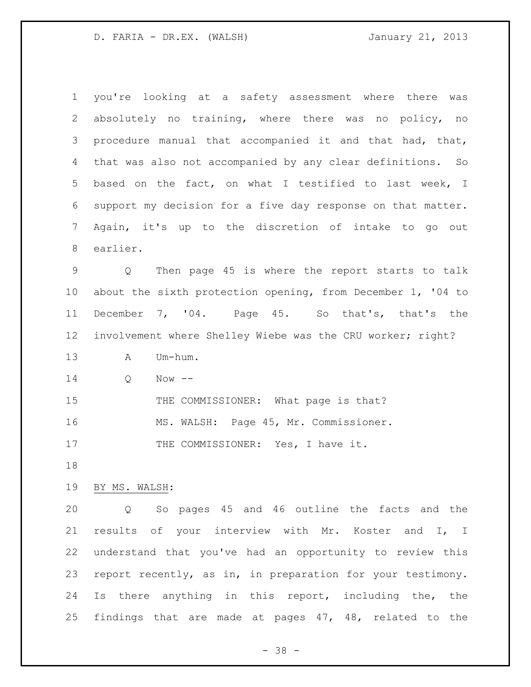| $\mathbf 1$     | you're looking at a safety assessment where there<br>was    |
|-----------------|-------------------------------------------------------------|
| 2               | absolutely no training, where there was no policy, no       |
| 3               | procedure manual that accompanied it and that had, that,    |
| 4               | that was also not accompanied by any clear definitions. So  |
| 5               | based on the fact, on what I testified to last week, I      |
| 6               | support my decision for a five day response on that matter. |
| 7               | Again, it's up to the discretion of intake to go out        |
| 8               | earlier.                                                    |
| 9               | Then page 45 is where the report starts to talk<br>Q        |
| $10 \,$         | about the sixth protection opening, from December 1, '04 to |
| 11              | December 7, '04. Page 45. So that's, that's the             |
| 12 <sup>°</sup> | involvement where Shelley Wiebe was the CRU worker; right?  |
| 13              | Um-hum.<br>Α                                                |
| 14              | Now $--$<br>Q                                               |
| 15              | THE COMMISSIONER: What page is that?                        |
| 16              | MS. WALSH: Page 45, Mr. Commissioner.                       |
| 17              | THE COMMISSIONER: Yes, I have it.                           |
| 18              |                                                             |
| 19              | BY MS. WALSH:                                               |
| 20              | Q So pages 45 and 46 outline the facts and the              |
| 21              | results of your interview with Mr. Koster and I, I          |
| 22              | understand that you've had an opportunity to review this    |
| 23              | report recently, as in, in preparation for your testimony.  |
| 24              | Is there anything in this report, including the, the        |
| 25              | findings that are made at pages 47, 48, related to the      |

- 38 -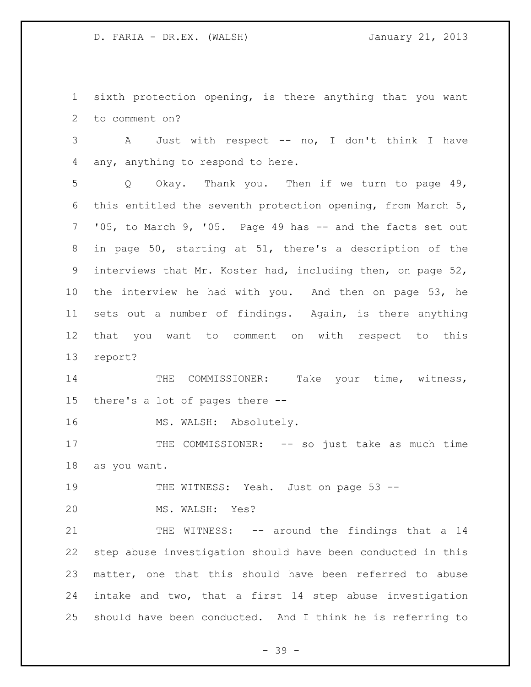sixth protection opening, is there anything that you want to comment on?

 A Just with respect -- no, I don't think I have any, anything to respond to here.

 Q Okay. Thank you. Then if we turn to page 49, this entitled the seventh protection opening, from March 5, '05, to March 9, '05. Page 49 has -- and the facts set out in page 50, starting at 51, there's a description of the interviews that Mr. Koster had, including then, on page 52, the interview he had with you. And then on page 53, he sets out a number of findings. Again, is there anything that you want to comment on with respect to this report?

14 THE COMMISSIONER: Take your time, witness, there's a lot of pages there --

16 MS. WALSH: Absolutely.

17 THE COMMISSIONER: -- so just take as much time as you want.

THE WITNESS: Yeah. Just on page 53 --

MS. WALSH: Yes?

21 THE WITNESS: -- around the findings that a 14 step abuse investigation should have been conducted in this matter, one that this should have been referred to abuse intake and two, that a first 14 step abuse investigation should have been conducted. And I think he is referring to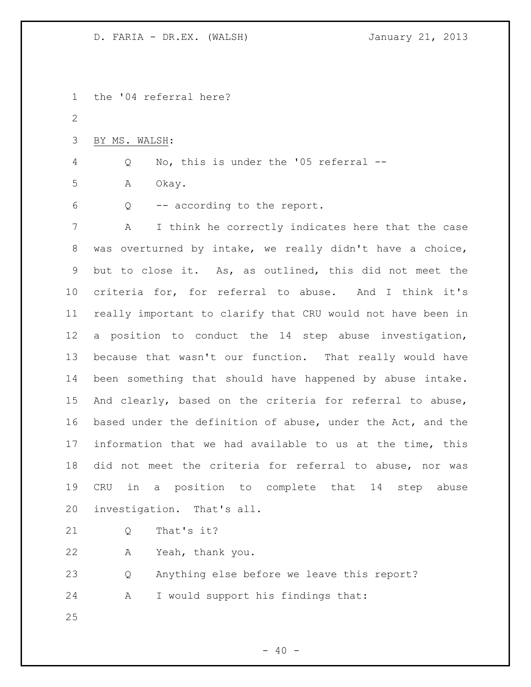the '04 referral here? BY MS. WALSH: Q No, this is under the '05 referral -- A Okay. Q -- according to the report. A I think he correctly indicates here that the case was overturned by intake, we really didn't have a choice, but to close it. As, as outlined, this did not meet the criteria for, for referral to abuse. And I think it's really important to clarify that CRU would not have been in a position to conduct the 14 step abuse investigation, because that wasn't our function. That really would have been something that should have happened by abuse intake. And clearly, based on the criteria for referral to abuse, based under the definition of abuse, under the Act, and the information that we had available to us at the time, this did not meet the criteria for referral to abuse, nor was CRU in a position to complete that 14 step abuse investigation. That's all. 21 0 That's it? A Yeah, thank you. Q Anything else before we leave this report? A I would support his findings that: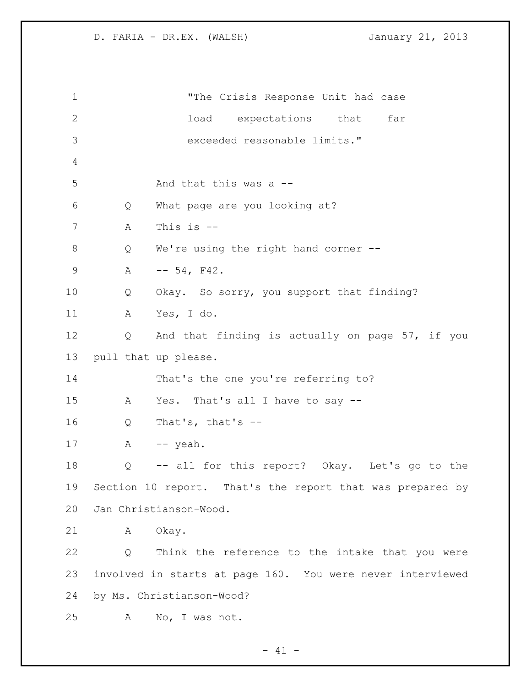"The Crisis Response Unit had case load expectations that far exceeded reasonable limits." And that this was a -- Q What page are you looking at? A This is -- Q We're using the right hand corner -- 9 A  $-$  54, F42. Q Okay. So sorry, you support that finding? A Yes, I do. Q And that finding is actually on page 57, if you pull that up please. That's the one you're referring to? A Yes. That's all I have to say -- Q That's, that's -- 17 A -- yeah. Q -- all for this report? Okay. Let's go to the Section 10 report. That's the report that was prepared by Jan Christianson-Wood. 21 A Okay. Q Think the reference to the intake that you were involved in starts at page 160. You were never interviewed by Ms. Christianson-Wood? A No, I was not.

 $- 41 -$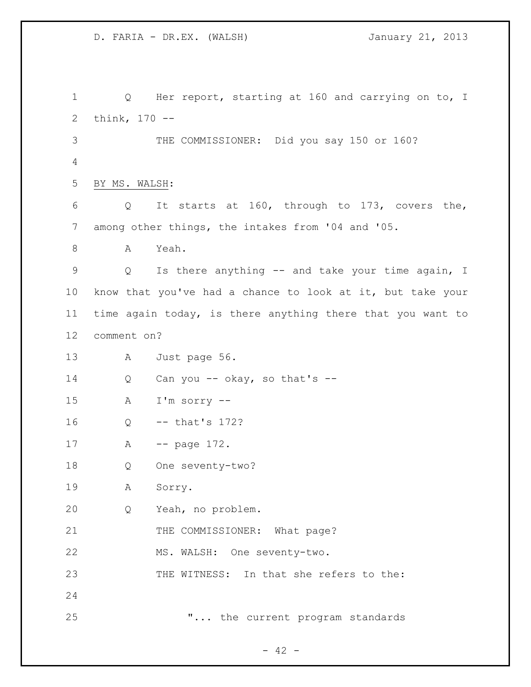1 Q Her report, starting at 160 and carrying on to, I think, 170 -- THE COMMISSIONER: Did you say 150 or 160? BY MS. WALSH: Q It starts at 160, through to 173, covers the, among other things, the intakes from '04 and '05. 8 A Yeah. Q Is there anything -- and take your time again, I know that you've had a chance to look at it, but take your time again today, is there anything there that you want to comment on? A Just page 56. Q Can you -- okay, so that's -- A I'm sorry -- Q -- that's 172? 17 A -- page 172. Q One seventy-two? A Sorry. Q Yeah, no problem. 21 THE COMMISSIONER: What page? MS. WALSH: One seventy-two. THE WITNESS: In that she refers to the: **"...** the current program standards

 $- 42 -$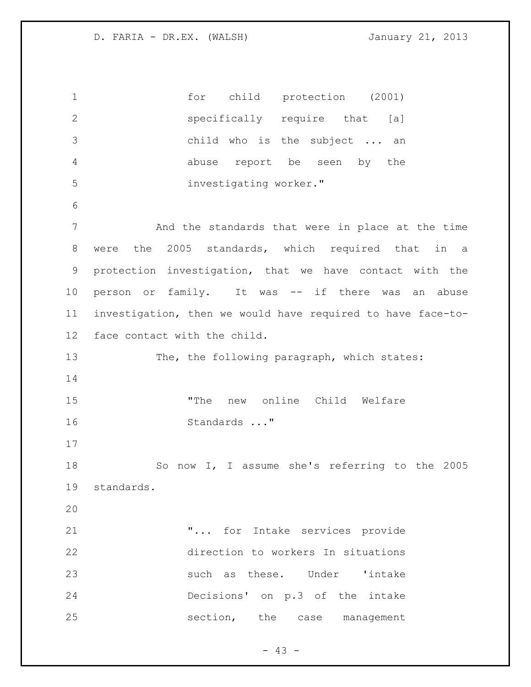for child protection (2001) specifically require that [a] child who is the subject ... an abuse report be seen by the investigating worker." And the standards that were in place at the time were the 2005 standards, which required that in a protection investigation, that we have contact with the person or family. It was -- if there was an abuse investigation, then we would have required to have face-to- face contact with the child. 13 The, the following paragraph, which states: "The new online Child Welfare Standards ..." So now I, I assume she's referring to the 2005 standards. "... for Intake services provide direction to workers In situations 23 such as these. Under 'intake Decisions' on p.3 of the intake section, the case management

 $- 43 -$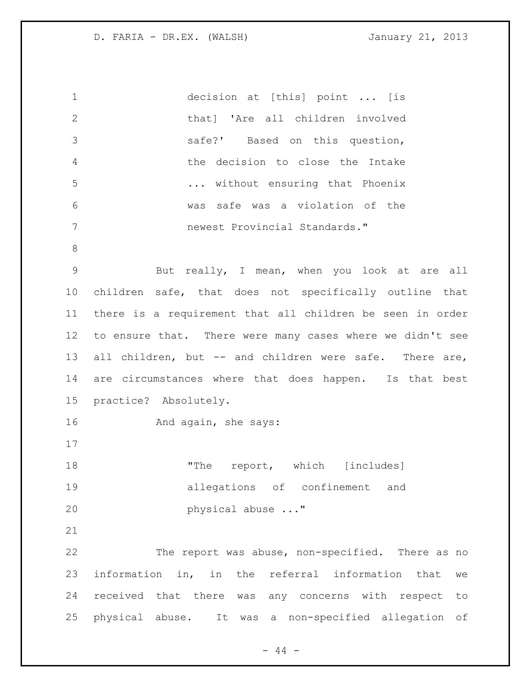| $\mathbf 1$     | decision at [this] point  [is                             |
|-----------------|-----------------------------------------------------------|
| $\mathbf{2}$    | that] 'Are all children involved                          |
| 3               | safe?' Based on this question,                            |
| $\overline{4}$  | the decision to close the Intake                          |
| 5               | without ensuring that Phoenix                             |
| 6               | was safe was a violation of the                           |
| $7\phantom{.}$  | newest Provincial Standards."                             |
| 8               |                                                           |
| $\mathsf 9$     | But really, I mean, when you look at are all              |
| 10 <sub>o</sub> | children safe, that does not specifically outline that    |
| 11              | there is a requirement that all children be seen in order |
| 12              | to ensure that. There were many cases where we didn't see |
| 13              | all children, but -- and children were safe. There are,   |
| 14              | are circumstances where that does happen. Is that best    |
| 15              | practice? Absolutely.                                     |
| 16              | And again, she says:                                      |
| 17              |                                                           |
| 18              | "The report, which [includes]                             |
| 19              | allegations of confinement and                            |
| 20              | physical abuse "                                          |
| 21              |                                                           |
| 22              | The report was abuse, non-specified. There as no          |
| 23              | information in, in the referral information that<br>we    |
| 24              | received that there was any concerns with respect<br>to   |
| 25              | physical abuse. It was a non-specified allegation<br>оf   |

- 44 -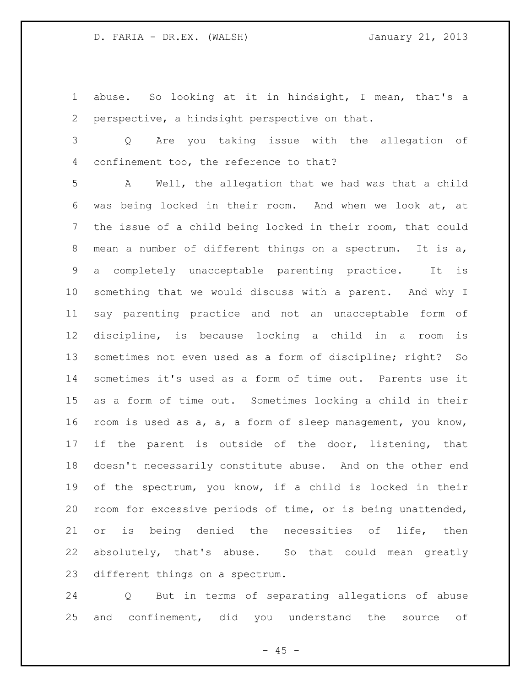abuse. So looking at it in hindsight, I mean, that's a perspective, a hindsight perspective on that.

 Q Are you taking issue with the allegation of confinement too, the reference to that?

 A Well, the allegation that we had was that a child was being locked in their room. And when we look at, at the issue of a child being locked in their room, that could mean a number of different things on a spectrum. It is a, a completely unacceptable parenting practice. It is something that we would discuss with a parent. And why I say parenting practice and not an unacceptable form of discipline, is because locking a child in a room is sometimes not even used as a form of discipline; right? So sometimes it's used as a form of time out. Parents use it as a form of time out. Sometimes locking a child in their room is used as a, a, a form of sleep management, you know, 17 if the parent is outside of the door, listening, that doesn't necessarily constitute abuse. And on the other end of the spectrum, you know, if a child is locked in their room for excessive periods of time, or is being unattended, or is being denied the necessities of life, then absolutely, that's abuse. So that could mean greatly different things on a spectrum.

 Q But in terms of separating allegations of abuse and confinement, did you understand the source of

 $- 45 -$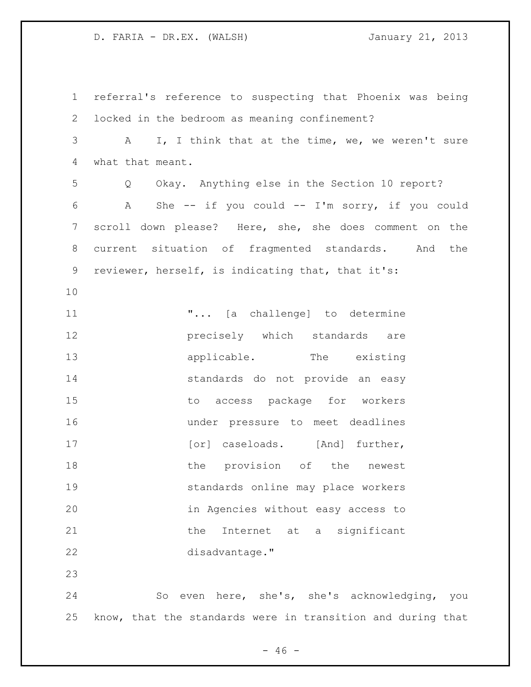referral's reference to suspecting that Phoenix was being locked in the bedroom as meaning confinement? A I, I think that at the time, we, we weren't sure what that meant. Q Okay. Anything else in the Section 10 report? A She -- if you could -- I'm sorry, if you could scroll down please? Here, she, she does comment on the current situation of fragmented standards. And the reviewer, herself, is indicating that, that it's: "... [a challenge] to determine **precisely** which standards are **applicable.** The existing standards do not provide an easy to access package for workers under pressure to meet deadlines 17 [or] caseloads. [And] further, 18 the provision of the newest standards online may place workers in Agencies without easy access to 21 the Internet at a significant disadvantage." So even here, she's, she's acknowledging, you know, that the standards were in transition and during that

 $- 46 -$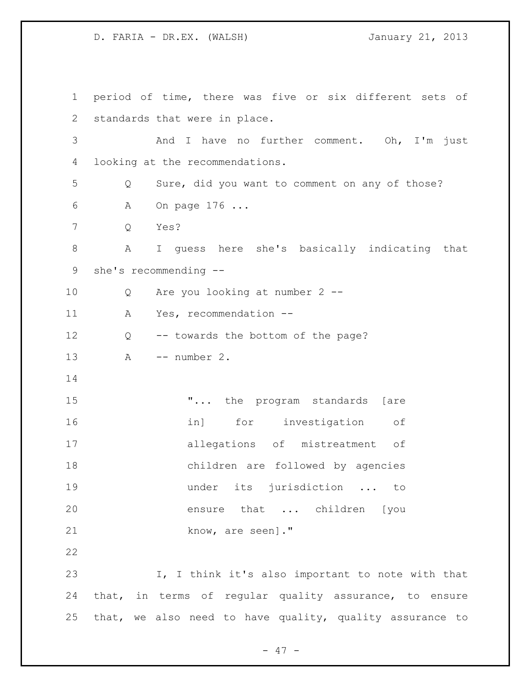period of time, there was five or six different sets of standards that were in place. And I have no further comment. Oh, I'm just looking at the recommendations. Q Sure, did you want to comment on any of those? A On page 176 ... Q Yes? A I guess here she's basically indicating that she's recommending -- Q Are you looking at number 2 -- A Yes, recommendation -- Q -- towards the bottom of the page? A -- number 2. 15 T... the program standards [are in] for investigation of allegations of mistreatment of children are followed by agencies under its jurisdiction ... to ensure that ... children [you 21 know, are seen]." I, I think it's also important to note with that that, in terms of regular quality assurance, to ensure that, we also need to have quality, quality assurance to

- 47 -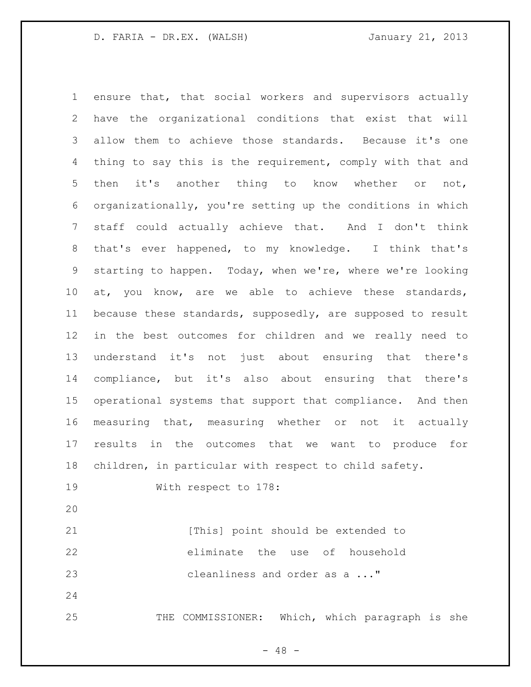ensure that, that social workers and supervisors actually have the organizational conditions that exist that will allow them to achieve those standards. Because it's one thing to say this is the requirement, comply with that and then it's another thing to know whether or not, organizationally, you're setting up the conditions in which staff could actually achieve that. And I don't think that's ever happened, to my knowledge. I think that's starting to happen. Today, when we're, where we're looking at, you know, are we able to achieve these standards, because these standards, supposedly, are supposed to result in the best outcomes for children and we really need to understand it's not just about ensuring that there's compliance, but it's also about ensuring that there's operational systems that support that compliance. And then measuring that, measuring whether or not it actually results in the outcomes that we want to produce for children, in particular with respect to child safety. With respect to 178: 21 [This] point should be extended to eliminate the use of household cleanliness and order as a ..." 25 THE COMMISSIONER: Which, which paragraph is she

 $- 48 -$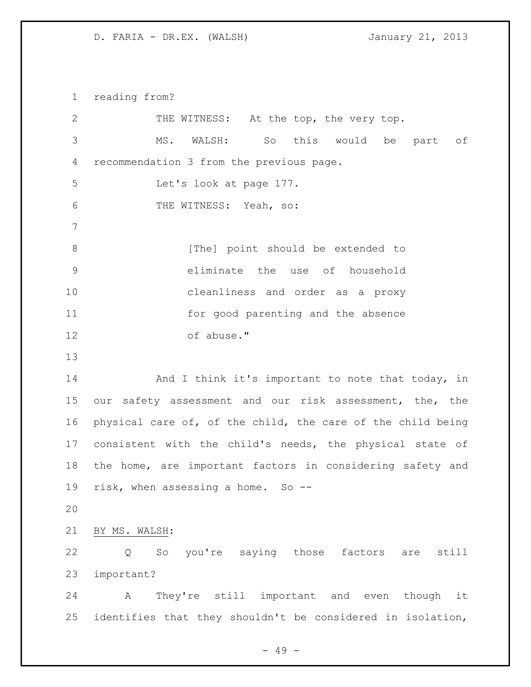reading from?

| $\mathbf{2}$ | THE WITNESS: At the top, the very top.                      |
|--------------|-------------------------------------------------------------|
| 3            | MS. WALSH: So this would be part of                         |
| 4            | recommendation 3 from the previous page.                    |
| 5            | Let's look at page 177.                                     |
| 6            | THE WITNESS: Yeah, so:                                      |
| 7            |                                                             |
| $\,8\,$      | [The] point should be extended to                           |
| $\mathsf 9$  | eliminate the use of household                              |
| 10           | cleanliness and order as a proxy                            |
| 11           | for good parenting and the absence                          |
| 12           | of abuse."                                                  |
| 13           |                                                             |
| 14           | And I think it's important to note that today, in           |
| 15           | our safety assessment and our risk assessment, the, the     |
| 16           | physical care of, of the child, the care of the child being |
| 17           | consistent with the child's needs, the physical state of    |
| 18           | the home, are important factors in considering safety and   |
| 19           | risk, when assessing a home. So --                          |
| 20           |                                                             |
| 21           | BY MS. WALSH:                                               |
| 22           | So you're saying those factors are<br>still<br>Q            |
| 23           | important?                                                  |
| 24           | They're still important and even<br>though<br>Α<br>it       |
| 25           | identifies that they shouldn't be considered in isolation,  |

- 49 -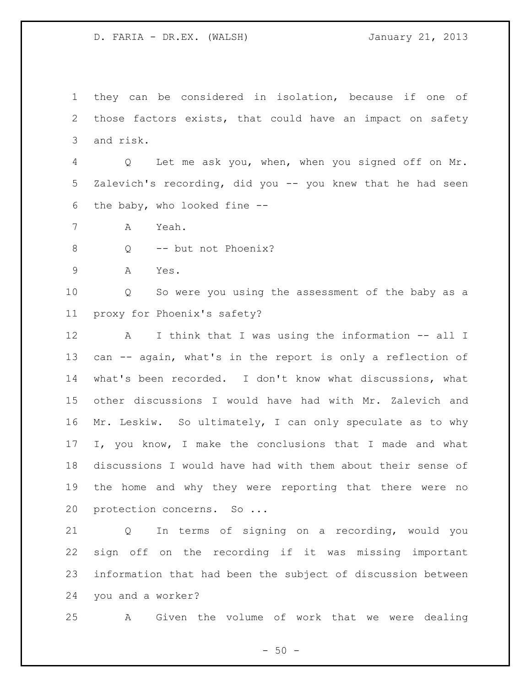they can be considered in isolation, because if one of those factors exists, that could have an impact on safety and risk.

 Q Let me ask you, when, when you signed off on Mr. Zalevich's recording, did you -- you knew that he had seen the baby, who looked fine --

- A Yeah.
- 8 Q -- but not Phoenix?
- A Yes.

 Q So were you using the assessment of the baby as a proxy for Phoenix's safety?

 A I think that I was using the information -- all I can -- again, what's in the report is only a reflection of what's been recorded. I don't know what discussions, what other discussions I would have had with Mr. Zalevich and Mr. Leskiw. So ultimately, I can only speculate as to why I, you know, I make the conclusions that I made and what discussions I would have had with them about their sense of the home and why they were reporting that there were no 20 protection concerns. So ...

 Q In terms of signing on a recording, would you sign off on the recording if it was missing important information that had been the subject of discussion between you and a worker?

A Given the volume of work that we were dealing

 $-50 -$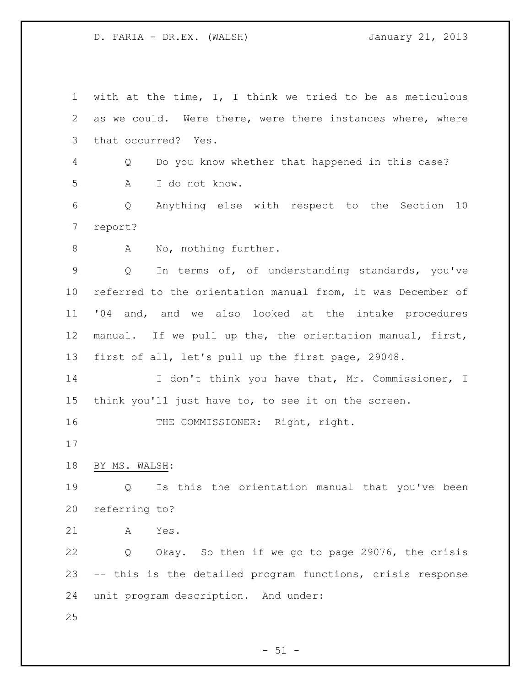with at the time, I, I think we tried to be as meticulous as we could. Were there, were there instances where, where that occurred? Yes. Q Do you know whether that happened in this case? A I do not know. Q Anything else with respect to the Section 10 report? 8 A No, nothing further. Q In terms of, of understanding standards, you've referred to the orientation manual from, it was December of '04 and, and we also looked at the intake procedures manual. If we pull up the, the orientation manual, first, first of all, let's pull up the first page, 29048. 14 I don't think you have that, Mr. Commissioner, I think you'll just have to, to see it on the screen. 16 THE COMMISSIONER: Right, right. BY MS. WALSH: Q Is this the orientation manual that you've been referring to? A Yes. Q Okay. So then if we go to page 29076, the crisis -- this is the detailed program functions, crisis response unit program description. And under: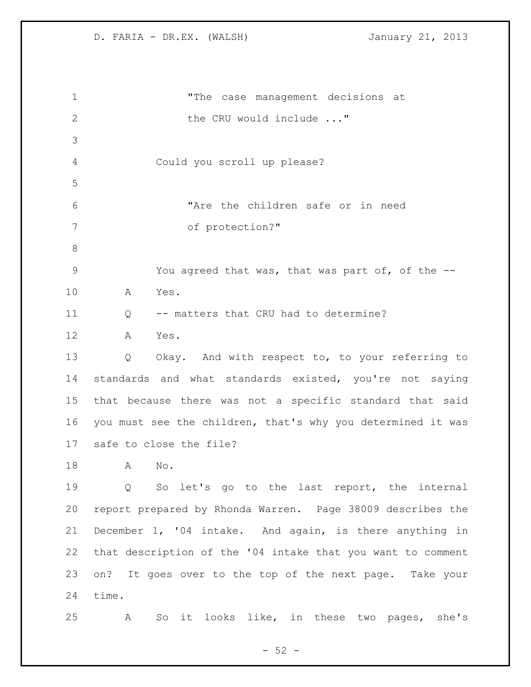"The case management decisions at 2 the CRU would include ..." Could you scroll up please? "Are the children safe or in need of protection?" You agreed that was, that was part of, of the -- A Yes. 11 O -- matters that CRU had to determine? A Yes. Q Okay. And with respect to, to your referring to standards and what standards existed, you're not saying that because there was not a specific standard that said you must see the children, that's why you determined it was safe to close the file? A No. Q So let's go to the last report, the internal report prepared by Rhonda Warren. Page 38009 describes the December 1, '04 intake. And again, is there anything in that description of the '04 intake that you want to comment on? It goes over to the top of the next page. Take your time. A So it looks like, in these two pages, she's

 $-52 -$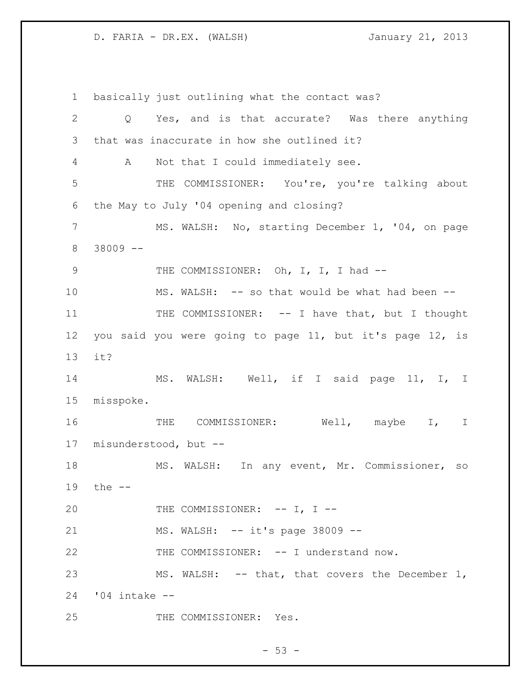basically just outlining what the contact was? Q Yes, and is that accurate? Was there anything that was inaccurate in how she outlined it? A Not that I could immediately see. THE COMMISSIONER: You're, you're talking about the May to July '04 opening and closing? 7 MS. WALSH: No, starting December 1, '04, on page 38009 -- 9 THE COMMISSIONER: Oh, I, I, I had --10 MS. WALSH: -- so that would be what had been --11 THE COMMISSIONER: -- I have that, but I thought you said you were going to page 11, but it's page 12, is it? MS. WALSH: Well, if I said page 11, I, I misspoke. THE COMMISSIONER: Well, maybe I, I misunderstood, but -- MS. WALSH: In any event, Mr. Commissioner, so the -- 20 THE COMMISSIONER: -- I, I --21 MS. WALSH: -- it's page 38009 -- THE COMMISSIONER: -- I understand now. 23 MS. WALSH: -- that, that covers the December 1, '04 intake -- THE COMMISSIONER: Yes.

 $-53 -$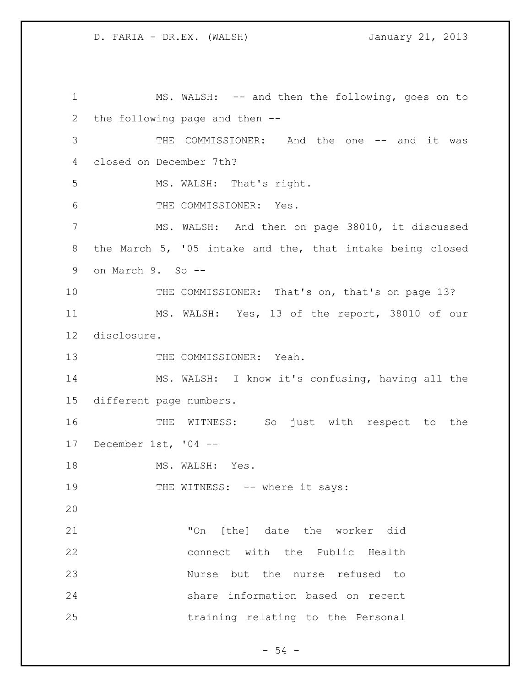MS. WALSH: -- and then the following, goes on to the following page and then -- THE COMMISSIONER: And the one -- and it was closed on December 7th? MS. WALSH: That's right. THE COMMISSIONER: Yes. MS. WALSH: And then on page 38010, it discussed the March 5, '05 intake and the, that intake being closed on March 9. So -- 10 THE COMMISSIONER: That's on, that's on page 13? MS. WALSH: Yes, 13 of the report, 38010 of our disclosure. 13 THE COMMISSIONER: Yeah. MS. WALSH: I know it's confusing, having all the different page numbers. THE WITNESS: So just with respect to the December 1st, '04 -- 18 MS. WALSH: Yes. 19 THE WITNESS: -- where it says: "On [the] date the worker did connect with the Public Health Nurse but the nurse refused to share information based on recent training relating to the Personal

 $-54 -$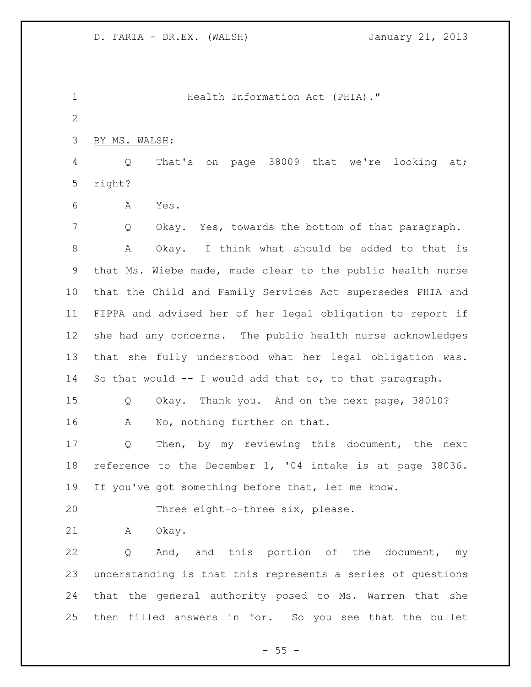**Health Information Act (PHIA).**" BY MS. WALSH: Q That's on page 38009 that we're looking at; right? A Yes. Q Okay. Yes, towards the bottom of that paragraph. A Okay. I think what should be added to that is that Ms. Wiebe made, made clear to the public health nurse that the Child and Family Services Act supersedes PHIA and FIPPA and advised her of her legal obligation to report if she had any concerns. The public health nurse acknowledges that she fully understood what her legal obligation was. So that would -- I would add that to, to that paragraph. Q Okay. Thank you. And on the next page, 38010? A No, nothing further on that. Q Then, by my reviewing this document, the next reference to the December 1, '04 intake is at page 38036. If you've got something before that, let me know. Three eight-o-three six, please. A Okay. Q And, and this portion of the document, my understanding is that this represents a series of questions that the general authority posed to Ms. Warren that she then filled answers in for. So you see that the bullet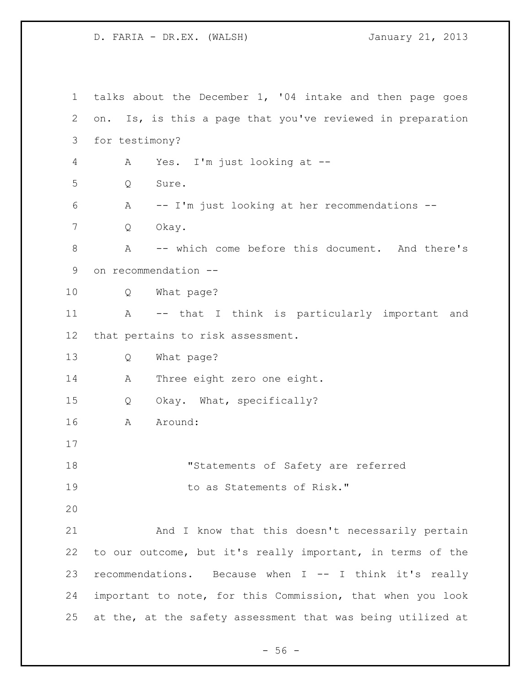talks about the December 1, '04 intake and then page goes on. Is, is this a page that you've reviewed in preparation for testimony? A Yes. I'm just looking at -- Q Sure. A -- I'm just looking at her recommendations -- Q Okay. A -- which come before this document. And there's on recommendation -- Q What page? A -- that I think is particularly important and that pertains to risk assessment. Q What page? A Three eight zero one eight. Q Okay. What, specifically? A Around: "Statements of Safety are referred 19 to as Statements of Risk." And I know that this doesn't necessarily pertain to our outcome, but it's really important, in terms of the recommendations. Because when I -- I think it's really important to note, for this Commission, that when you look at the, at the safety assessment that was being utilized at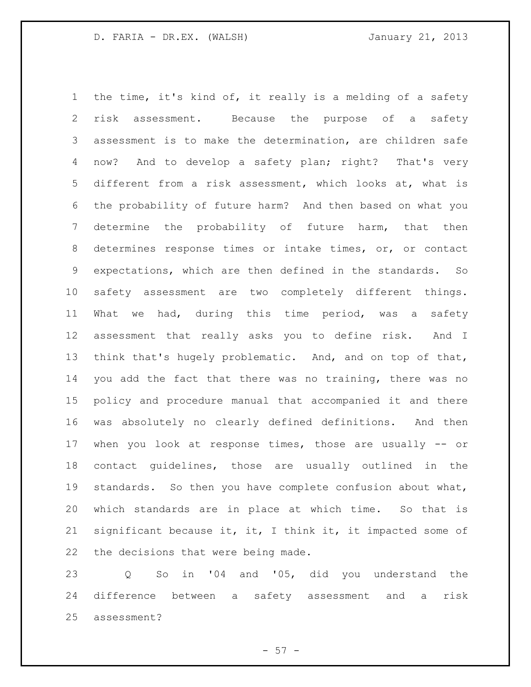the time, it's kind of, it really is a melding of a safety risk assessment. Because the purpose of a safety assessment is to make the determination, are children safe now? And to develop a safety plan; right? That's very different from a risk assessment, which looks at, what is the probability of future harm? And then based on what you determine the probability of future harm, that then determines response times or intake times, or, or contact expectations, which are then defined in the standards. So safety assessment are two completely different things. What we had, during this time period, was a safety assessment that really asks you to define risk. And I think that's hugely problematic. And, and on top of that, you add the fact that there was no training, there was no policy and procedure manual that accompanied it and there was absolutely no clearly defined definitions. And then when you look at response times, those are usually -- or contact guidelines, those are usually outlined in the standards. So then you have complete confusion about what, which standards are in place at which time. So that is significant because it, it, I think it, it impacted some of the decisions that were being made.

 Q So in '04 and '05, did you understand the difference between a safety assessment and a risk assessment?

 $-57 -$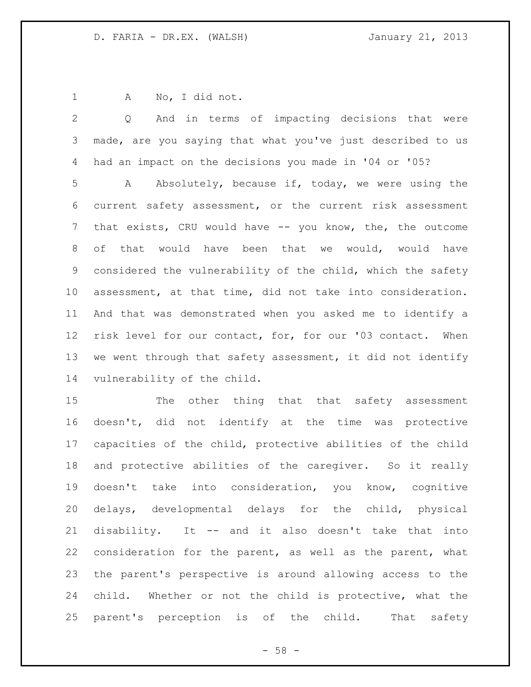A No, I did not.

 Q And in terms of impacting decisions that were made, are you saying that what you've just described to us had an impact on the decisions you made in '04 or '05? A Absolutely, because if, today, we were using the current safety assessment, or the current risk assessment that exists, CRU would have -- you know, the, the outcome of that would have been that we would, would have considered the vulnerability of the child, which the safety assessment, at that time, did not take into consideration. And that was demonstrated when you asked me to identify a risk level for our contact, for, for our '03 contact. When we went through that safety assessment, it did not identify vulnerability of the child.

 The other thing that that safety assessment doesn't, did not identify at the time was protective capacities of the child, protective abilities of the child and protective abilities of the caregiver. So it really doesn't take into consideration, you know, cognitive delays, developmental delays for the child, physical disability. It -- and it also doesn't take that into consideration for the parent, as well as the parent, what the parent's perspective is around allowing access to the child. Whether or not the child is protective, what the parent's perception is of the child. That safety

 $- 58 -$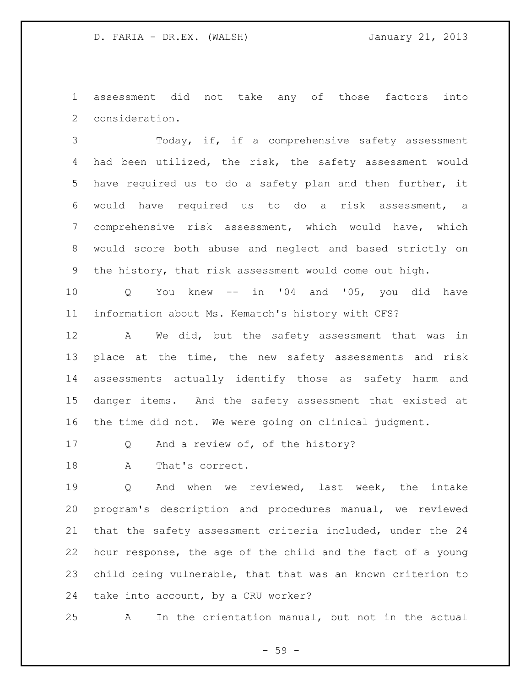assessment did not take any of those factors into consideration.

 Today, if, if a comprehensive safety assessment had been utilized, the risk, the safety assessment would have required us to do a safety plan and then further, it would have required us to do a risk assessment, a comprehensive risk assessment, which would have, which would score both abuse and neglect and based strictly on the history, that risk assessment would come out high.

 Q You knew -- in '04 and '05, you did have information about Ms. Kematch's history with CFS?

12 A We did, but the safety assessment that was in 13 place at the time, the new safety assessments and risk assessments actually identify those as safety harm and danger items. And the safety assessment that existed at the time did not. We were going on clinical judgment.

17 Q And a review of, of the history?

18 A That's correct.

 Q And when we reviewed, last week, the intake program's description and procedures manual, we reviewed that the safety assessment criteria included, under the 24 hour response, the age of the child and the fact of a young child being vulnerable, that that was an known criterion to take into account, by a CRU worker?

A In the orientation manual, but not in the actual

- 59 -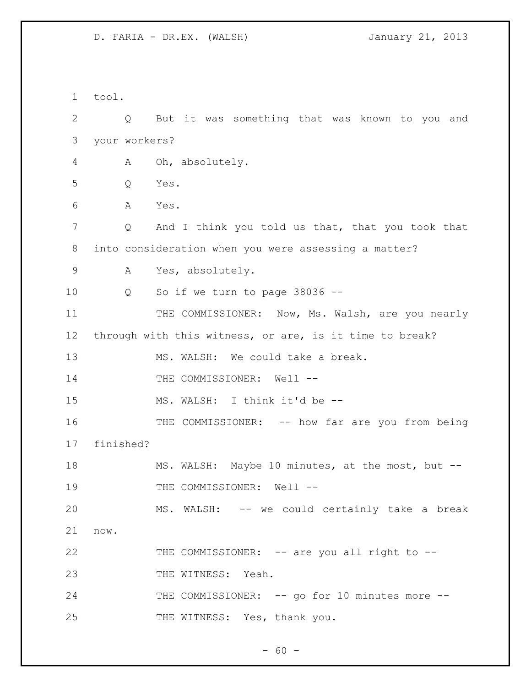1 tool. 2 Q But it was something that was known to you and 3 your workers? 4 A Oh, absolutely. 5 Q Yes. 6 A Yes. 7 Q And I think you told us that, that you took that 8 into consideration when you were assessing a matter? 9 A Yes, absolutely. 10 Q So if we turn to page 38036 -- 11 THE COMMISSIONER: Now, Ms. Walsh, are you nearly 12 through with this witness, or are, is it time to break? 13 MS. WALSH: We could take a break. 14 THE COMMISSIONER: Well --15 MS. WALSH: I think it'd be -- 16 THE COMMISSIONER: -- how far are you from being 17 finished? 18 MS. WALSH: Maybe 10 minutes, at the most, but --19 THE COMMISSIONER: Well --20 MS. WALSH: -- we could certainly take a break 21 now. 22 THE COMMISSIONER: -- are you all right to --23 THE WITNESS: Yeah. 24 THE COMMISSIONER: -- go for 10 minutes more --25 THE WITNESS: Yes, thank you.

 $- 60 -$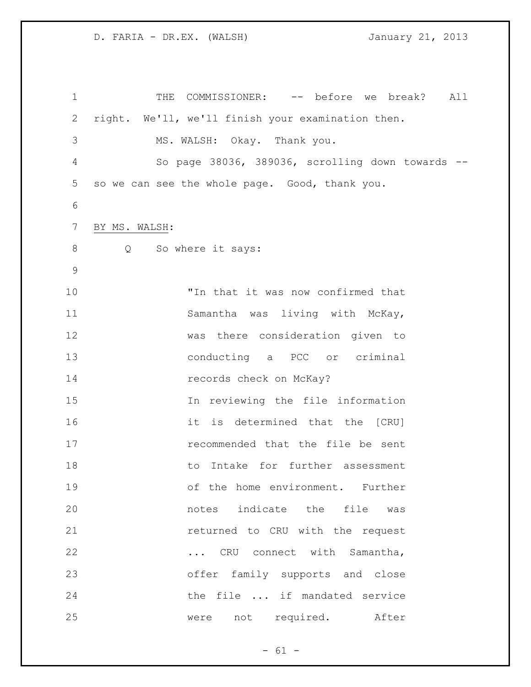1 THE COMMISSIONER: -- before we break? All right. We'll, we'll finish your examination then. MS. WALSH: Okay. Thank you. So page 38036, 389036, scrolling down towards -- so we can see the whole page. Good, thank you. BY MS. WALSH: 8 Q So where it says: "In that it was now confirmed that Samantha was living with McKay, was there consideration given to conducting a PCC or criminal **records** check on McKay? In reviewing the file information it is determined that the [CRU] recommended that the file be sent to Intake for further assessment of the home environment. Further notes indicate the file was **returned to CRU with the request** 22 ... CRU connect with Samantha, offer family supports and close the file ... if mandated service were not required. After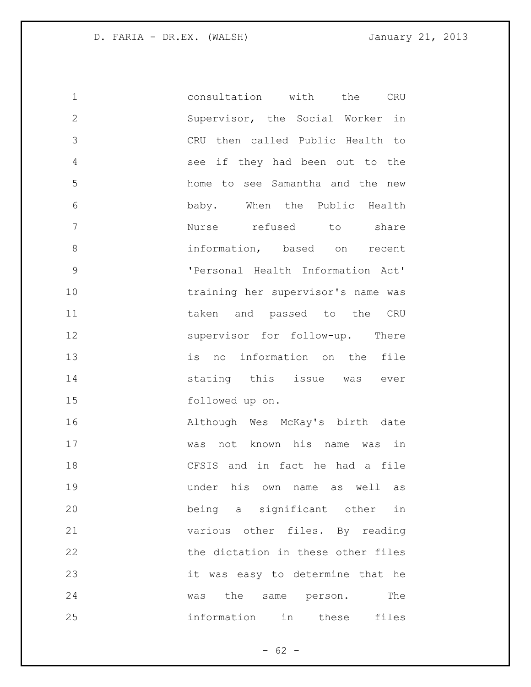| $\mathbf 1$   | consultation with the<br>$\mathsf{CRU}$ |
|---------------|-----------------------------------------|
| $\mathbf{2}$  | Supervisor, the Social Worker in        |
| 3             | CRU then called Public Health to        |
| 4             | see if they had been out to the         |
| 5             | home to see Samantha and the new        |
| 6             | baby. When the Public Health            |
| 7             | Nurse refused to share                  |
| 8             | information, based on recent            |
| $\mathcal{G}$ | 'Personal Health Information Act'       |
| 10            | training her supervisor's name was      |
| 11            | taken and passed to the CRU             |
| 12            | supervisor for follow-up. There         |
| 13            | is no information on the file           |
| 14            | stating this issue was ever             |
| 15            | followed up on.                         |
| 16            | Although Wes McKay's birth date         |
| 17            | was not known his name was in           |
| 18            | CFSIS and in fact he had a file         |
| 19            | under his own name as well as           |
| 20            | being a significant other in            |
| 21            | various other files. By reading         |
| 22            | the dictation in these other files      |
| 23            | it was easy to determine that he        |
| 24            | the<br>The<br>was<br>same person.       |
| 25            | information in these<br>files           |

- 62 -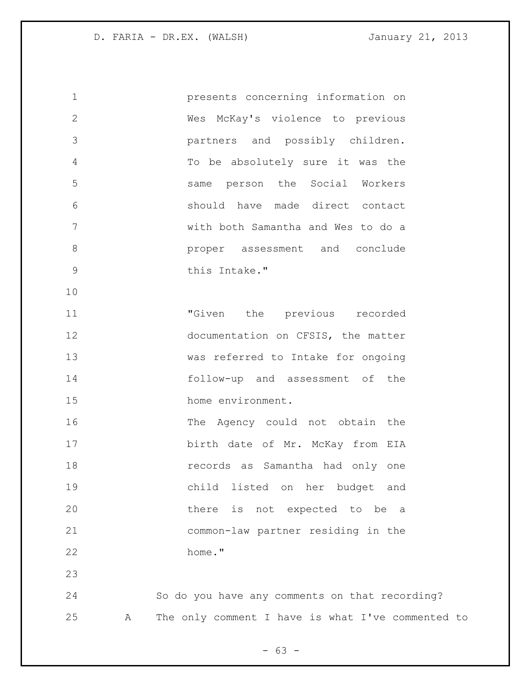presents concerning information on Wes McKay's violence to previous partners and possibly children. To be absolutely sure it was the same person the Social Workers should have made direct contact with both Samantha and Wes to do a **b** proper assessment and conclude this Intake." "Given the previous recorded 12 documentation on CFSIS, the matter was referred to Intake for ongoing follow-up and assessment of the 15 home environment. 16 The Agency could not obtain the birth date of Mr. McKay from EIA records as Samantha had only one child listed on her budget and there is not expected to be a common-law partner residing in the home." So do you have any comments on that recording? A The only comment I have is what I've commented to

 $- 63 -$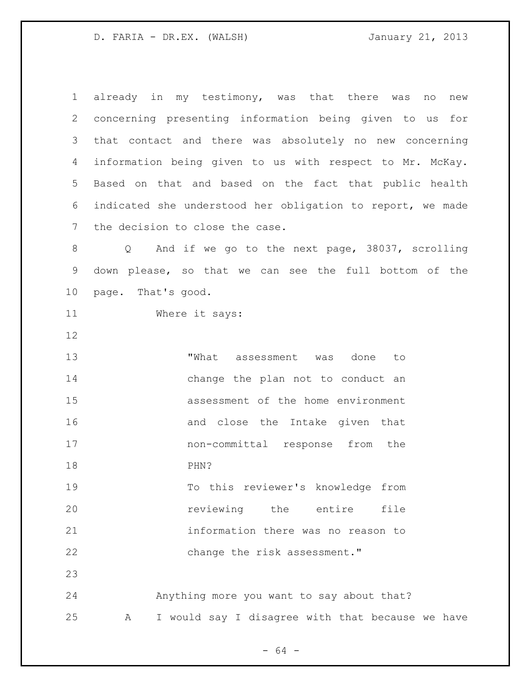already in my testimony, was that there was no new concerning presenting information being given to us for that contact and there was absolutely no new concerning information being given to us with respect to Mr. McKay. Based on that and based on the fact that public health indicated she understood her obligation to report, we made the decision to close the case. Q And if we go to the next page, 38037, scrolling down please, so that we can see the full bottom of the page. That's good. Where it says: "What assessment was done to 14 change the plan not to conduct an assessment of the home environment and close the Intake given that non-committal response from the PHN? To this reviewer's knowledge from *reviewing* the entire file information there was no reason to 22 change the risk assessment." Anything more you want to say about that? A I would say I disagree with that because we have

- 64 -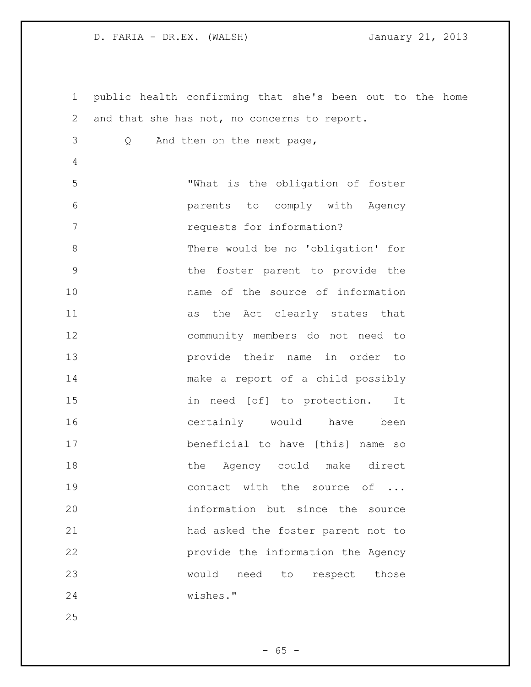public health confirming that she's been out to the home and that she has not, no concerns to report. Q And then on the next page, "What is the obligation of foster parents to comply with Agency 7 requests for information? There would be no 'obligation' for the foster parent to provide the name of the source of information as the Act clearly states that community members do not need to provide their name in order to make a report of a child possibly in need [of] to protection. It 16 certainly would have been beneficial to have [this] name so 18 the Agency could make direct 19 contact with the source of ... information but since the source had asked the foster parent not to provide the information the Agency would need to respect those wishes."

 $- 65 -$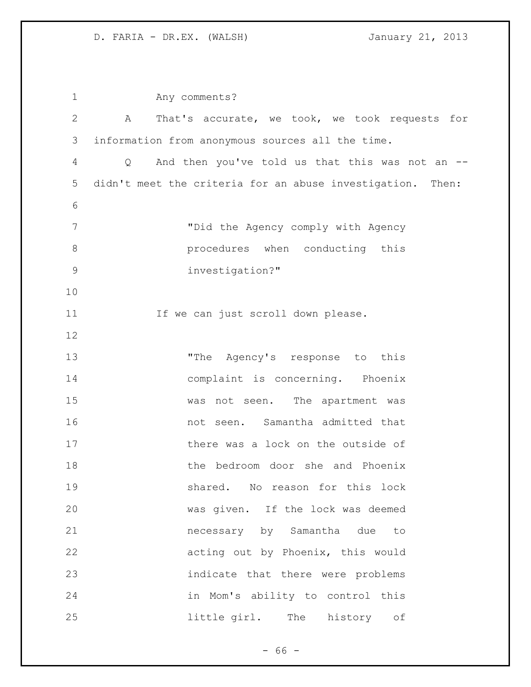Any comments? A That's accurate, we took, we took requests for information from anonymous sources all the time. Q And then you've told us that this was not an -- didn't meet the criteria for an abuse investigation. Then: "Did the Agency comply with Agency **8 procedures** when conducting this investigation?" 11 If we can just scroll down please. "The Agency's response to this complaint is concerning. Phoenix was not seen. The apartment was not seen. Samantha admitted that 17 there was a lock on the outside of the bedroom door she and Phoenix shared. No reason for this lock was given. If the lock was deemed necessary by Samantha due to acting out by Phoenix, this would indicate that there were problems in Mom's ability to control this little girl. The history of

 $- 66 -$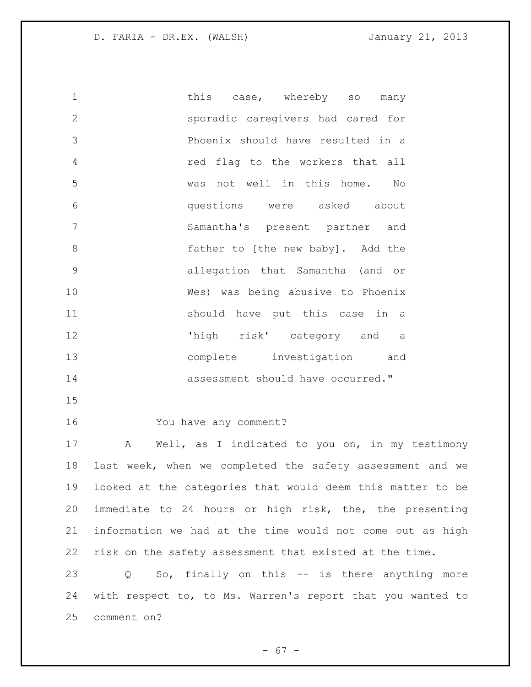1 this case, whereby so many sporadic caregivers had cared for Phoenix should have resulted in a red flag to the workers that all was not well in this home. No questions were asked about Samantha's present partner and **6 father to [the new baby].** Add the allegation that Samantha (and or Wes) was being abusive to Phoenix should have put this case in a 'high risk' category and a complete investigation and **assessment** should have occurred." 

You have any comment?

 A Well, as I indicated to you on, in my testimony last week, when we completed the safety assessment and we looked at the categories that would deem this matter to be immediate to 24 hours or high risk, the, the presenting information we had at the time would not come out as high risk on the safety assessment that existed at the time.

 Q So, finally on this -- is there anything more with respect to, to Ms. Warren's report that you wanted to comment on?

 $- 67 -$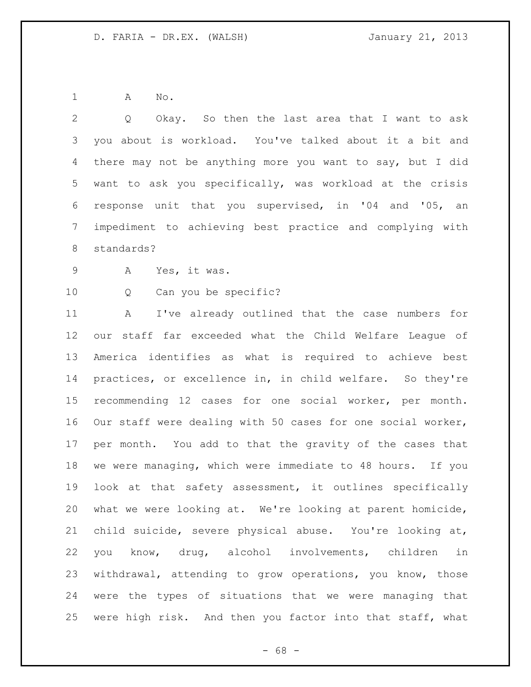A No.

 Q Okay. So then the last area that I want to ask you about is workload. You've talked about it a bit and there may not be anything more you want to say, but I did want to ask you specifically, was workload at the crisis response unit that you supervised, in '04 and '05, an impediment to achieving best practice and complying with standards? A Yes, it was. Q Can you be specific? A I've already outlined that the case numbers for

 our staff far exceeded what the Child Welfare League of America identifies as what is required to achieve best practices, or excellence in, in child welfare. So they're recommending 12 cases for one social worker, per month. Our staff were dealing with 50 cases for one social worker, per month. You add to that the gravity of the cases that we were managing, which were immediate to 48 hours. If you look at that safety assessment, it outlines specifically what we were looking at. We're looking at parent homicide, child suicide, severe physical abuse. You're looking at, you know, drug, alcohol involvements, children in withdrawal, attending to grow operations, you know, those were the types of situations that we were managing that were high risk. And then you factor into that staff, what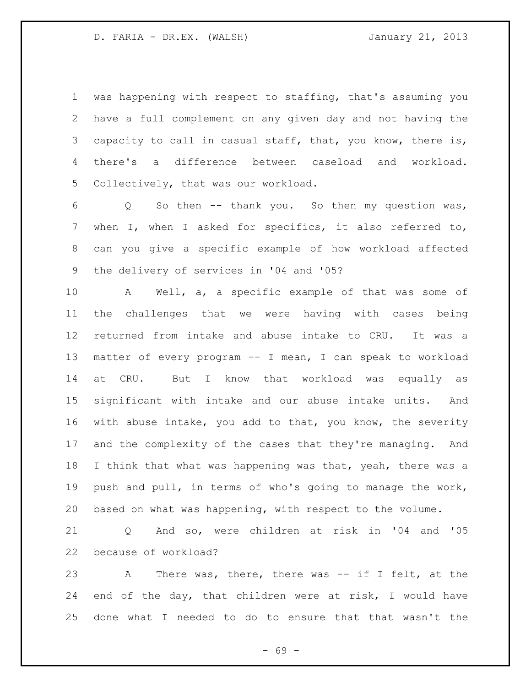was happening with respect to staffing, that's assuming you have a full complement on any given day and not having the 3 capacity to call in casual staff, that, you know, there is, there's a difference between caseload and workload. Collectively, that was our workload.

 Q So then -- thank you. So then my question was, when I, when I asked for specifics, it also referred to, can you give a specific example of how workload affected the delivery of services in '04 and '05?

 A Well, a, a specific example of that was some of the challenges that we were having with cases being returned from intake and abuse intake to CRU. It was a matter of every program -- I mean, I can speak to workload at CRU. But I know that workload was equally as significant with intake and our abuse intake units. And with abuse intake, you add to that, you know, the severity and the complexity of the cases that they're managing. And 18 I think that what was happening was that, yeah, there was a push and pull, in terms of who's going to manage the work, based on what was happening, with respect to the volume.

 Q And so, were children at risk in '04 and '05 because of workload?

 A There was, there, there was -- if I felt, at the end of the day, that children were at risk, I would have done what I needed to do to ensure that that wasn't the

- 69 -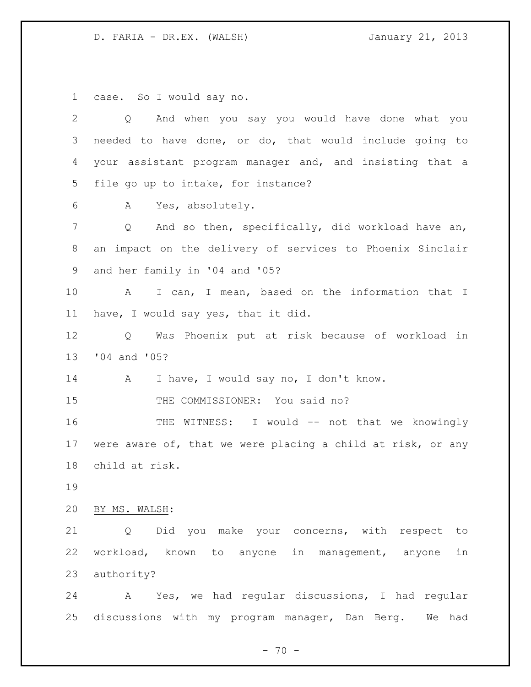D. FARIA - DR.EX. (WALSH) January 21, 2013

case. So I would say no.

| $\overline{2}$ | And when you say you would have done what you<br>$Q \qquad \qquad$  |
|----------------|---------------------------------------------------------------------|
| 3              | needed to have done, or do, that would include going to             |
| 4              | your assistant program manager and, and insisting that a            |
| 5              | file go up to intake, for instance?                                 |
| 6              | Yes, absolutely.<br>A                                               |
| 7              | And so then, specifically, did workload have an,<br>Q               |
| 8              | an impact on the delivery of services to Phoenix Sinclair           |
| 9              | and her family in '04 and '05?                                      |
| 10             | I can, I mean, based on the information that I<br>A                 |
| 11             | have, I would say yes, that it did.                                 |
| 12             | Was Phoenix put at risk because of workload in<br>Q                 |
| 13             | '04 and '05?                                                        |
| 14             | I have, I would say no, I don't know.<br>$\mathbf{A}$               |
| 15             | THE COMMISSIONER: You said no?                                      |
| 16             | THE WITNESS: I would -- not that we knowingly                       |
| 17             | were aware of, that we were placing a child at risk, or any         |
| 18             | child at risk.                                                      |
| 19             |                                                                     |
| 20             | BY MS. WALSH:                                                       |
| 21             | Did you make your concerns, with respect<br>$Q \qquad \qquad$<br>to |
| 22             | workload, known to anyone in management, anyone<br>in               |
| 23             | authority?                                                          |
| 24             | Yes, we had regular discussions, I had regular<br>A                 |
| 25             | discussions with my program manager, Dan Berg.<br>We had            |

- 70 -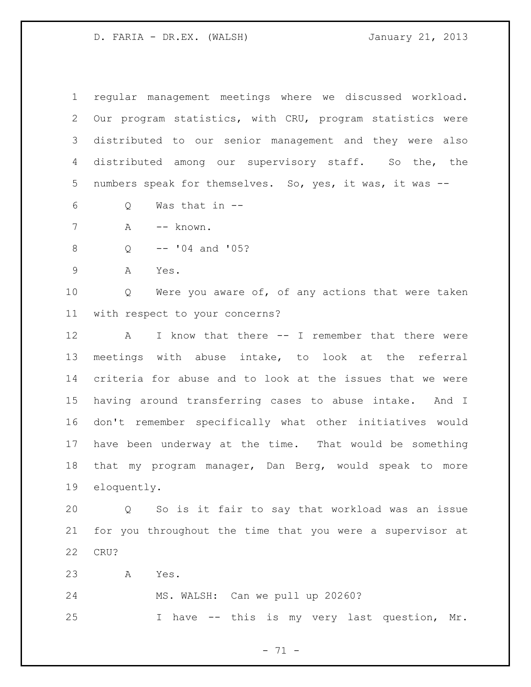D. FARIA - DR.EX. (WALSH) January 21, 2013

 regular management meetings where we discussed workload. Our program statistics, with CRU, program statistics were distributed to our senior management and they were also distributed among our supervisory staff. So the, the 5 numbers speak for themselves. So, yes, it was, it was --

- Q Was that in --
- 7 A -- known.
- Q -- '04 and '05?
- A Yes.

 Q Were you aware of, of any actions that were taken with respect to your concerns?

12 A I know that there -- I remember that there were meetings with abuse intake, to look at the referral criteria for abuse and to look at the issues that we were having around transferring cases to abuse intake. And I don't remember specifically what other initiatives would have been underway at the time. That would be something that my program manager, Dan Berg, would speak to more eloquently.

 Q So is it fair to say that workload was an issue for you throughout the time that you were a supervisor at CRU?

A Yes.

MS. WALSH: Can we pull up 20260?

I have -- this is my very last question, Mr.

- 71 -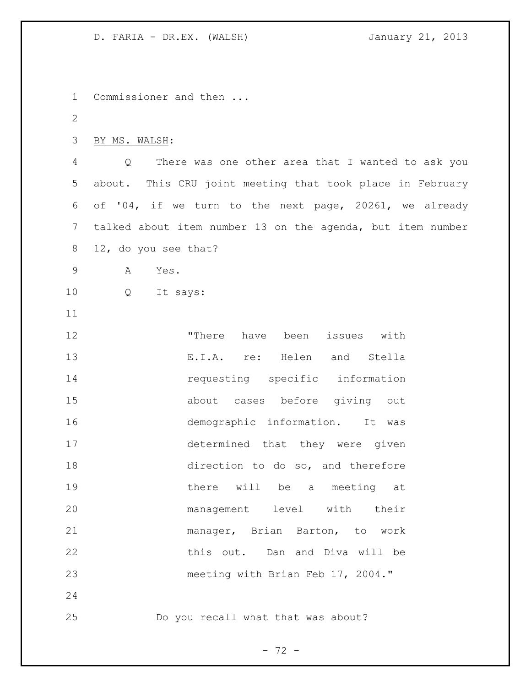D. FARIA - DR.EX. (WALSH) January 21, 2013

 Commissioner and then ... BY MS. WALSH: Q There was one other area that I wanted to ask you about. This CRU joint meeting that took place in February of '04, if we turn to the next page, 20261, we already talked about item number 13 on the agenda, but item number 12, do you see that? A Yes. Q It says: "There have been issues with E.I.A. re: Helen and Stella 14 requesting specific information about cases before giving out demographic information. It was determined that they were given 18 direction to do so, and therefore **there** will be a meeting at management level with their manager, Brian Barton, to work this out. Dan and Diva will be meeting with Brian Feb 17, 2004." Do you recall what that was about?

 $- 72 -$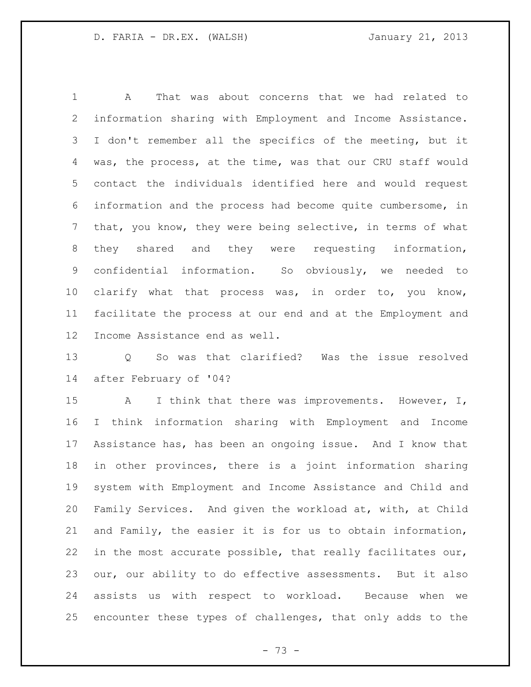A That was about concerns that we had related to information sharing with Employment and Income Assistance. I don't remember all the specifics of the meeting, but it was, the process, at the time, was that our CRU staff would contact the individuals identified here and would request information and the process had become quite cumbersome, in that, you know, they were being selective, in terms of what they shared and they were requesting information, confidential information. So obviously, we needed to 10 clarify what that process was, in order to, you know, facilitate the process at our end and at the Employment and Income Assistance end as well.

 Q So was that clarified? Was the issue resolved after February of '04?

15 A I think that there was improvements. However, I, I think information sharing with Employment and Income Assistance has, has been an ongoing issue. And I know that in other provinces, there is a joint information sharing system with Employment and Income Assistance and Child and Family Services. And given the workload at, with, at Child and Family, the easier it is for us to obtain information, in the most accurate possible, that really facilitates our, our, our ability to do effective assessments. But it also assists us with respect to workload. Because when we encounter these types of challenges, that only adds to the

- 73 -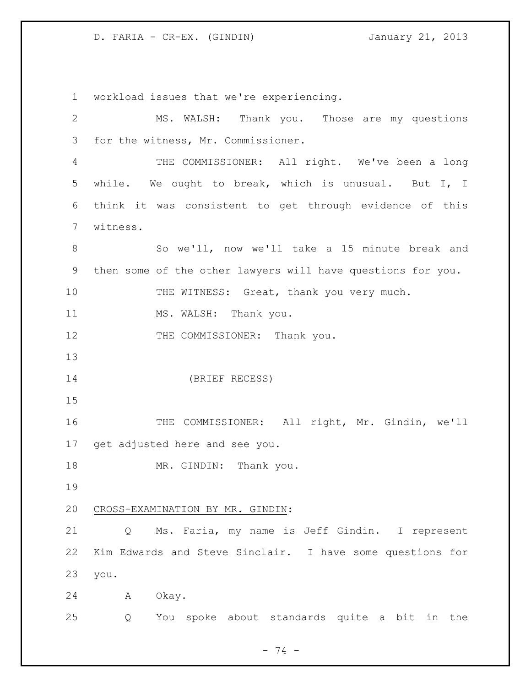workload issues that we're experiencing. MS. WALSH: Thank you. Those are my questions for the witness, Mr. Commissioner. THE COMMISSIONER: All right. We've been a long while. We ought to break, which is unusual. But I, I think it was consistent to get through evidence of this witness. So we'll, now we'll take a 15 minute break and then some of the other lawyers will have questions for you. 10 THE WITNESS: Great, thank you very much. 11 MS. WALSH: Thank you. 12 THE COMMISSIONER: Thank you. (BRIEF RECESS) THE COMMISSIONER: All right, Mr. Gindin, we'll get adjusted here and see you. 18 MR. GINDIN: Thank you. CROSS-EXAMINATION BY MR. GINDIN: Q Ms. Faria, my name is Jeff Gindin. I represent Kim Edwards and Steve Sinclair. I have some questions for you. A Okay. Q You spoke about standards quite a bit in the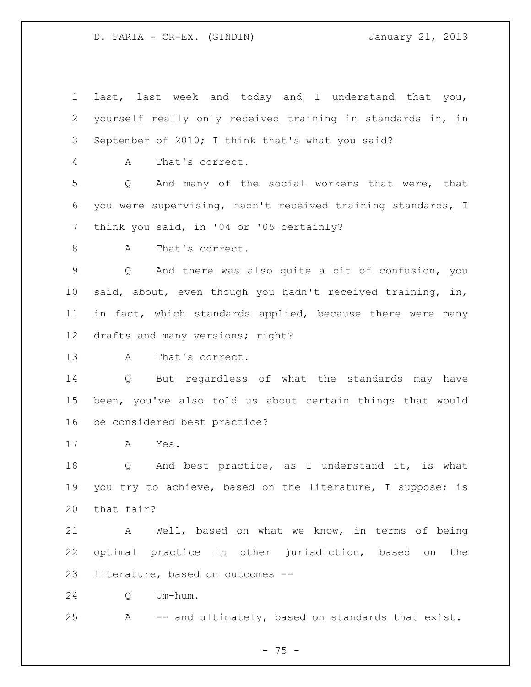last, last week and today and I understand that you, yourself really only received training in standards in, in September of 2010; I think that's what you said? A That's correct. Q And many of the social workers that were, that you were supervising, hadn't received training standards, I think you said, in '04 or '05 certainly? 8 A That's correct. Q And there was also quite a bit of confusion, you said, about, even though you hadn't received training, in, in fact, which standards applied, because there were many drafts and many versions; right? A That's correct. Q But regardless of what the standards may have been, you've also told us about certain things that would be considered best practice? A Yes. Q And best practice, as I understand it, is what you try to achieve, based on the literature, I suppose; is that fair? A Well, based on what we know, in terms of being optimal practice in other jurisdiction, based on the literature, based on outcomes -- Q Um-hum.

A -- and ultimately, based on standards that exist.

- 75 -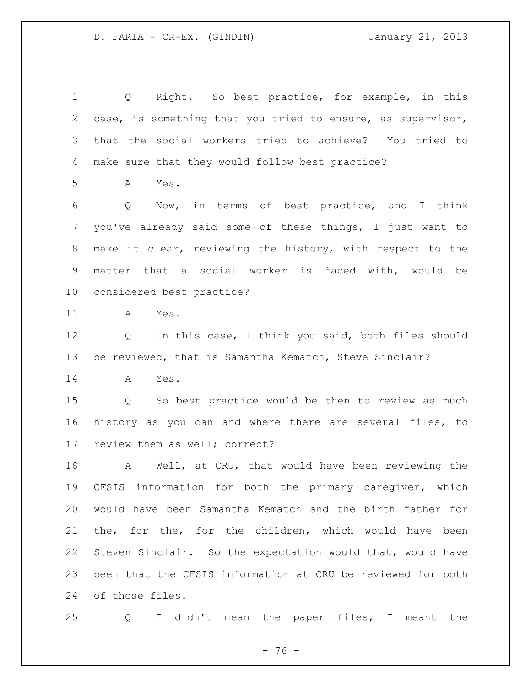Q Right. So best practice, for example, in this case, is something that you tried to ensure, as supervisor, that the social workers tried to achieve? You tried to make sure that they would follow best practice? A Yes. Q Now, in terms of best practice, and I think you've already said some of these things, I just want to make it clear, reviewing the history, with respect to the matter that a social worker is faced with, would be considered best practice? A Yes. Q In this case, I think you said, both files should be reviewed, that is Samantha Kematch, Steve Sinclair? A Yes. Q So best practice would be then to review as much history as you can and where there are several files, to review them as well; correct?

 A Well, at CRU, that would have been reviewing the CFSIS information for both the primary caregiver, which would have been Samantha Kematch and the birth father for the, for the, for the children, which would have been Steven Sinclair. So the expectation would that, would have been that the CFSIS information at CRU be reviewed for both of those files.

Q I didn't mean the paper files, I meant the

 $- 76 -$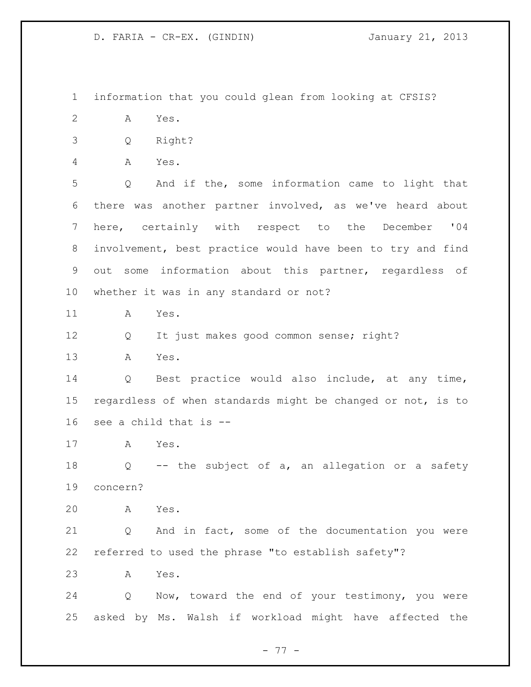information that you could glean from looking at CFSIS?

- A Yes.
- Q Right?
- A Yes.

 Q And if the, some information came to light that there was another partner involved, as we've heard about here, certainly with respect to the December '04 involvement, best practice would have been to try and find out some information about this partner, regardless of whether it was in any standard or not?

A Yes.

Q It just makes good common sense; right?

A Yes.

 Q Best practice would also include, at any time, regardless of when standards might be changed or not, is to see a child that is --

A Yes.

 Q -- the subject of a, an allegation or a safety concern?

A Yes.

 Q And in fact, some of the documentation you were referred to used the phrase "to establish safety"?

A Yes.

 Q Now, toward the end of your testimony, you were asked by Ms. Walsh if workload might have affected the

- 77 -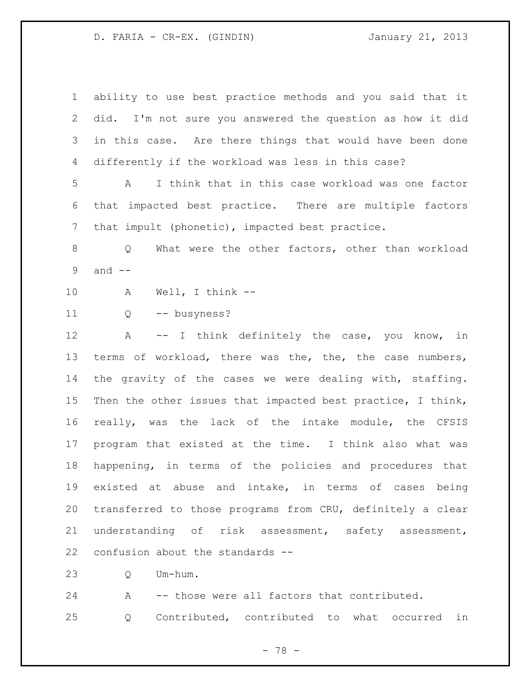ability to use best practice methods and you said that it did. I'm not sure you answered the question as how it did in this case. Are there things that would have been done differently if the workload was less in this case? A I think that in this case workload was one factor that impacted best practice. There are multiple factors that impult (phonetic), impacted best practice. Q What were the other factors, other than workload and -- A Well, I think -- Q -- busyness? A -- I think definitely the case, you know, in terms of workload, there was the, the, the case numbers, the gravity of the cases we were dealing with, staffing. Then the other issues that impacted best practice, I think, really, was the lack of the intake module, the CFSIS program that existed at the time. I think also what was happening, in terms of the policies and procedures that existed at abuse and intake, in terms of cases being transferred to those programs from CRU, definitely a clear understanding of risk assessment, safety assessment, confusion about the standards -- Q Um-hum.

 A -- those were all factors that contributed. Q Contributed, contributed to what occurred in

- 78 -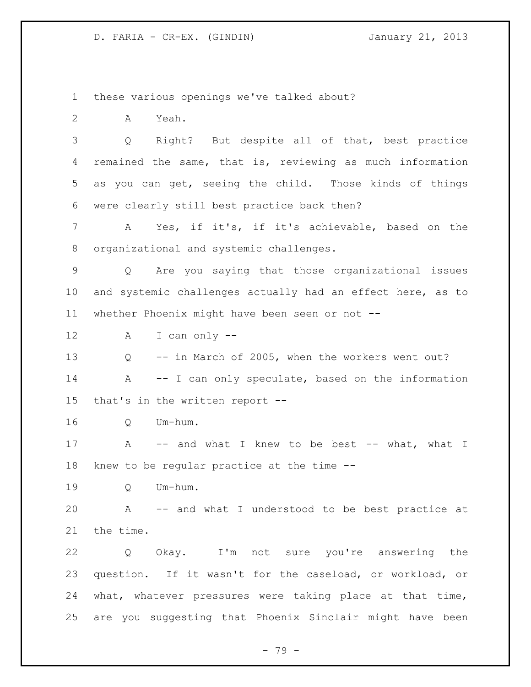these various openings we've talked about?

A Yeah.

 Q Right? But despite all of that, best practice remained the same, that is, reviewing as much information as you can get, seeing the child. Those kinds of things were clearly still best practice back then?

 A Yes, if it's, if it's achievable, based on the organizational and systemic challenges.

 Q Are you saying that those organizational issues and systemic challenges actually had an effect here, as to whether Phoenix might have been seen or not --

A I can only --

 Q -- in March of 2005, when the workers went out? 14 A -- I can only speculate, based on the information that's in the written report --

Q Um-hum.

17 A -- and what I knew to be best -- what, what I knew to be regular practice at the time --

Q Um-hum.

 A -- and what I understood to be best practice at the time.

 Q Okay. I'm not sure you're answering the question. If it wasn't for the caseload, or workload, or what, whatever pressures were taking place at that time, are you suggesting that Phoenix Sinclair might have been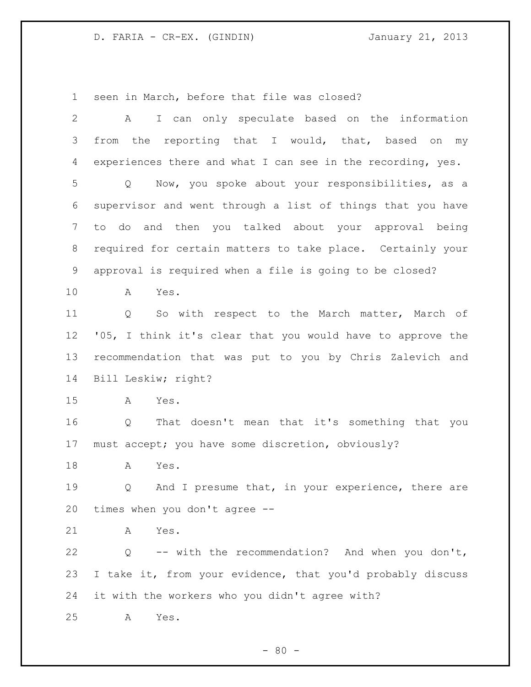seen in March, before that file was closed?

| $\overline{2}$ | I can only speculate based on the information<br>A          |
|----------------|-------------------------------------------------------------|
| 3              | from the reporting that I would, that, based on my          |
| 4              | experiences there and what I can see in the recording, yes. |
| 5              | Now, you spoke about your responsibilities, as a<br>Q       |
| 6              | supervisor and went through a list of things that you have  |
| 7              | to do and then you talked about your approval being         |
| 8              | required for certain matters to take place. Certainly your  |
| 9              | approval is required when a file is going to be closed?     |
| 10             | Α<br>Yes.                                                   |
| 11             | So with respect to the March matter, March of<br>Q          |
| 12             | '05, I think it's clear that you would have to approve the  |
| 13             | recommendation that was put to you by Chris Zalevich and    |
| 14             | Bill Leskiw; right?                                         |
| 15             | Yes.<br>A                                                   |
| 16             | That doesn't mean that it's something that you<br>Q         |
| 17             | must accept; you have some discretion, obviously?           |
| 18             | Yes.<br>A                                                   |
| 19             | And I presume that, in your experience, there are<br>Q      |
| 20             | times when you don't agree --                               |
| 21             | Yes.<br>А                                                   |
| 22             | -- with the recommendation? And when you don't,<br>Q        |
| 23             | I take it, from your evidence, that you'd probably discuss  |
| 24             | it with the workers who you didn't agree with?              |
| 25             | Yes.<br>А                                                   |

- 80 -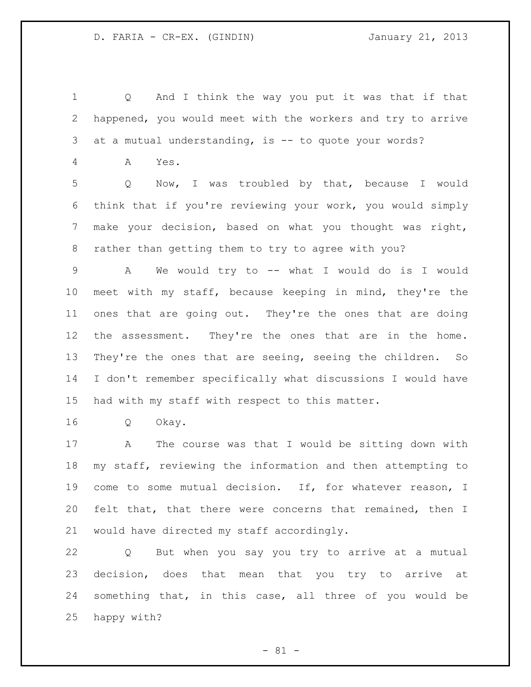Q And I think the way you put it was that if that happened, you would meet with the workers and try to arrive at a mutual understanding, is -- to quote your words? A Yes. Q Now, I was troubled by that, because I would think that if you're reviewing your work, you would simply make your decision, based on what you thought was right, rather than getting them to try to agree with you? A We would try to -- what I would do is I would meet with my staff, because keeping in mind, they're the ones that are going out. They're the ones that are doing the assessment. They're the ones that are in the home. They're the ones that are seeing, seeing the children. So I don't remember specifically what discussions I would have had with my staff with respect to this matter. Q Okay. A The course was that I would be sitting down with

 my staff, reviewing the information and then attempting to come to some mutual decision. If, for whatever reason, I felt that, that there were concerns that remained, then I would have directed my staff accordingly.

 Q But when you say you try to arrive at a mutual decision, does that mean that you try to arrive at something that, in this case, all three of you would be happy with?

- 81 -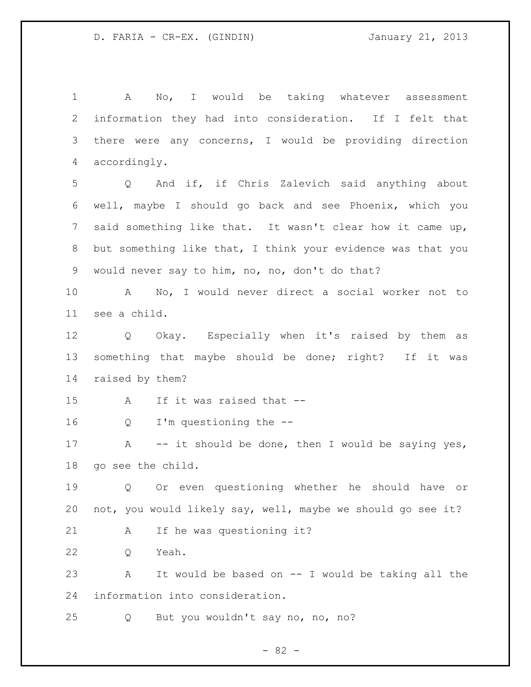A No, I would be taking whatever assessment information they had into consideration. If I felt that there were any concerns, I would be providing direction accordingly. Q And if, if Chris Zalevich said anything about well, maybe I should go back and see Phoenix, which you said something like that. It wasn't clear how it came up, but something like that, I think your evidence was that you would never say to him, no, no, don't do that? A No, I would never direct a social worker not to see a child. Q Okay. Especially when it's raised by them as something that maybe should be done; right? If it was raised by them? A If it was raised that -- Q I'm questioning the -- 17 A -- it should be done, then I would be saying yes, go see the child. Q Or even questioning whether he should have or not, you would likely say, well, maybe we should go see it? 21 A If he was questioning it? Q Yeah. A It would be based on -- I would be taking all the information into consideration. Q But you wouldn't say no, no, no?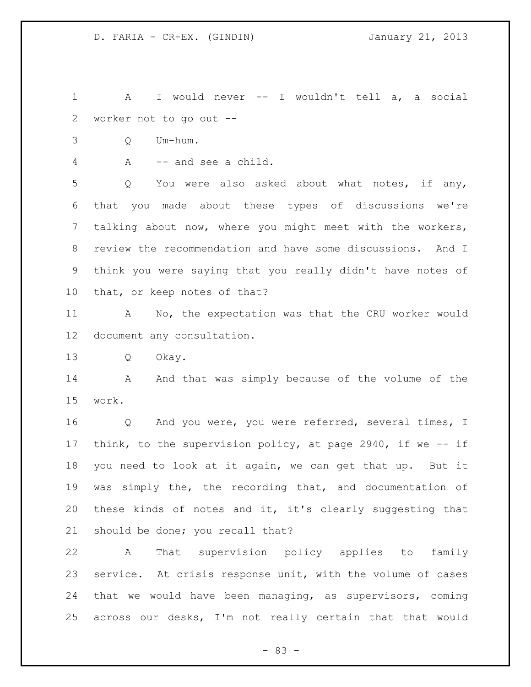A I would never -- I wouldn't tell a, a social worker not to go out --

Q Um-hum.

A -- and see a child.

 Q You were also asked about what notes, if any, that you made about these types of discussions we're talking about now, where you might meet with the workers, review the recommendation and have some discussions. And I think you were saying that you really didn't have notes of that, or keep notes of that?

 A No, the expectation was that the CRU worker would document any consultation.

Q Okay.

14 A And that was simply because of the volume of the work.

16 Q And you were, you were referred, several times, I think, to the supervision policy, at page 2940, if we -- if you need to look at it again, we can get that up. But it was simply the, the recording that, and documentation of these kinds of notes and it, it's clearly suggesting that should be done; you recall that?

 A That supervision policy applies to family service. At crisis response unit, with the volume of cases that we would have been managing, as supervisors, coming across our desks, I'm not really certain that that would

- 83 -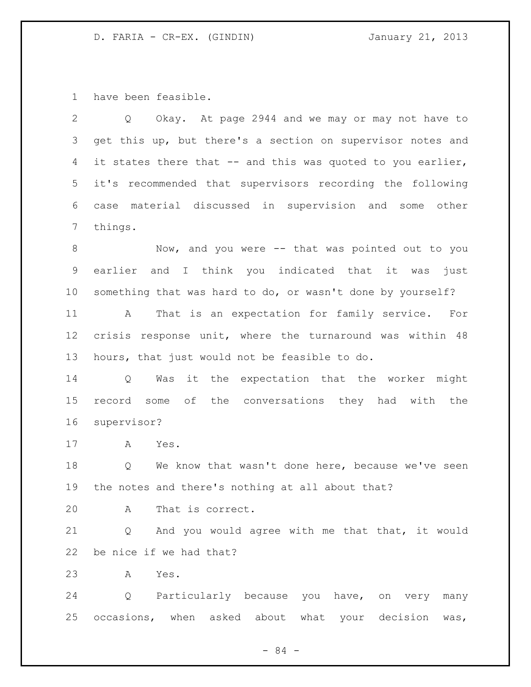have been feasible.

 Q Okay. At page 2944 and we may or may not have to get this up, but there's a section on supervisor notes and 4 it states there that -- and this was quoted to you earlier, it's recommended that supervisors recording the following case material discussed in supervision and some other things.

8 Mow, and you were -- that was pointed out to you earlier and I think you indicated that it was just something that was hard to do, or wasn't done by yourself?

 A That is an expectation for family service. For crisis response unit, where the turnaround was within 48 hours, that just would not be feasible to do.

 Q Was it the expectation that the worker might record some of the conversations they had with the supervisor?

A Yes.

18 Q We know that wasn't done here, because we've seen the notes and there's nothing at all about that?

A That is correct.

 Q And you would agree with me that that, it would be nice if we had that?

A Yes.

 Q Particularly because you have, on very many occasions, when asked about what your decision was,

- 84 -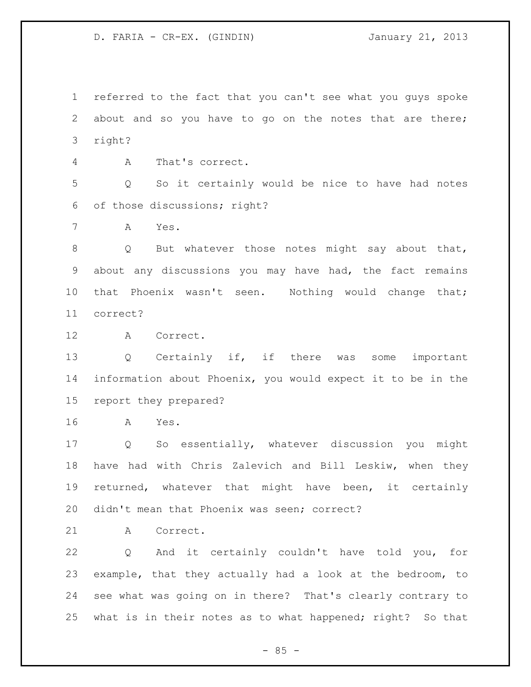referred to the fact that you can't see what you guys spoke about and so you have to go on the notes that are there; right?

A That's correct.

 Q So it certainly would be nice to have had notes of those discussions; right?

A Yes.

8 Q But whatever those notes might say about that, about any discussions you may have had, the fact remains 10 that Phoenix wasn't seen. Nothing would change that; correct?

A Correct.

 Q Certainly if, if there was some important information about Phoenix, you would expect it to be in the report they prepared?

A Yes.

 Q So essentially, whatever discussion you might have had with Chris Zalevich and Bill Leskiw, when they returned, whatever that might have been, it certainly didn't mean that Phoenix was seen; correct?

A Correct.

 Q And it certainly couldn't have told you, for example, that they actually had a look at the bedroom, to see what was going on in there? That's clearly contrary to what is in their notes as to what happened; right? So that

 $-85 -$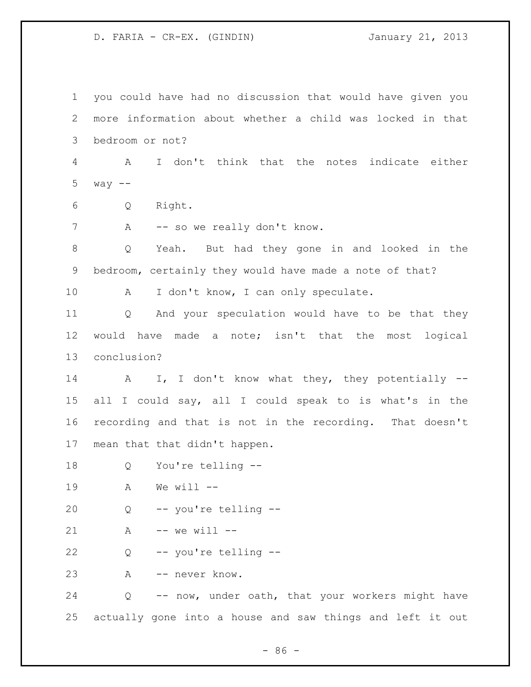you could have had no discussion that would have given you more information about whether a child was locked in that bedroom or not? A I don't think that the notes indicate either 5  $way$   $--$  Q Right. 7 A -- so we really don't know. Q Yeah. But had they gone in and looked in the bedroom, certainly they would have made a note of that? 10 A I don't know, I can only speculate. Q And your speculation would have to be that they would have made a note; isn't that the most logical conclusion? 14 A I, I don't know what they, they potentially -- all I could say, all I could speak to is what's in the recording and that is not in the recording. That doesn't mean that that didn't happen. Q You're telling -- A We will -- Q -- you're telling -- A -- we will -- Q -- you're telling -- A -- never know. Q -- now, under oath, that your workers might have actually gone into a house and saw things and left it out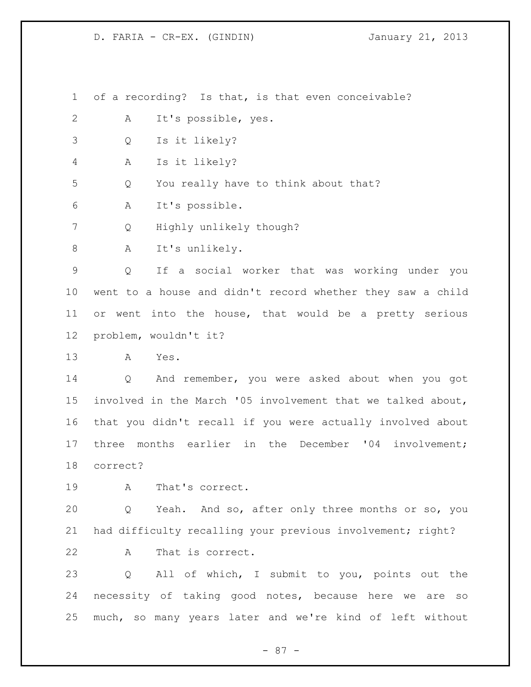of a recording? Is that, is that even conceivable?

- A It's possible, yes.
- Q Is it likely?

A Is it likely?

Q You really have to think about that?

A It's possible.

Q Highly unlikely though?

A It's unlikely.

 Q If a social worker that was working under you went to a house and didn't record whether they saw a child or went into the house, that would be a pretty serious problem, wouldn't it?

A Yes.

 Q And remember, you were asked about when you got involved in the March '05 involvement that we talked about, that you didn't recall if you were actually involved about three months earlier in the December '04 involvement; correct?

A That's correct.

 Q Yeah. And so, after only three months or so, you had difficulty recalling your previous involvement; right?

A That is correct.

 Q All of which, I submit to you, points out the necessity of taking good notes, because here we are so much, so many years later and we're kind of left without

- 87 -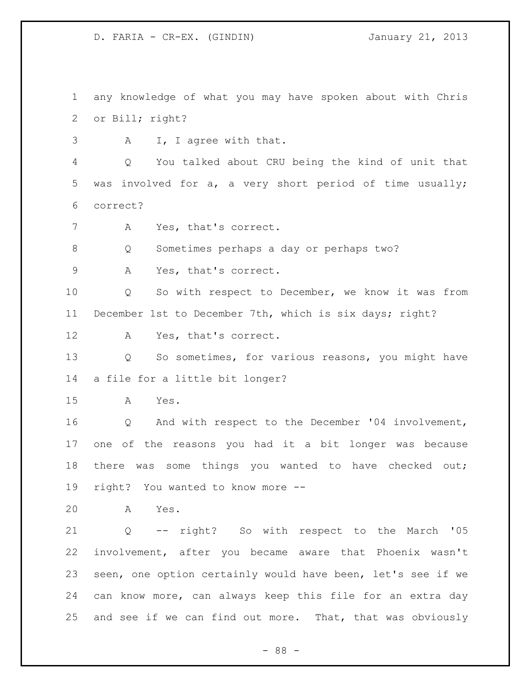any knowledge of what you may have spoken about with Chris or Bill; right?

A I, I agree with that.

 Q You talked about CRU being the kind of unit that was involved for a, a very short period of time usually; correct?

7 A Yes, that's correct.

Q Sometimes perhaps a day or perhaps two?

A Yes, that's correct.

 Q So with respect to December, we know it was from December 1st to December 7th, which is six days; right?

A Yes, that's correct.

 Q So sometimes, for various reasons, you might have a file for a little bit longer?

A Yes.

 Q And with respect to the December '04 involvement, one of the reasons you had it a bit longer was because 18 there was some things you wanted to have checked out; right? You wanted to know more --

A Yes.

 Q -- right? So with respect to the March '05 involvement, after you became aware that Phoenix wasn't seen, one option certainly would have been, let's see if we can know more, can always keep this file for an extra day and see if we can find out more. That, that was obviously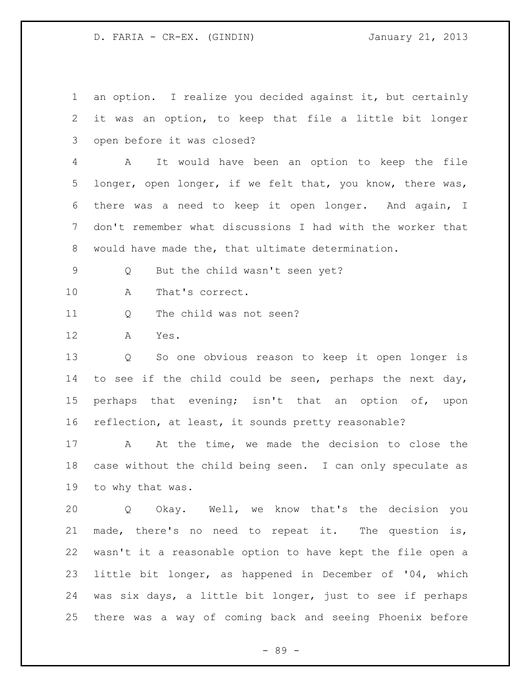an option. I realize you decided against it, but certainly it was an option, to keep that file a little bit longer open before it was closed?

 A It would have been an option to keep the file longer, open longer, if we felt that, you know, there was, there was a need to keep it open longer. And again, I don't remember what discussions I had with the worker that would have made the, that ultimate determination.

Q But the child wasn't seen yet?

A That's correct.

Q The child was not seen?

A Yes.

 Q So one obvious reason to keep it open longer is 14 to see if the child could be seen, perhaps the next day, perhaps that evening; isn't that an option of, upon reflection, at least, it sounds pretty reasonable?

 A At the time, we made the decision to close the case without the child being seen. I can only speculate as to why that was.

 Q Okay. Well, we know that's the decision you made, there's no need to repeat it. The question is, wasn't it a reasonable option to have kept the file open a little bit longer, as happened in December of '04, which was six days, a little bit longer, just to see if perhaps there was a way of coming back and seeing Phoenix before

- 89 -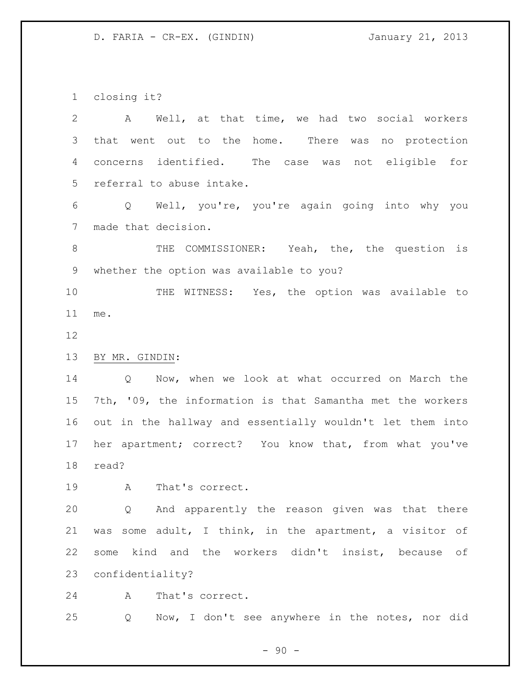closing it?

 A Well, at that time, we had two social workers that went out to the home. There was no protection concerns identified. The case was not eligible for referral to abuse intake. Q Well, you're, you're again going into why you made that decision. THE COMMISSIONER: Yeah, the, the question is whether the option was available to you? THE WITNESS: Yes, the option was available to me. BY MR. GINDIN: Q Now, when we look at what occurred on March the 7th, '09, the information is that Samantha met the workers out in the hallway and essentially wouldn't let them into her apartment; correct? You know that, from what you've read? A That's correct. Q And apparently the reason given was that there was some adult, I think, in the apartment, a visitor of some kind and the workers didn't insist, because of confidentiality? A That's correct. Q Now, I don't see anywhere in the notes, nor did

 $-90 -$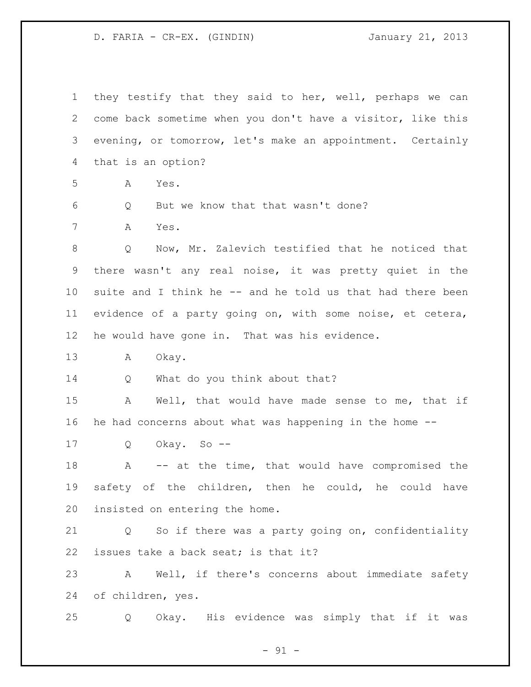| $\mathbf 1$ | they testify that they said to her, well, perhaps we can               |
|-------------|------------------------------------------------------------------------|
| 2           | come back sometime when you don't have a visitor, like this            |
| 3           | evening, or tomorrow, let's make an appointment. Certainly             |
| 4           | that is an option?                                                     |
| 5           | Yes.<br>A                                                              |
| 6           | But we know that that wasn't done?<br>Q                                |
| 7           | Α<br>Yes.                                                              |
| 8           | Now, Mr. Zalevich testified that he noticed that<br>Q                  |
| 9           | there wasn't any real noise, it was pretty quiet in the                |
| $10 \,$     | suite and I think he -- and he told us that had there been             |
| 11          | evidence of a party going on, with some noise, et cetera,              |
| $12 \,$     | he would have gone in. That was his evidence.                          |
| 13          | A<br>Okay.                                                             |
| 14          | What do you think about that?<br>Q                                     |
| 15          | Well, that would have made sense to me, that if<br>A                   |
| 16          | he had concerns about what was happening in the home --                |
| 17          | Okay. So --<br>Q                                                       |
| 18          | -- at the time, that would have compromised the<br>A                   |
| 19          | safety of the children, then he could, he could have                   |
| 20          | insisted on entering the home.                                         |
| 21          | So if there was a party going on, confidentiality<br>$Q \qquad \qquad$ |
| 22          | issues take a back seat; is that it?                                   |
| 23          | Well, if there's concerns about immediate safety<br>A                  |
| 24          | of children, yes.                                                      |
| 25          | Okay. His evidence was simply that if it was<br>Q                      |

- 91 -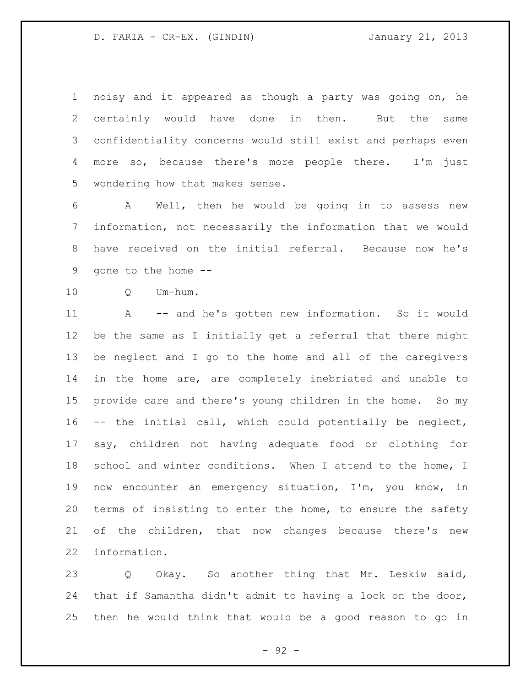noisy and it appeared as though a party was going on, he certainly would have done in then. But the same confidentiality concerns would still exist and perhaps even more so, because there's more people there. I'm just wondering how that makes sense.

 A Well, then he would be going in to assess new information, not necessarily the information that we would have received on the initial referral. Because now he's gone to the home --

Q Um-hum.

 A -- and he's gotten new information. So it would be the same as I initially get a referral that there might be neglect and I go to the home and all of the caregivers in the home are, are completely inebriated and unable to provide care and there's young children in the home. So my -- the initial call, which could potentially be neglect, say, children not having adequate food or clothing for 18 school and winter conditions. When I attend to the home, I now encounter an emergency situation, I'm, you know, in terms of insisting to enter the home, to ensure the safety of the children, that now changes because there's new information.

 Q Okay. So another thing that Mr. Leskiw said, that if Samantha didn't admit to having a lock on the door, then he would think that would be a good reason to go in

- 92 -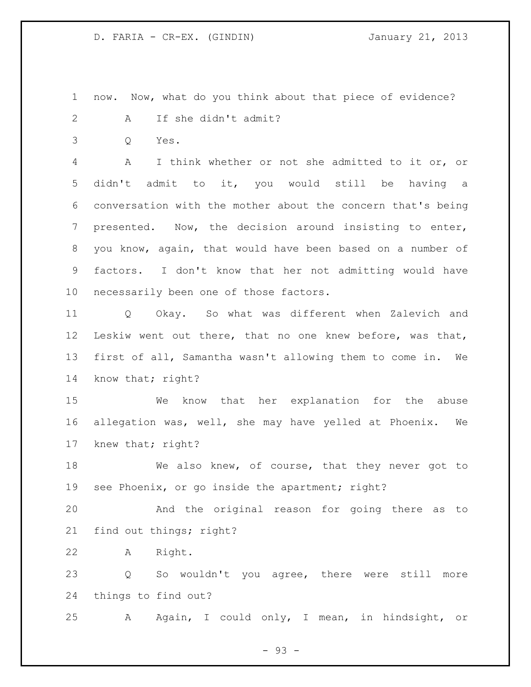now. Now, what do you think about that piece of evidence?

A If she didn't admit?

Q Yes.

 A I think whether or not she admitted to it or, or didn't admit to it, you would still be having a conversation with the mother about the concern that's being presented. Now, the decision around insisting to enter, you know, again, that would have been based on a number of factors. I don't know that her not admitting would have necessarily been one of those factors.

 Q Okay. So what was different when Zalevich and Leskiw went out there, that no one knew before, was that, first of all, Samantha wasn't allowing them to come in. We know that; right?

 We know that her explanation for the abuse allegation was, well, she may have yelled at Phoenix. We knew that; right?

18 We also knew, of course, that they never got to see Phoenix, or go inside the apartment; right?

 And the original reason for going there as to find out things; right?

A Right.

 Q So wouldn't you agree, there were still more things to find out?

A Again, I could only, I mean, in hindsight, or

- 93 -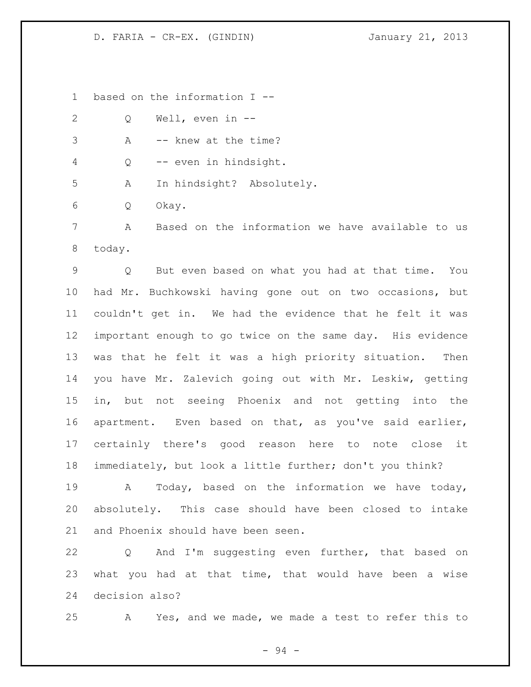based on the information I --

| 2 | O | Well, even in $-$                                |
|---|---|--------------------------------------------------|
| 3 | A | -- knew at the time?                             |
| 4 |   | Q -- even in hindsight.                          |
| 5 | A | In hindsight? Absolutely.                        |
| 6 | Q | Okay.                                            |
|   | Α | Based on the information we have available to us |

today.

 Q But even based on what you had at that time. You had Mr. Buchkowski having gone out on two occasions, but couldn't get in. We had the evidence that he felt it was important enough to go twice on the same day. His evidence was that he felt it was a high priority situation. Then you have Mr. Zalevich going out with Mr. Leskiw, getting in, but not seeing Phoenix and not getting into the apartment. Even based on that, as you've said earlier, certainly there's good reason here to note close it immediately, but look a little further; don't you think?

 A Today, based on the information we have today, absolutely. This case should have been closed to intake and Phoenix should have been seen.

 Q And I'm suggesting even further, that based on what you had at that time, that would have been a wise decision also?

A Yes, and we made, we made a test to refer this to

- 94 -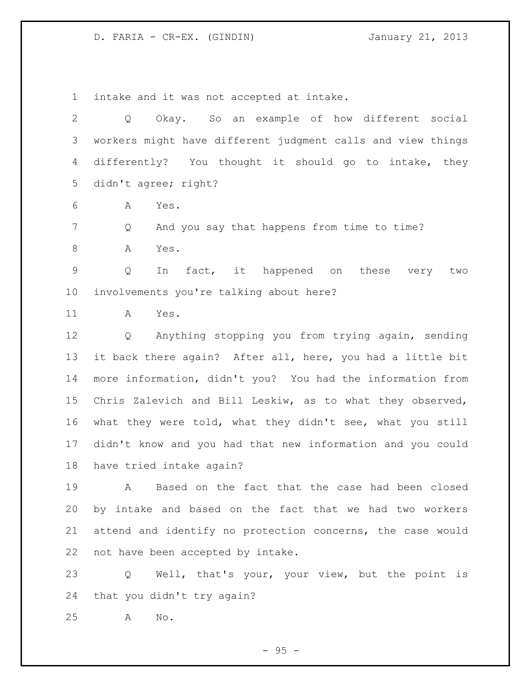intake and it was not accepted at intake.

 Q Okay. So an example of how different social workers might have different judgment calls and view things differently? You thought it should go to intake, they didn't agree; right?

A Yes.

Q And you say that happens from time to time?

8 A Yes.

 Q In fact, it happened on these very two involvements you're talking about here?

A Yes.

 Q Anything stopping you from trying again, sending it back there again? After all, here, you had a little bit more information, didn't you? You had the information from Chris Zalevich and Bill Leskiw, as to what they observed, what they were told, what they didn't see, what you still didn't know and you had that new information and you could have tried intake again?

 A Based on the fact that the case had been closed by intake and based on the fact that we had two workers attend and identify no protection concerns, the case would not have been accepted by intake.

 Q Well, that's your, your view, but the point is that you didn't try again?

A No.

 $-95 -$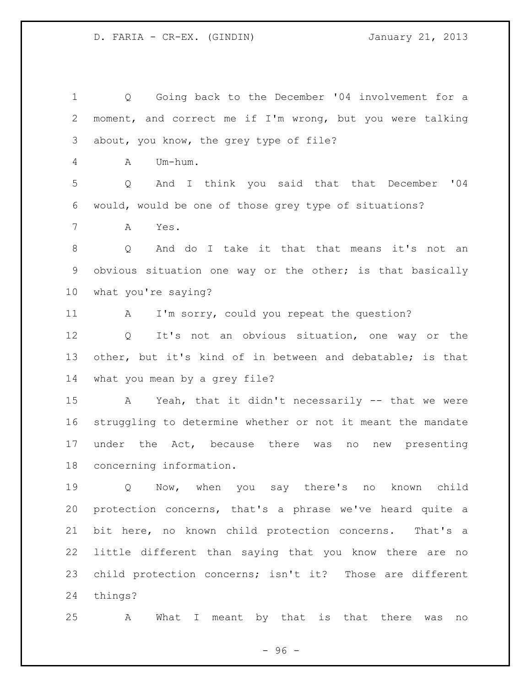Q Going back to the December '04 involvement for a moment, and correct me if I'm wrong, but you were talking about, you know, the grey type of file? A Um-hum. Q And I think you said that that December '04 would, would be one of those grey type of situations? A Yes. Q And do I take it that that means it's not an obvious situation one way or the other; is that basically what you're saying? 11 A I'm sorry, could you repeat the question? Q It's not an obvious situation, one way or the other, but it's kind of in between and debatable; is that what you mean by a grey file? A Yeah, that it didn't necessarily -- that we were struggling to determine whether or not it meant the mandate under the Act, because there was no new presenting concerning information. Q Now, when you say there's no known child protection concerns, that's a phrase we've heard quite a bit here, no known child protection concerns. That's a little different than saying that you know there are no child protection concerns; isn't it? Those are different things? A What I meant by that is that there was no

 $-96 -$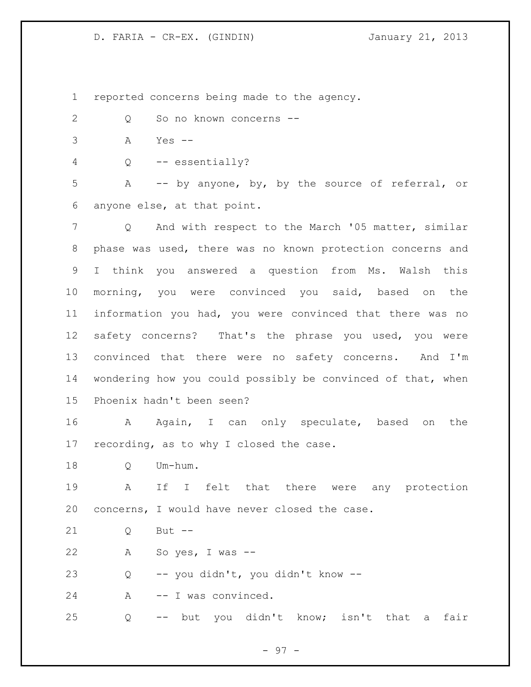reported concerns being made to the agency.

- Q So no known concerns --
- A Yes --
- Q -- essentially?

 A -- by anyone, by, by the source of referral, or anyone else, at that point.

7 Q And with respect to the March '05 matter, similar phase was used, there was no known protection concerns and I think you answered a question from Ms. Walsh this morning, you were convinced you said, based on the information you had, you were convinced that there was no safety concerns? That's the phrase you used, you were convinced that there were no safety concerns. And I'm wondering how you could possibly be convinced of that, when Phoenix hadn't been seen?

 A Again, I can only speculate, based on the recording, as to why I closed the case.

Q Um-hum.

 A If I felt that there were any protection concerns, I would have never closed the case.

21 0 But --

A So yes, I was --

Q -- you didn't, you didn't know --

24 A -- I was convinced.

Q -- but you didn't know; isn't that a fair

- 97 -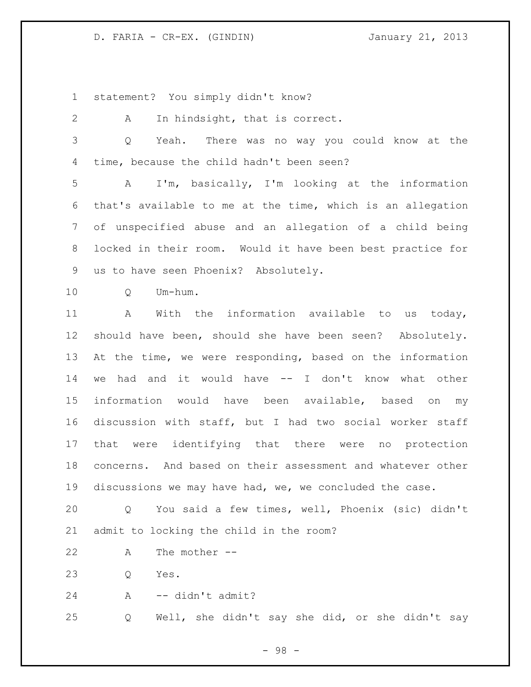statement? You simply didn't know?

 A In hindsight, that is correct. Q Yeah. There was no way you could know at the time, because the child hadn't been seen?

 A I'm, basically, I'm looking at the information that's available to me at the time, which is an allegation of unspecified abuse and an allegation of a child being locked in their room. Would it have been best practice for us to have seen Phoenix? Absolutely.

Q Um-hum.

 A With the information available to us today, should have been, should she have been seen? Absolutely. At the time, we were responding, based on the information we had and it would have -- I don't know what other information would have been available, based on my discussion with staff, but I had two social worker staff that were identifying that there were no protection concerns. And based on their assessment and whatever other discussions we may have had, we, we concluded the case.

 Q You said a few times, well, Phoenix (sic) didn't admit to locking the child in the room?

A The mother --

Q Yes.

A -- didn't admit?

Q Well, she didn't say she did, or she didn't say

- 98 -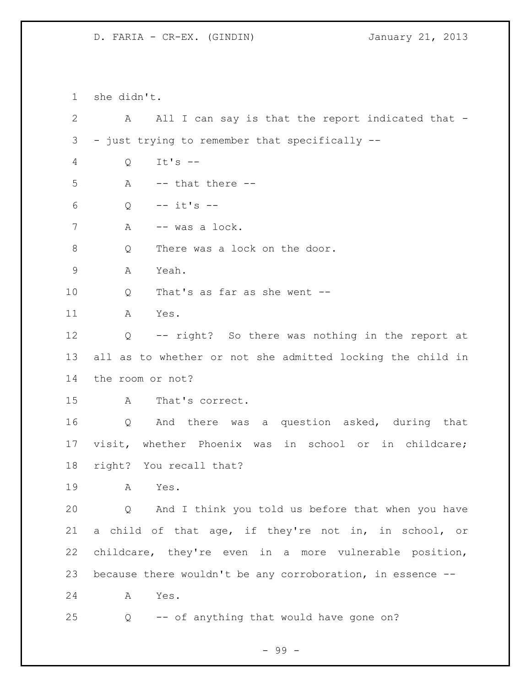she didn't. A All I can say is that the report indicated that - - just trying to remember that specifically -- Q It's -- A  $-$ - that there  $Q = - i t's - -$ 7 A -- was a lock. 8 Q There was a lock on the door. A Yeah. Q That's as far as she went -- A Yes. Q -- right? So there was nothing in the report at all as to whether or not she admitted locking the child in the room or not? A That's correct. Q And there was a question asked, during that visit, whether Phoenix was in school or in childcare; right? You recall that? A Yes. Q And I think you told us before that when you have a child of that age, if they're not in, in school, or childcare, they're even in a more vulnerable position, because there wouldn't be any corroboration, in essence -- A Yes. Q -- of anything that would have gone on?

- 99 -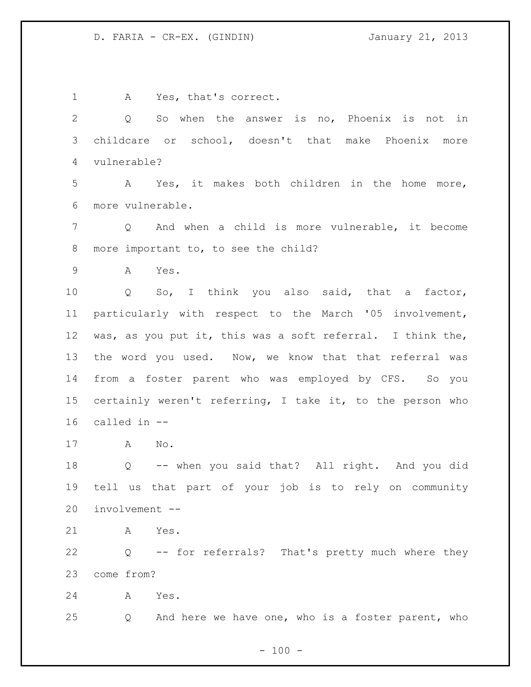1 A Yes, that's correct. Q So when the answer is no, Phoenix is not in childcare or school, doesn't that make Phoenix more vulnerable? A Yes, it makes both children in the home more, more vulnerable. Q And when a child is more vulnerable, it become more important to, to see the child? A Yes. Q So, I think you also said, that a factor, particularly with respect to the March '05 involvement, was, as you put it, this was a soft referral. I think the, 13 the word you used. Now, we know that that referral was from a foster parent who was employed by CFS. So you certainly weren't referring, I take it, to the person who called in -- A No. Q -- when you said that? All right. And you did tell us that part of your job is to rely on community involvement -- A Yes. Q -- for referrals? That's pretty much where they come from? A Yes. Q And here we have one, who is a foster parent, who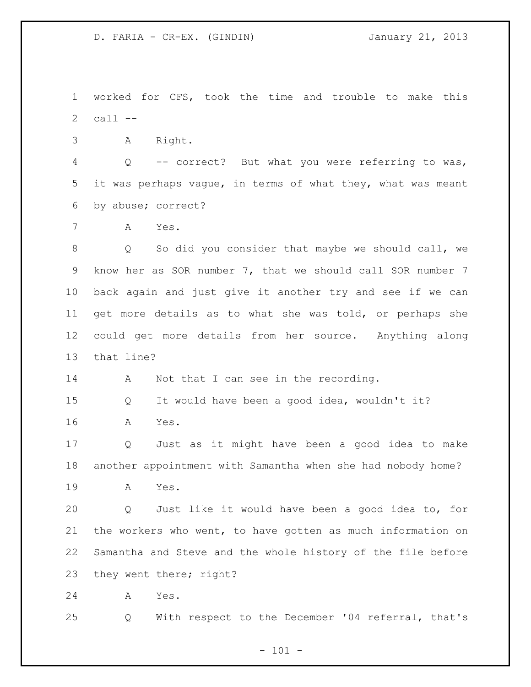worked for CFS, took the time and trouble to make this call --

A Right.

 Q -- correct? But what you were referring to was, it was perhaps vague, in terms of what they, what was meant by abuse; correct?

A Yes.

 Q So did you consider that maybe we should call, we know her as SOR number 7, that we should call SOR number 7 back again and just give it another try and see if we can get more details as to what she was told, or perhaps she could get more details from her source. Anything along that line?

14 A Not that I can see in the recording.

 Q It would have been a good idea, wouldn't it? A Yes.

 Q Just as it might have been a good idea to make another appointment with Samantha when she had nobody home?

A Yes.

 Q Just like it would have been a good idea to, for the workers who went, to have gotten as much information on Samantha and Steve and the whole history of the file before they went there; right?

A Yes.

Q With respect to the December '04 referral, that's

 $- 101 -$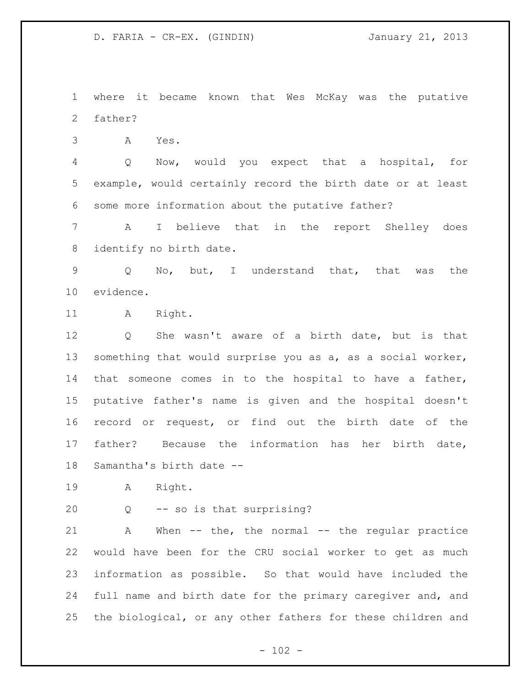where it became known that Wes McKay was the putative father?

A Yes.

 Q Now, would you expect that a hospital, for example, would certainly record the birth date or at least some more information about the putative father?

 A I believe that in the report Shelley does identify no birth date.

 Q No, but, I understand that, that was the evidence.

11 A Right.

 Q She wasn't aware of a birth date, but is that something that would surprise you as a, as a social worker, that someone comes in to the hospital to have a father, putative father's name is given and the hospital doesn't record or request, or find out the birth date of the father? Because the information has her birth date, Samantha's birth date --

A Right.

Q -- so is that surprising?

 A When -- the, the normal -- the regular practice would have been for the CRU social worker to get as much information as possible. So that would have included the full name and birth date for the primary caregiver and, and the biological, or any other fathers for these children and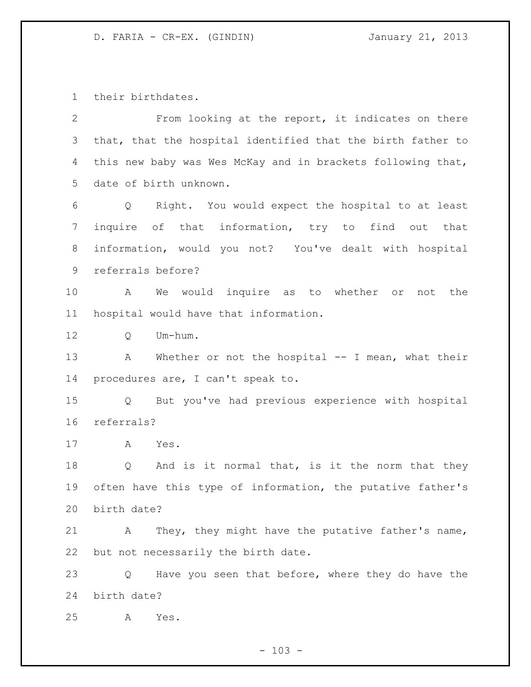their birthdates.

| $\overline{2}$ | From looking at the report, it indicates on there                     |
|----------------|-----------------------------------------------------------------------|
| 3              | that, that the hospital identified that the birth father to           |
| 4              | this new baby was Wes McKay and in brackets following that,           |
| 5              | date of birth unknown.                                                |
| 6              | Right. You would expect the hospital to at least<br>$Q \qquad \qquad$ |
| 7              | inquire of that information, try to find out that                     |
| 8              | information, would you not? You've dealt with hospital                |
| 9              | referrals before?                                                     |
| 10             | We would inquire as to whether or not the<br>A                        |
| 11             | hospital would have that information.                                 |
| 12             | Um-hum.<br>Q                                                          |
| 13             | Whether or not the hospital $--$ I mean, what their<br>A              |
| 14             | procedures are, I can't speak to.                                     |
| 15             | But you've had previous experience with hospital<br>$Q \qquad \qquad$ |
| 16             | referrals?                                                            |
| 17             | A<br>Yes.                                                             |
| 18             | And is it normal that, is it the norm that they<br>$Q \qquad \qquad$  |
| 19             | often have this type of information, the putative father's            |
| 20             | birth date?                                                           |
| 21             | They, they might have the putative father's name,<br>Α                |
| 22             | but not necessarily the birth date.                                   |
| 23             | Have you seen that before, where they do have the<br>Q                |
| 24             | birth date?                                                           |
| 25             | Yes.<br>Α                                                             |

- 103 -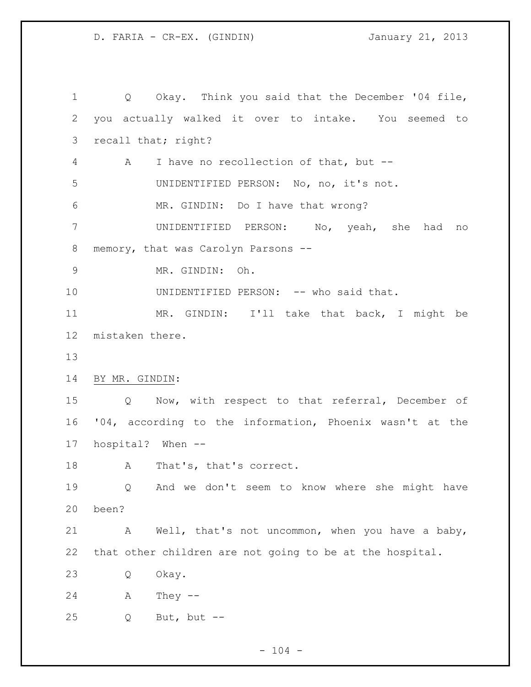Q Okay. Think you said that the December '04 file, you actually walked it over to intake. You seemed to recall that; right? A I have no recollection of that, but -- UNIDENTIFIED PERSON: No, no, it's not. MR. GINDIN: Do I have that wrong? UNIDENTIFIED PERSON: No, yeah, she had no memory, that was Carolyn Parsons -- MR. GINDIN: Oh. UNIDENTIFIED PERSON: -- who said that. MR. GINDIN: I'll take that back, I might be mistaken there. BY MR. GINDIN: Q Now, with respect to that referral, December of '04, according to the information, Phoenix wasn't at the hospital? When -- 18 A That's, that's correct. Q And we don't seem to know where she might have been? A Well, that's not uncommon, when you have a baby, that other children are not going to be at the hospital. Q Okay. A They -- Q But, but --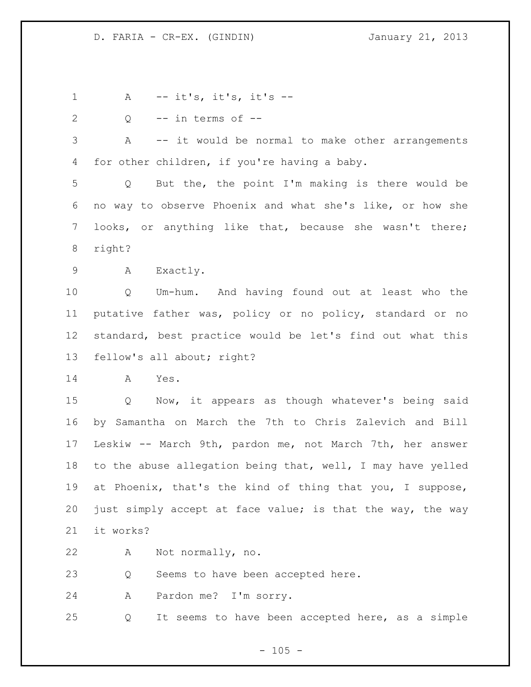A -- it's, it's, it's --  $2 \qquad Q \qquad -- \text{ in terms of } --$  A -- it would be normal to make other arrangements for other children, if you're having a baby. Q But the, the point I'm making is there would be no way to observe Phoenix and what she's like, or how she looks, or anything like that, because she wasn't there; right? A Exactly. Q Um-hum. And having found out at least who the putative father was, policy or no policy, standard or no standard, best practice would be let's find out what this fellow's all about; right? A Yes. Q Now, it appears as though whatever's being said by Samantha on March the 7th to Chris Zalevich and Bill Leskiw -- March 9th, pardon me, not March 7th, her answer to the abuse allegation being that, well, I may have yelled at Phoenix, that's the kind of thing that you, I suppose, just simply accept at face value; is that the way, the way it works? A Not normally, no. Q Seems to have been accepted here. A Pardon me? I'm sorry. Q It seems to have been accepted here, as a simple

 $- 105 -$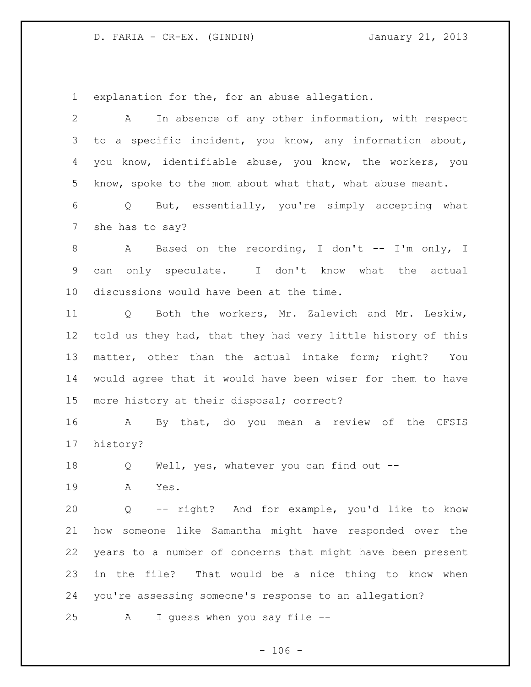explanation for the, for an abuse allegation.

| $\overline{2}$ | In absence of any other information, with respect<br>A              |
|----------------|---------------------------------------------------------------------|
| 3              | to a specific incident, you know, any information about,            |
| 4              | you know, identifiable abuse, you know, the workers, you            |
| 5              | know, spoke to the mom about what that, what abuse meant.           |
| 6              | But, essentially, you're simply accepting what<br>$Q \qquad \qquad$ |
| 7              | she has to say?                                                     |
| 8              | Based on the recording, I don't -- I'm only, I<br>A                 |
| 9              | only speculate. I don't know what the actual<br>can                 |
| 10             | discussions would have been at the time.                            |
| 11             | Q Both the workers, Mr. Zalevich and Mr. Leskiw,                    |
| 12             | told us they had, that they had very little history of this         |
| 13             | matter, other than the actual intake form; right? You               |
| 14             | would agree that it would have been wiser for them to have          |
| 15             | more history at their disposal; correct?                            |
| 16             | By that, do you mean a review of the CFSIS<br>A                     |
| 17             | history?                                                            |
| 18             | Well, yes, whatever you can find out --<br>Q                        |
| 19             | Α<br>Yes.                                                           |
| 20             | Q -- right? And for example, you'd like to know                     |
| 21             | how someone like Samantha might have responded over the             |
| 22             | years to a number of concerns that might have been present          |
| 23             | in the file? That would be a nice thing to know when                |
| 24             | you're assessing someone's response to an allegation?               |
| 25             | I guess when you say file --<br>A                                   |

 $- 106 -$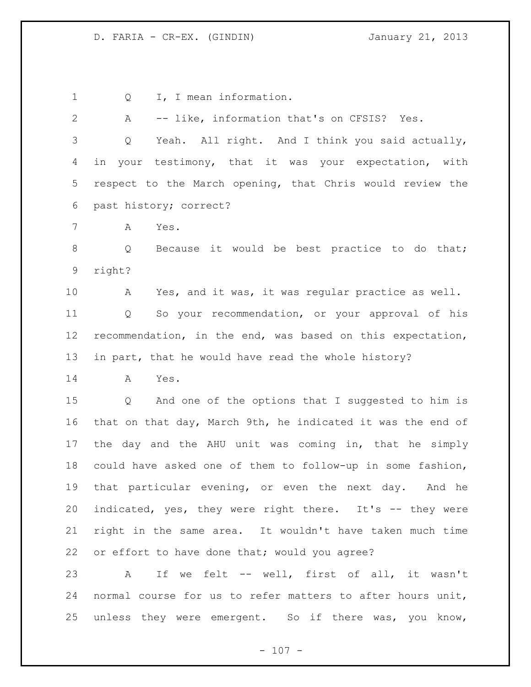1 Q I, I mean information. A -- like, information that's on CFSIS? Yes. Q Yeah. All right. And I think you said actually, in your testimony, that it was your expectation, with respect to the March opening, that Chris would review the past history; correct? A Yes. 8 Q Because it would be best practice to do that; right? A Yes, and it was, it was regular practice as well. Q So your recommendation, or your approval of his recommendation, in the end, was based on this expectation, in part, that he would have read the whole history? A Yes. Q And one of the options that I suggested to him is that on that day, March 9th, he indicated it was the end of the day and the AHU unit was coming in, that he simply could have asked one of them to follow-up in some fashion, that particular evening, or even the next day. And he indicated, yes, they were right there. It's -- they were right in the same area. It wouldn't have taken much time or effort to have done that; would you agree? A If we felt -- well, first of all, it wasn't normal course for us to refer matters to after hours unit, unless they were emergent. So if there was, you know,

 $- 107 -$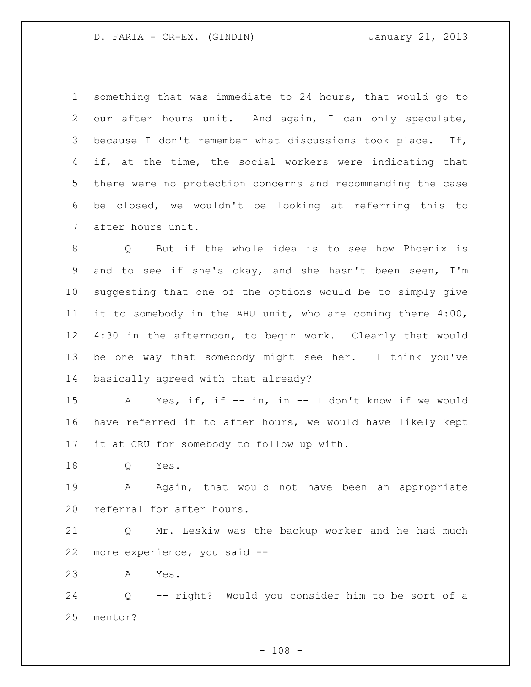something that was immediate to 24 hours, that would go to our after hours unit. And again, I can only speculate, because I don't remember what discussions took place. If, if, at the time, the social workers were indicating that there were no protection concerns and recommending the case be closed, we wouldn't be looking at referring this to after hours unit.

 Q But if the whole idea is to see how Phoenix is and to see if she's okay, and she hasn't been seen, I'm suggesting that one of the options would be to simply give it to somebody in the AHU unit, who are coming there 4:00, 4:30 in the afternoon, to begin work. Clearly that would be one way that somebody might see her. I think you've basically agreed with that already?

 A Yes, if, if -- in, in -- I don't know if we would have referred it to after hours, we would have likely kept it at CRU for somebody to follow up with.

Q Yes.

19 A Again, that would not have been an appropriate referral for after hours.

 Q Mr. Leskiw was the backup worker and he had much more experience, you said --

A Yes.

 Q -- right? Would you consider him to be sort of a mentor?

 $- 108 -$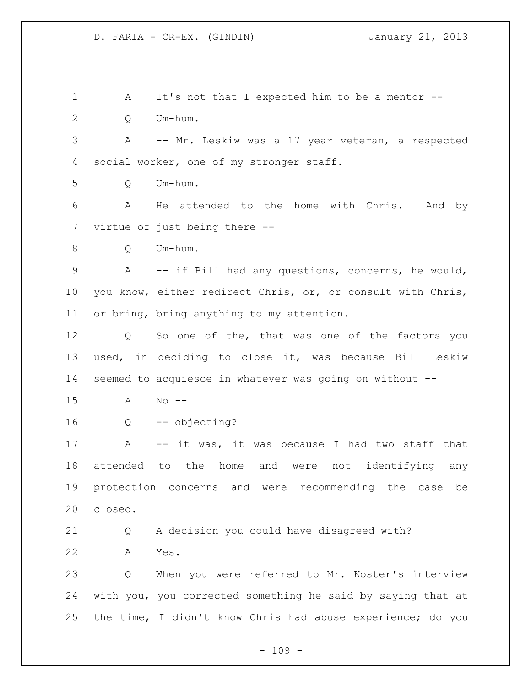1 A It's not that I expected him to be a mentor -- Q Um-hum. A -- Mr. Leskiw was a 17 year veteran, a respected social worker, one of my stronger staff. Q Um-hum. A He attended to the home with Chris. And by virtue of just being there -- Q Um-hum. A -- if Bill had any questions, concerns, he would, you know, either redirect Chris, or, or consult with Chris, or bring, bring anything to my attention. Q So one of the, that was one of the factors you used, in deciding to close it, was because Bill Leskiw seemed to acquiesce in whatever was going on without -- A No -- Q -- objecting? A -- it was, it was because I had two staff that attended to the home and were not identifying any protection concerns and were recommending the case be closed. Q A decision you could have disagreed with? A Yes. Q When you were referred to Mr. Koster's interview with you, you corrected something he said by saying that at the time, I didn't know Chris had abuse experience; do you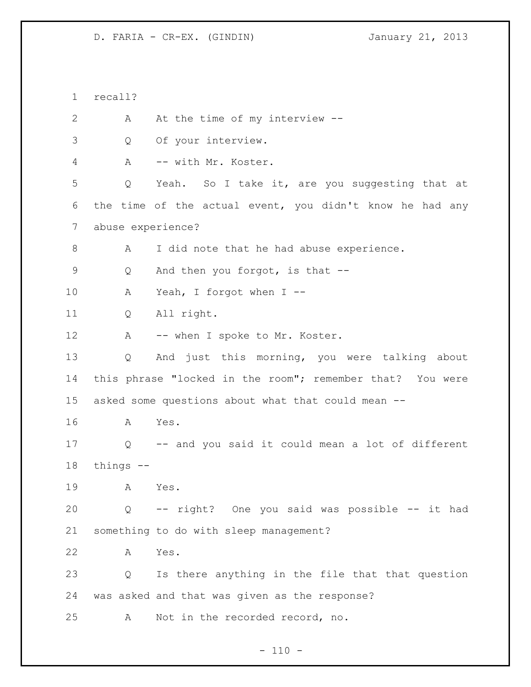recall? 2 A At the time of my interview -- Q Of your interview. A -- with Mr. Koster. Q Yeah. So I take it, are you suggesting that at the time of the actual event, you didn't know he had any abuse experience? A I did note that he had abuse experience. 9 Q And then you forgot, is that -- A Yeah, I forgot when I -- Q All right. 12 A -- when I spoke to Mr. Koster. Q And just this morning, you were talking about this phrase "locked in the room"; remember that? You were asked some questions about what that could mean -- A Yes. Q -- and you said it could mean a lot of different things -- A Yes. Q -- right? One you said was possible -- it had something to do with sleep management? A Yes. Q Is there anything in the file that that question was asked and that was given as the response? A Not in the recorded record, no.

 $- 110 -$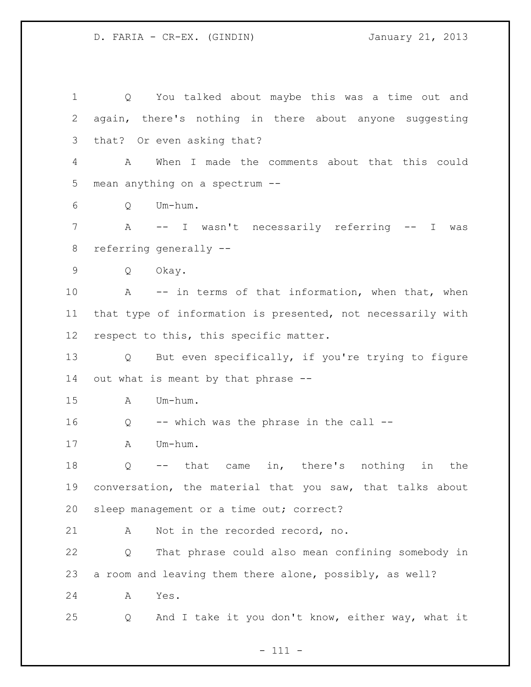Q You talked about maybe this was a time out and again, there's nothing in there about anyone suggesting that? Or even asking that? A When I made the comments about that this could mean anything on a spectrum -- Q Um-hum. A -- I wasn't necessarily referring -- I was referring generally -- Q Okay. A -- in terms of that information, when that, when that type of information is presented, not necessarily with respect to this, this specific matter. Q But even specifically, if you're trying to figure out what is meant by that phrase -- A Um-hum. Q -- which was the phrase in the call -- A Um-hum. Q -- that came in, there's nothing in the conversation, the material that you saw, that talks about sleep management or a time out; correct? A Not in the recorded record, no. Q That phrase could also mean confining somebody in a room and leaving them there alone, possibly, as well? A Yes. Q And I take it you don't know, either way, what it

- 111 -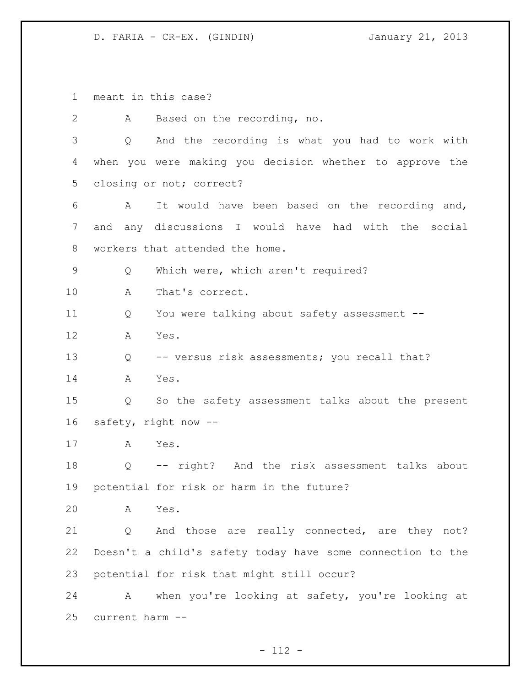meant in this case? A Based on the recording, no. Q And the recording is what you had to work with when you were making you decision whether to approve the closing or not; correct? A It would have been based on the recording and, and any discussions I would have had with the social workers that attended the home. Q Which were, which aren't required? A That's correct. Q You were talking about safety assessment -- A Yes. Q -- versus risk assessments; you recall that? A Yes. Q So the safety assessment talks about the present safety, right now -- A Yes. Q -- right? And the risk assessment talks about potential for risk or harm in the future? A Yes. 21 Q And those are really connected, are they not? Doesn't a child's safety today have some connection to the potential for risk that might still occur? A when you're looking at safety, you're looking at current harm --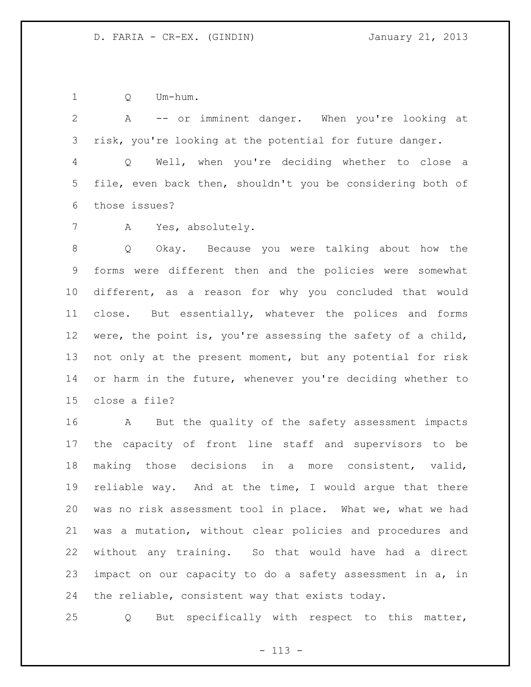Q Um-hum.

 A -- or imminent danger. When you're looking at risk, you're looking at the potential for future danger. Q Well, when you're deciding whether to close a file, even back then, shouldn't you be considering both of

those issues?

A Yes, absolutely.

 Q Okay. Because you were talking about how the forms were different then and the policies were somewhat different, as a reason for why you concluded that would close. But essentially, whatever the polices and forms were, the point is, you're assessing the safety of a child, not only at the present moment, but any potential for risk 14 or harm in the future, whenever you're deciding whether to close a file?

 A But the quality of the safety assessment impacts the capacity of front line staff and supervisors to be making those decisions in a more consistent, valid, reliable way. And at the time, I would argue that there was no risk assessment tool in place. What we, what we had was a mutation, without clear policies and procedures and without any training. So that would have had a direct impact on our capacity to do a safety assessment in a, in the reliable, consistent way that exists today.

Q But specifically with respect to this matter,

- 113 -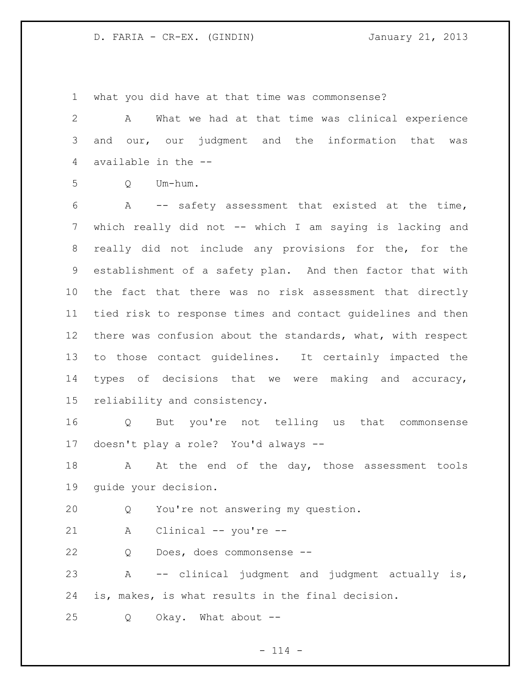what you did have at that time was commonsense?

 A What we had at that time was clinical experience and our, our judgment and the information that was available in the --

Q Um-hum.

 A -- safety assessment that existed at the time, which really did not -- which I am saying is lacking and really did not include any provisions for the, for the establishment of a safety plan. And then factor that with the fact that there was no risk assessment that directly tied risk to response times and contact guidelines and then there was confusion about the standards, what, with respect to those contact guidelines. It certainly impacted the types of decisions that we were making and accuracy, reliability and consistency.

 Q But you're not telling us that commonsense doesn't play a role? You'd always --

18 A At the end of the day, those assessment tools guide your decision.

Q You're not answering my question.

A Clinical -- you're --

Q Does, does commonsense --

 A -- clinical judgment and judgment actually is, is, makes, is what results in the final decision.

Q Okay. What about --

 $- 114 -$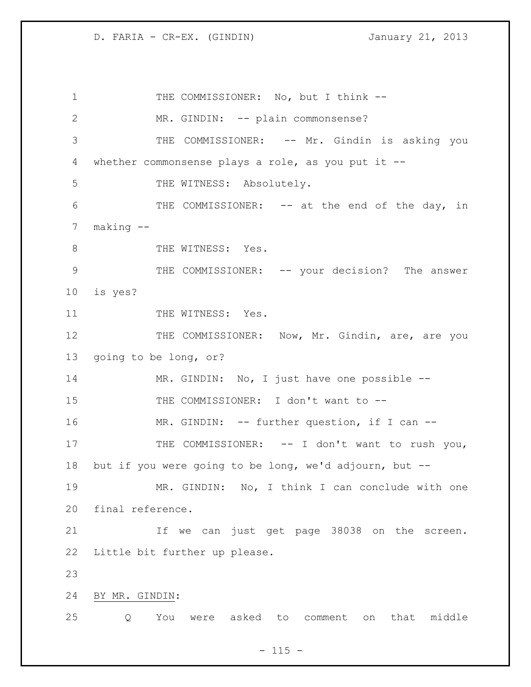1 THE COMMISSIONER: No, but I think --2 MR. GINDIN: -- plain commonsense? THE COMMISSIONER: -- Mr. Gindin is asking you whether commonsense plays a role, as you put it -- 5 THE WITNESS: Absolutely. THE COMMISSIONER: -- at the end of the day, in making -- 8 THE WITNESS: Yes. 9 THE COMMISSIONER: -- your decision? The answer is yes? 11 THE WITNESS: Yes. 12 THE COMMISSIONER: Now, Mr. Gindin, are, are you going to be long, or? MR. GINDIN: No, I just have one possible -- THE COMMISSIONER: I don't want to -- MR. GINDIN: -- further question, if I can -- 17 THE COMMISSIONER: -- I don't want to rush you, but if you were going to be long, we'd adjourn, but -- MR. GINDIN: No, I think I can conclude with one final reference. If we can just get page 38038 on the screen. Little bit further up please. BY MR. GINDIN: Q You were asked to comment on that middle

 $- 115 -$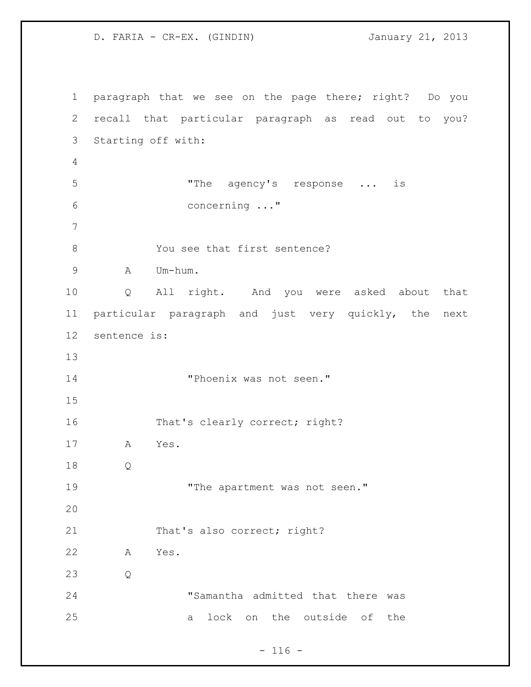paragraph that we see on the page there; right? Do you recall that particular paragraph as read out to you? Starting off with: "The agency's response ... is concerning ..." 8 You see that first sentence? A Um-hum. Q All right. And you were asked about that particular paragraph and just very quickly, the next sentence is: "Phoenix was not seen." That's clearly correct; right? A Yes. Q 19 The apartment was not seen." 21 That's also correct; right? A Yes. Q "Samantha admitted that there was a lock on the outside of the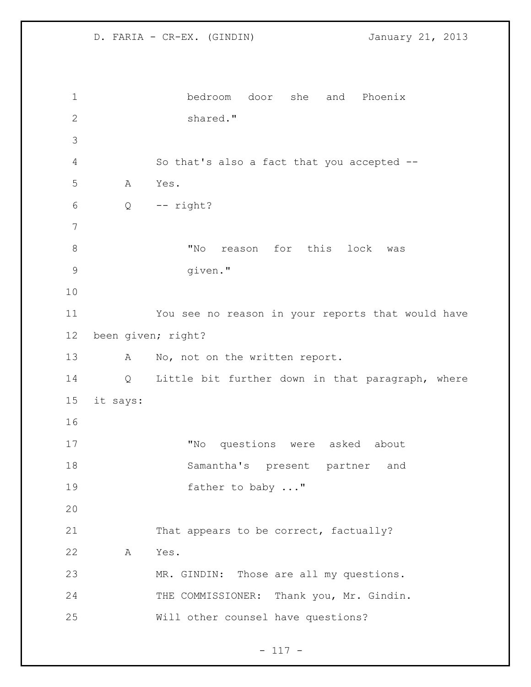```
1 bedroom door she and Phoenix 
2 shared."
3
4 So that's also a fact that you accepted --
5 A Yes.
6 Q -- right?
7
8 The More reason for this lock was
9 given."
10
11 You see no reason in your reports that would have 
12 been given; right?
13 A No, not on the written report.
14 Q Little bit further down in that paragraph, where 
15 it says:
16
17 "No questions were asked about 
18 Samantha's present partner and 
19 father to baby ..."
20
21 That appears to be correct, factually?
22 A Yes.
23 MR. GINDIN: Those are all my questions.
24 THE COMMISSIONER: Thank you, Mr. Gindin.
25 Will other counsel have questions?
```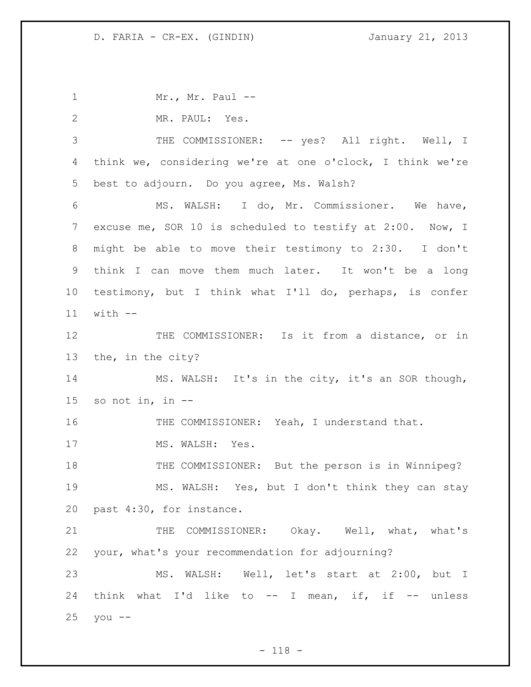1 Mr., Mr. Paul -- MR. PAUL: Yes. THE COMMISSIONER: -- yes? All right. Well, I think we, considering we're at one o'clock, I think we're best to adjourn. Do you agree, Ms. Walsh? MS. WALSH: I do, Mr. Commissioner. We have, excuse me, SOR 10 is scheduled to testify at 2:00. Now, I might be able to move their testimony to 2:30. I don't think I can move them much later. It won't be a long testimony, but I think what I'll do, perhaps, is confer with -- THE COMMISSIONER: Is it from a distance, or in the, in the city? MS. WALSH: It's in the city, it's an SOR though, 15 so not in, in  $-$  THE COMMISSIONER: Yeah, I understand that. 17 MS. WALSH: Yes. THE COMMISSIONER: But the person is in Winnipeg? MS. WALSH: Yes, but I don't think they can stay past 4:30, for instance. THE COMMISSIONER: Okay. Well, what, what's your, what's your recommendation for adjourning? MS. WALSH: Well, let's start at 2:00, but I think what I'd like to -- I mean, if, if -- unless you --

 $- 118 -$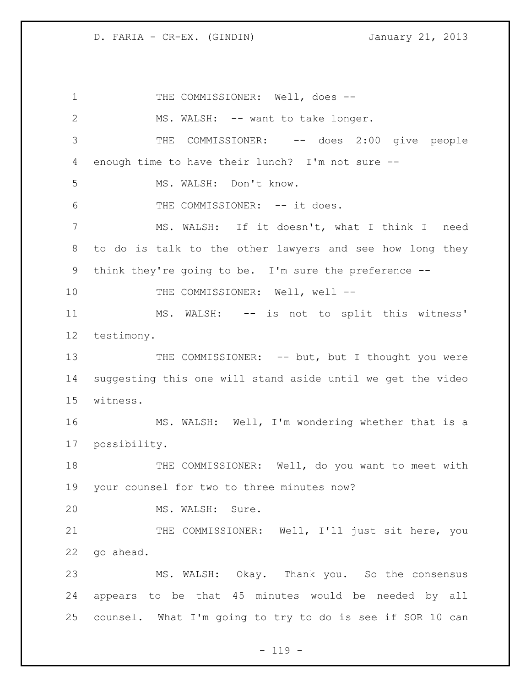1 THE COMMISSIONER: Well, does --2 MS. WALSH: -- want to take longer. 3 THE COMMISSIONER: -- does 2:00 give people enough time to have their lunch? I'm not sure -- MS. WALSH: Don't know. 6 THE COMMISSIONER: -- it does. MS. WALSH: If it doesn't, what I think I need to do is talk to the other lawyers and see how long they think they're going to be. I'm sure the preference -- 10 THE COMMISSIONER: Well, well -- MS. WALSH: -- is not to split this witness' testimony. 13 THE COMMISSIONER: -- but, but I thought you were suggesting this one will stand aside until we get the video witness. MS. WALSH: Well, I'm wondering whether that is a possibility. 18 THE COMMISSIONER: Well, do you want to meet with your counsel for two to three minutes now? MS. WALSH: Sure. 21 THE COMMISSIONER: Well, I'll just sit here, you go ahead. MS. WALSH: Okay. Thank you. So the consensus appears to be that 45 minutes would be needed by all counsel. What I'm going to try to do is see if SOR 10 can

 $- 119 -$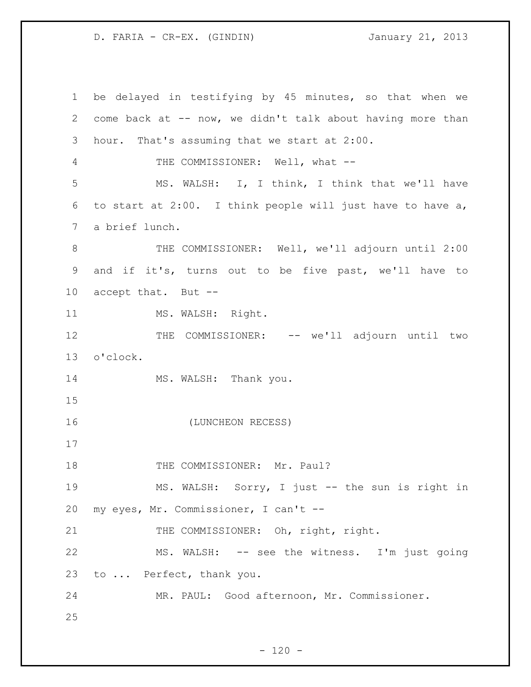be delayed in testifying by 45 minutes, so that when we come back at -- now, we didn't talk about having more than hour. That's assuming that we start at 2:00. THE COMMISSIONER: Well, what -- MS. WALSH: I, I think, I think that we'll have to start at 2:00. I think people will just have to have a, a brief lunch. 8 THE COMMISSIONER: Well, we'll adjourn until 2:00 and if it's, turns out to be five past, we'll have to accept that. But -- 11 MS. WALSH: Right. 12 THE COMMISSIONER: -- we'll adjourn until two o'clock. 14 MS. WALSH: Thank you. (LUNCHEON RECESS) 18 THE COMMISSIONER: Mr. Paul? MS. WALSH: Sorry, I just -- the sun is right in my eyes, Mr. Commissioner, I can't -- 21 THE COMMISSIONER: Oh, right, right. MS. WALSH: -- see the witness. I'm just going to ... Perfect, thank you. MR. PAUL: Good afternoon, Mr. Commissioner.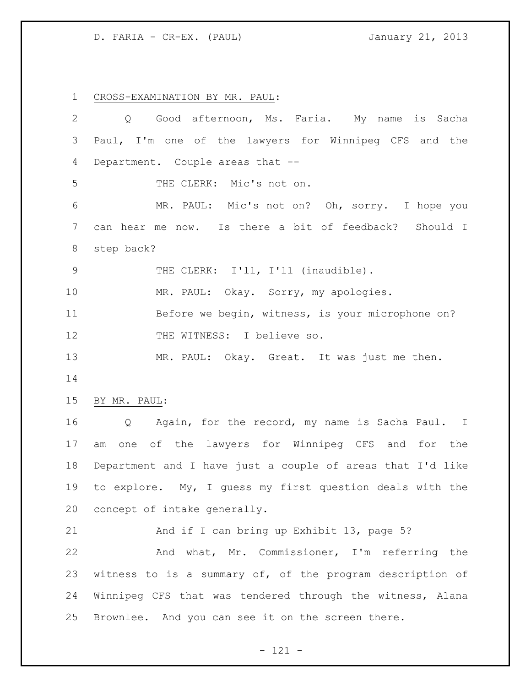CROSS-EXAMINATION BY MR. PAUL:

| $\overline{2}$ | Good afternoon, Ms. Faria. My name<br>is Sacha<br>Q        |
|----------------|------------------------------------------------------------|
| 3              | Paul, I'm one of the lawyers for Winnipeg CFS and the      |
| 4              | Department. Couple areas that --                           |
| 5              | THE CLERK: Mic's not on.                                   |
| 6              | MR. PAUL: Mic's not on? Oh, sorry. I hope you              |
| $7\phantom{.}$ | can hear me now. Is there a bit of feedback? Should I      |
| 8              | step back?                                                 |
| $\mathcal{G}$  | THE CLERK: I'll, I'll (inaudible).                         |
| 10             | MR. PAUL: Okay. Sorry, my apologies.                       |
| 11             | Before we begin, witness, is your microphone on?           |
| 12             | THE WITNESS: I believe so.                                 |
| 13             | MR. PAUL: Okay. Great. It was just me then.                |
| 14             |                                                            |
| 15             | BY MR. PAUL:                                               |
| 16             | Again, for the record, my name is Sacha Paul. I<br>Q       |
| 17             | one of the lawyers for Winnipeg CFS and for the<br>am      |
| 18             | Department and I have just a couple of areas that I'd like |
| 19             | to explore. My, I guess my first question deals with the   |
| 20             | concept of intake generally.                               |
| 21             | And if I can bring up Exhibit 13, page 5?                  |
| 22             | And what, Mr. Commissioner, I'm referring the              |
| 23             | witness to is a summary of, of the program description of  |
| 24             | Winnipeg CFS that was tendered through the witness, Alana  |
| 25             | Brownlee. And you can see it on the screen there.          |

- 121 -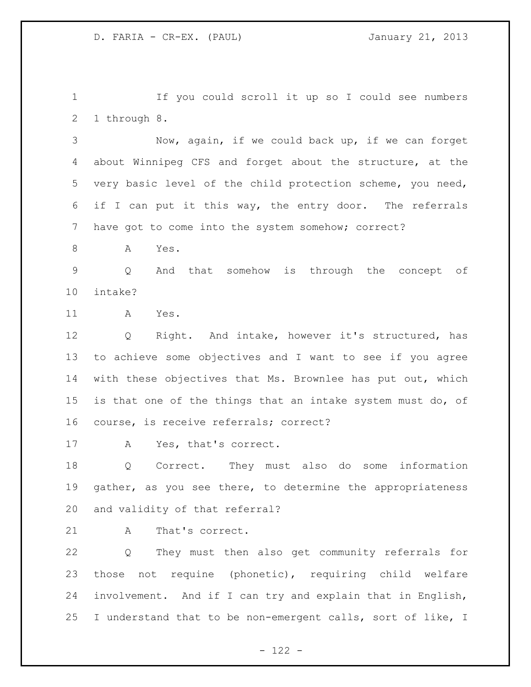If you could scroll it up so I could see numbers 1 through 8.

 Now, again, if we could back up, if we can forget about Winnipeg CFS and forget about the structure, at the very basic level of the child protection scheme, you need, if I can put it this way, the entry door. The referrals have got to come into the system somehow; correct?

8 A Yes.

 Q And that somehow is through the concept of intake?

A Yes.

 Q Right. And intake, however it's structured, has to achieve some objectives and I want to see if you agree with these objectives that Ms. Brownlee has put out, which is that one of the things that an intake system must do, of course, is receive referrals; correct?

A Yes, that's correct.

 Q Correct. They must also do some information 19 gather, as you see there, to determine the appropriateness and validity of that referral?

21 A That's correct.

 Q They must then also get community referrals for those not requine (phonetic), requiring child welfare involvement. And if I can try and explain that in English, I understand that to be non-emergent calls, sort of like, I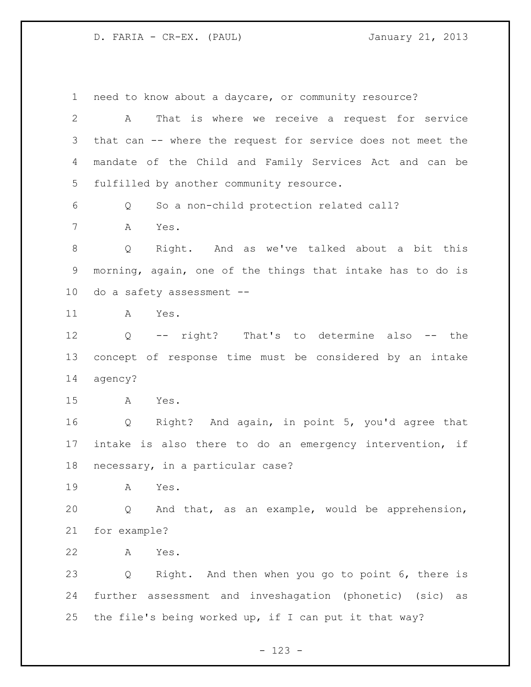need to know about a daycare, or community resource? A That is where we receive a request for service that can -- where the request for service does not meet the mandate of the Child and Family Services Act and can be fulfilled by another community resource. Q So a non-child protection related call? A Yes. Q Right. And as we've talked about a bit this morning, again, one of the things that intake has to do is do a safety assessment -- A Yes. Q -- right? That's to determine also -- the concept of response time must be considered by an intake agency? A Yes. Q Right? And again, in point 5, you'd agree that intake is also there to do an emergency intervention, if necessary, in a particular case? A Yes. Q And that, as an example, would be apprehension, for example? A Yes. Q Right. And then when you go to point 6, there is further assessment and inveshagation (phonetic) (sic) as the file's being worked up, if I can put it that way?

- 123 -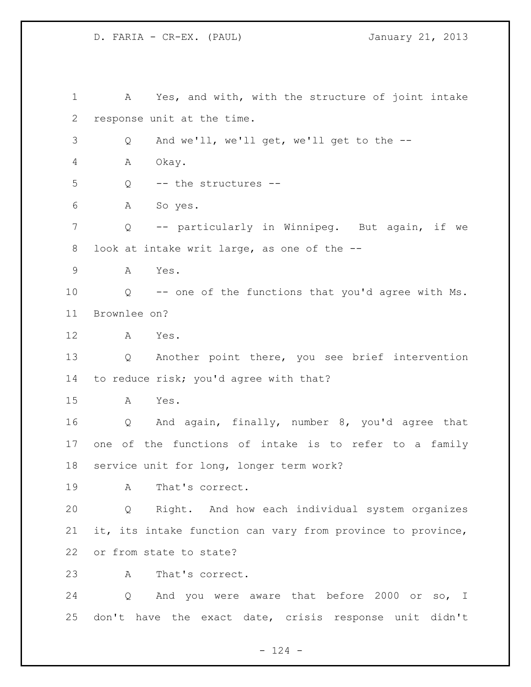A Yes, and with, with the structure of joint intake response unit at the time. Q And we'll, we'll get, we'll get to the -- A Okay. Q -- the structures -- A So yes. Q -- particularly in Winnipeg. But again, if we look at intake writ large, as one of the -- A Yes. Q -- one of the functions that you'd agree with Ms. Brownlee on? A Yes. Q Another point there, you see brief intervention to reduce risk; you'd agree with that? A Yes. Q And again, finally, number 8, you'd agree that one of the functions of intake is to refer to a family service unit for long, longer term work? A That's correct. Q Right. And how each individual system organizes it, its intake function can vary from province to province, or from state to state? A That's correct. Q And you were aware that before 2000 or so, I don't have the exact date, crisis response unit didn't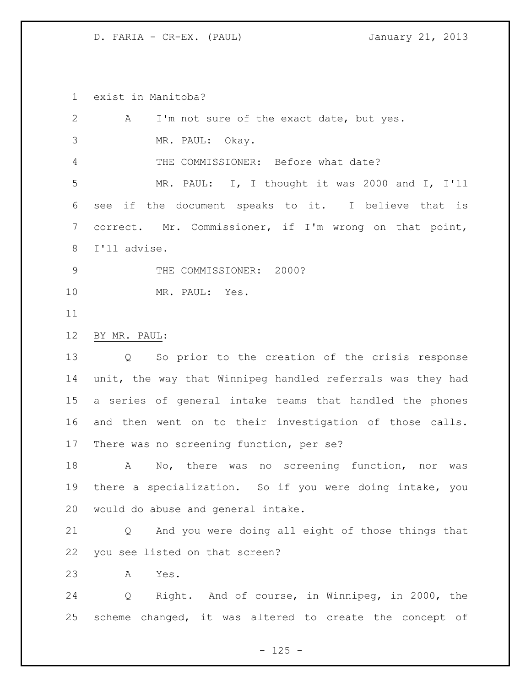exist in Manitoba?

| 2              | A<br>I'm not sure of the exact date, but yes.                        |
|----------------|----------------------------------------------------------------------|
| 3              | MR. PAUL: Okay.                                                      |
| $\overline{4}$ | THE COMMISSIONER: Before what date?                                  |
| 5              | MR. PAUL: I, I thought it was 2000 and I, I'll                       |
| 6              | if the document speaks to it. I believe that is<br>see               |
| 7              | correct. Mr. Commissioner, if I'm wrong on that point,               |
| 8              | I'll advise.                                                         |
| 9              | THE COMMISSIONER: 2000?                                              |
| 10             | MR. PAUL: Yes.                                                       |
| 11             |                                                                      |
| 12             | BY MR. PAUL:                                                         |
| 13             | So prior to the creation of the crisis response<br>$Q \qquad \qquad$ |
| 14             | unit, the way that Winnipeg handled referrals was they had           |
| 15             | a series of general intake teams that handled the phones             |
| 16             | and then went on to their investigation of those calls.              |
| 17             | There was no screening function, per se?                             |
| 18             | No, there was no screening function, nor was<br>A                    |
| 19             | there a specialization. So if you were doing intake, you             |
| 20             | would do abuse and general intake.                                   |
| 21             | And you were doing all eight of those things that<br>Q               |
| 22             | you see listed on that screen?                                       |
| 23             | Yes.<br>A                                                            |
| 24             | Right. And of course, in Winnipeg, in 2000, the<br>Q                 |
| 25             | scheme changed, it was altered to create the concept of              |
|                | $-125 -$                                                             |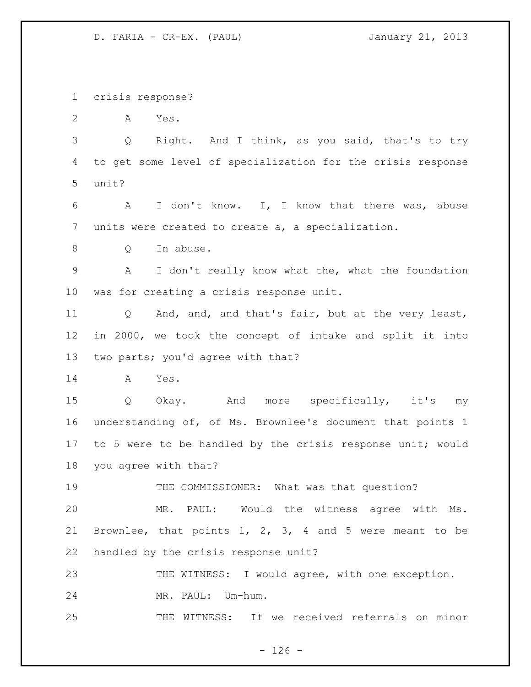crisis response?

A Yes.

 Q Right. And I think, as you said, that's to try to get some level of specialization for the crisis response unit?

 A I don't know. I, I know that there was, abuse units were created to create a, a specialization.

Q In abuse.

 A I don't really know what the, what the foundation was for creating a crisis response unit.

 Q And, and, and that's fair, but at the very least, in 2000, we took the concept of intake and split it into two parts; you'd agree with that?

A Yes.

 Q Okay. And more specifically, it's my understanding of, of Ms. Brownlee's document that points 1 to 5 were to be handled by the crisis response unit; would you agree with that?

THE COMMISSIONER: What was that question?

 MR. PAUL: Would the witness agree with Ms. Brownlee, that points 1, 2, 3, 4 and 5 were meant to be handled by the crisis response unit?

23 THE WITNESS: I would agree, with one exception.

MR. PAUL: Um-hum.

THE WITNESS: If we received referrals on minor

 $- 126 -$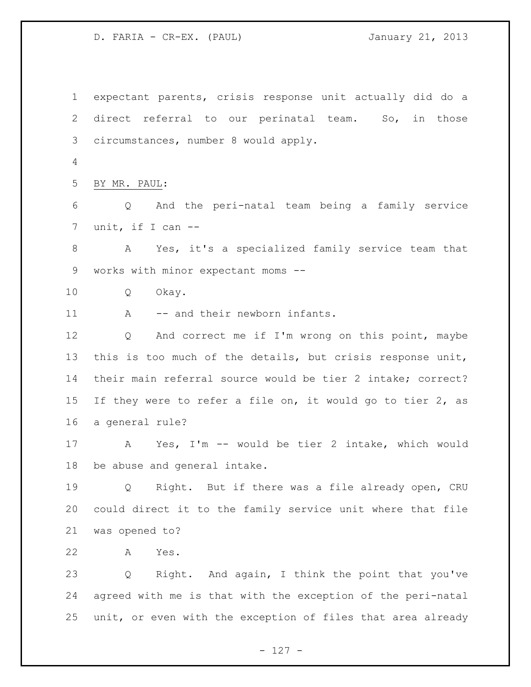expectant parents, crisis response unit actually did do a direct referral to our perinatal team. So, in those circumstances, number 8 would apply. BY MR. PAUL: Q And the peri-natal team being a family service unit, if I can -- A Yes, it's a specialized family service team that works with minor expectant moms -- Q Okay. 11 A -- and their newborn infants. Q And correct me if I'm wrong on this point, maybe this is too much of the details, but crisis response unit, their main referral source would be tier 2 intake; correct? If they were to refer a file on, it would go to tier 2, as a general rule? A Yes, I'm -- would be tier 2 intake, which would be abuse and general intake. Q Right. But if there was a file already open, CRU could direct it to the family service unit where that file was opened to? A Yes. Q Right. And again, I think the point that you've agreed with me is that with the exception of the peri-natal unit, or even with the exception of files that area already

- 127 -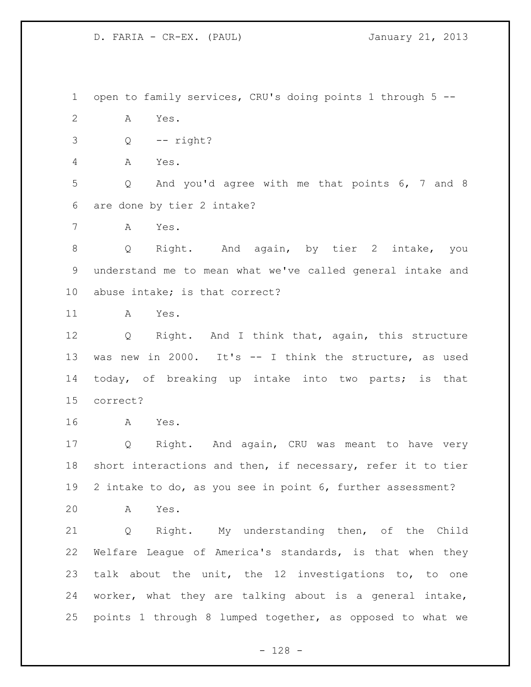open to family services, CRU's doing points 1 through 5 -- A Yes.  $3 \qquad Q \qquad -- \text{ right?}$ A Yes.

 Q And you'd agree with me that points 6, 7 and 8 are done by tier 2 intake?

A Yes.

 Q Right. And again, by tier 2 intake, you understand me to mean what we've called general intake and abuse intake; is that correct?

A Yes.

 Q Right. And I think that, again, this structure was new in 2000. It's -- I think the structure, as used 14 today, of breaking up intake into two parts; is that correct?

A Yes.

 Q Right. And again, CRU was meant to have very short interactions and then, if necessary, refer it to tier 2 intake to do, as you see in point 6, further assessment?

A Yes.

 Q Right. My understanding then, of the Child Welfare League of America's standards, is that when they talk about the unit, the 12 investigations to, to one worker, what they are talking about is a general intake, points 1 through 8 lumped together, as opposed to what we

- 128 -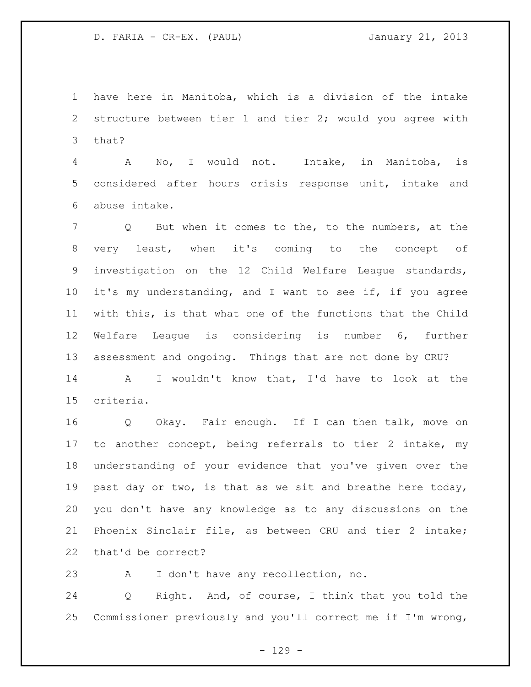have here in Manitoba, which is a division of the intake structure between tier 1 and tier 2; would you agree with that?

 A No, I would not. Intake, in Manitoba, is considered after hours crisis response unit, intake and abuse intake.

 Q But when it comes to the, to the numbers, at the very least, when it's coming to the concept of investigation on the 12 Child Welfare League standards, it's my understanding, and I want to see if, if you agree with this, is that what one of the functions that the Child Welfare League is considering is number 6, further assessment and ongoing. Things that are not done by CRU?

 A I wouldn't know that, I'd have to look at the criteria.

 Q Okay. Fair enough. If I can then talk, move on to another concept, being referrals to tier 2 intake, my understanding of your evidence that you've given over the past day or two, is that as we sit and breathe here today, you don't have any knowledge as to any discussions on the Phoenix Sinclair file, as between CRU and tier 2 intake; that'd be correct?

A I don't have any recollection, no.

 Q Right. And, of course, I think that you told the Commissioner previously and you'll correct me if I'm wrong,

 $- 129 -$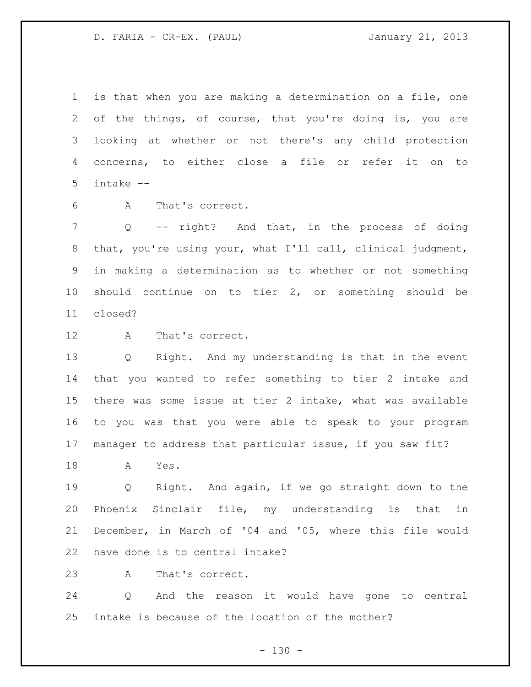is that when you are making a determination on a file, one of the things, of course, that you're doing is, you are looking at whether or not there's any child protection concerns, to either close a file or refer it on to intake --

A That's correct.

 Q -- right? And that, in the process of doing that, you're using your, what I'll call, clinical judgment, in making a determination as to whether or not something should continue on to tier 2, or something should be closed?

A That's correct.

 Q Right. And my understanding is that in the event that you wanted to refer something to tier 2 intake and there was some issue at tier 2 intake, what was available to you was that you were able to speak to your program manager to address that particular issue, if you saw fit?

A Yes.

 Q Right. And again, if we go straight down to the Phoenix Sinclair file, my understanding is that in December, in March of '04 and '05, where this file would have done is to central intake?

A That's correct.

 Q And the reason it would have gone to central intake is because of the location of the mother?

 $- 130 -$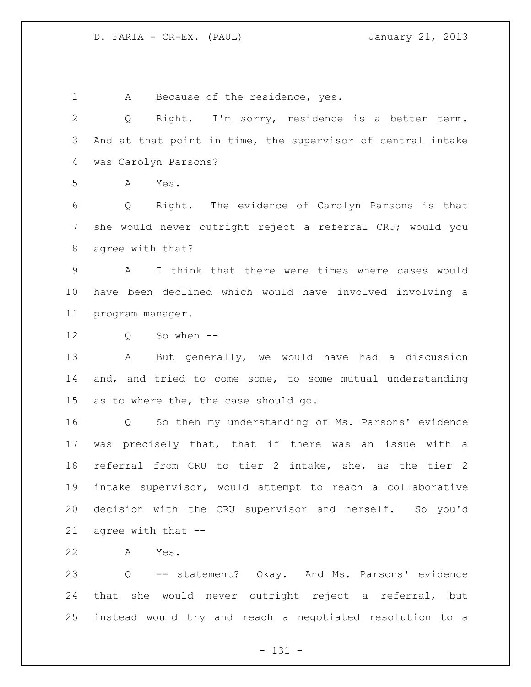A Because of the residence, yes. Q Right. I'm sorry, residence is a better term. And at that point in time, the supervisor of central intake was Carolyn Parsons? A Yes. Q Right. The evidence of Carolyn Parsons is that she would never outright reject a referral CRU; would you agree with that? A I think that there were times where cases would have been declined which would have involved involving a program manager. Q So when -- A But generally, we would have had a discussion and, and tried to come some, to some mutual understanding as to where the, the case should go. Q So then my understanding of Ms. Parsons' evidence was precisely that, that if there was an issue with a referral from CRU to tier 2 intake, she, as the tier 2 intake supervisor, would attempt to reach a collaborative decision with the CRU supervisor and herself. So you'd agree with that -- A Yes. Q -- statement? Okay. And Ms. Parsons' evidence that she would never outright reject a referral, but

- 131 -

instead would try and reach a negotiated resolution to a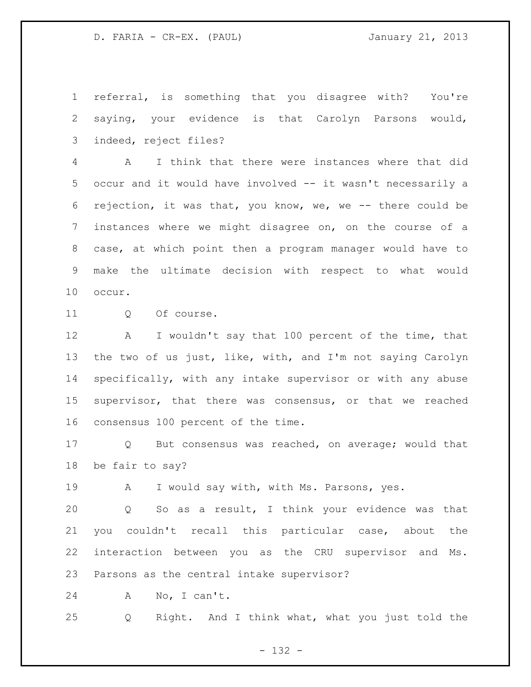referral, is something that you disagree with? You're saying, your evidence is that Carolyn Parsons would, indeed, reject files?

 A I think that there were instances where that did occur and it would have involved -- it wasn't necessarily a rejection, it was that, you know, we, we -- there could be instances where we might disagree on, on the course of a case, at which point then a program manager would have to make the ultimate decision with respect to what would occur.

11 0 Of course.

 A I wouldn't say that 100 percent of the time, that the two of us just, like, with, and I'm not saying Carolyn specifically, with any intake supervisor or with any abuse supervisor, that there was consensus, or that we reached consensus 100 percent of the time.

 Q But consensus was reached, on average; would that be fair to say?

19 A I would say with, with Ms. Parsons, yes.

 Q So as a result, I think your evidence was that you couldn't recall this particular case, about the interaction between you as the CRU supervisor and Ms. Parsons as the central intake supervisor?

A No, I can't.

Q Right. And I think what, what you just told the

- 132 -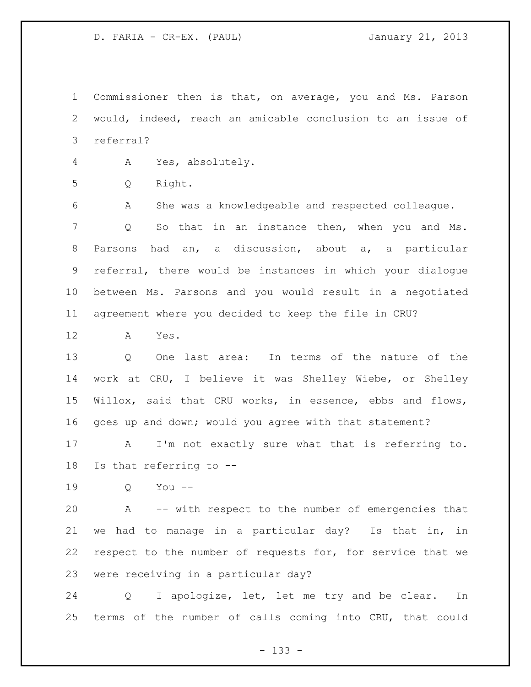Commissioner then is that, on average, you and Ms. Parson would, indeed, reach an amicable conclusion to an issue of referral?

A Yes, absolutely.

Q Right.

 A She was a knowledgeable and respected colleague. Q So that in an instance then, when you and Ms. Parsons had an, a discussion, about a, a particular referral, there would be instances in which your dialogue between Ms. Parsons and you would result in a negotiated agreement where you decided to keep the file in CRU?

A Yes.

 Q One last area: In terms of the nature of the work at CRU, I believe it was Shelley Wiebe, or Shelley Willox, said that CRU works, in essence, ebbs and flows, goes up and down; would you agree with that statement?

 A I'm not exactly sure what that is referring to. Is that referring to --

Q You --

 A -- with respect to the number of emergencies that we had to manage in a particular day? Is that in, in respect to the number of requests for, for service that we were receiving in a particular day?

 Q I apologize, let, let me try and be clear. In terms of the number of calls coming into CRU, that could

- 133 -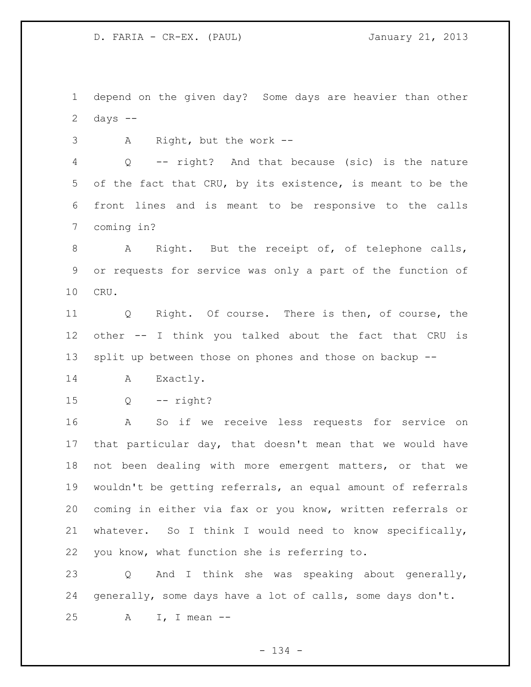depend on the given day? Some days are heavier than other 2 days  $-$ 

A Right, but the work --

 Q -- right? And that because (sic) is the nature of the fact that CRU, by its existence, is meant to be the front lines and is meant to be responsive to the calls coming in?

8 A Right. But the receipt of, of telephone calls, or requests for service was only a part of the function of CRU.

 Q Right. Of course. There is then, of course, the other -- I think you talked about the fact that CRU is split up between those on phones and those on backup --

- 14 A Exactly.
- Q -- right?

 A So if we receive less requests for service on that particular day, that doesn't mean that we would have not been dealing with more emergent matters, or that we wouldn't be getting referrals, an equal amount of referrals coming in either via fax or you know, written referrals or whatever. So I think I would need to know specifically, you know, what function she is referring to.

 Q And I think she was speaking about generally, generally, some days have a lot of calls, some days don't. A I, I mean --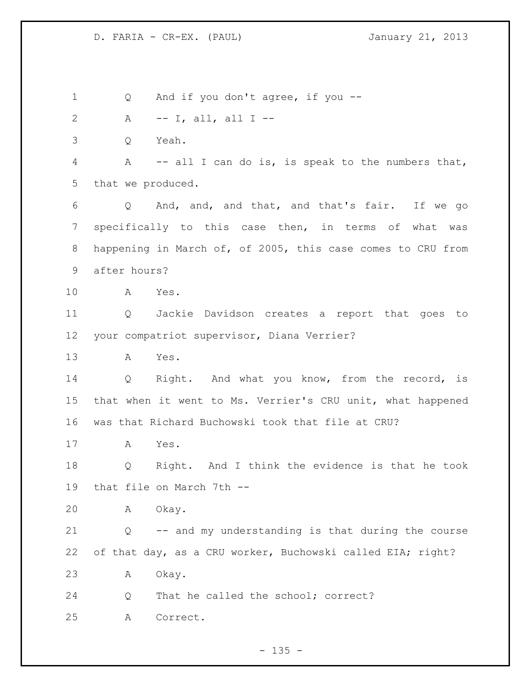1 Q And if you don't agree, if you -- A -- I, all, all I -- Q Yeah. A -- all I can do is, is speak to the numbers that, that we produced. Q And, and, and that, and that's fair. If we go specifically to this case then, in terms of what was happening in March of, of 2005, this case comes to CRU from after hours? A Yes. Q Jackie Davidson creates a report that goes to your compatriot supervisor, Diana Verrier? A Yes. 14 Q Right. And what you know, from the record, is that when it went to Ms. Verrier's CRU unit, what happened was that Richard Buchowski took that file at CRU? A Yes. Q Right. And I think the evidence is that he took that file on March 7th -- A Okay. Q -- and my understanding is that during the course of that day, as a CRU worker, Buchowski called EIA; right? A Okay. Q That he called the school; correct? A Correct.

 $- 135 -$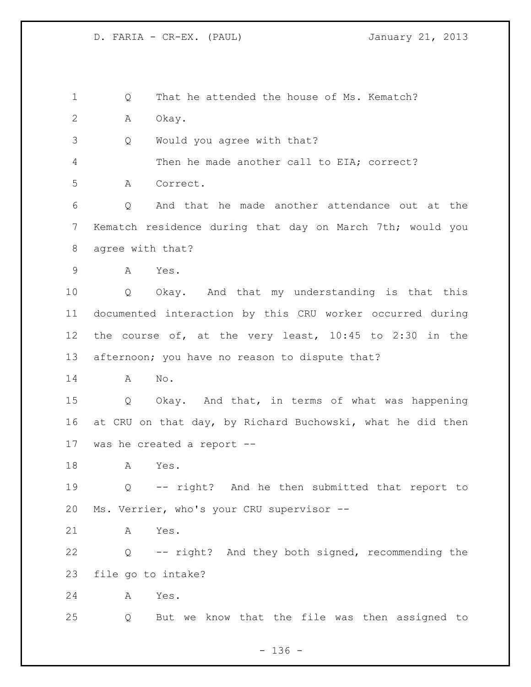1 0 That he attended the house of Ms. Kematch? A Okay. Q Would you agree with that? Then he made another call to EIA; correct? A Correct. Q And that he made another attendance out at the Kematch residence during that day on March 7th; would you agree with that? A Yes. Q Okay. And that my understanding is that this documented interaction by this CRU worker occurred during the course of, at the very least, 10:45 to 2:30 in the afternoon; you have no reason to dispute that? A No. Q Okay. And that, in terms of what was happening at CRU on that day, by Richard Buchowski, what he did then was he created a report -- A Yes. Q -- right? And he then submitted that report to Ms. Verrier, who's your CRU supervisor -- A Yes. Q -- right? And they both signed, recommending the file go to intake?

A Yes.

Q But we know that the file was then assigned to

- 136 -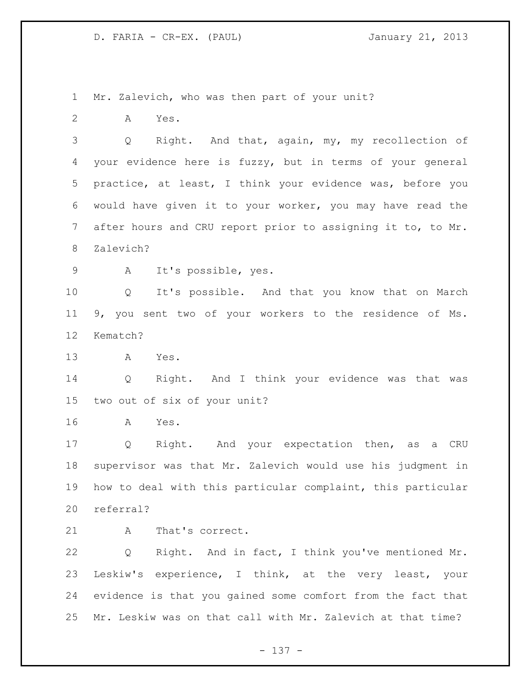Mr. Zalevich, who was then part of your unit?

A Yes.

 Q Right. And that, again, my, my recollection of your evidence here is fuzzy, but in terms of your general practice, at least, I think your evidence was, before you would have given it to your worker, you may have read the after hours and CRU report prior to assigning it to, to Mr. Zalevich?

A It's possible, yes.

 Q It's possible. And that you know that on March 9, you sent two of your workers to the residence of Ms. Kematch?

A Yes.

 Q Right. And I think your evidence was that was two out of six of your unit?

A Yes.

 Q Right. And your expectation then, as a CRU supervisor was that Mr. Zalevich would use his judgment in how to deal with this particular complaint, this particular referral?

21 A That's correct.

 Q Right. And in fact, I think you've mentioned Mr. Leskiw's experience, I think, at the very least, your evidence is that you gained some comfort from the fact that Mr. Leskiw was on that call with Mr. Zalevich at that time?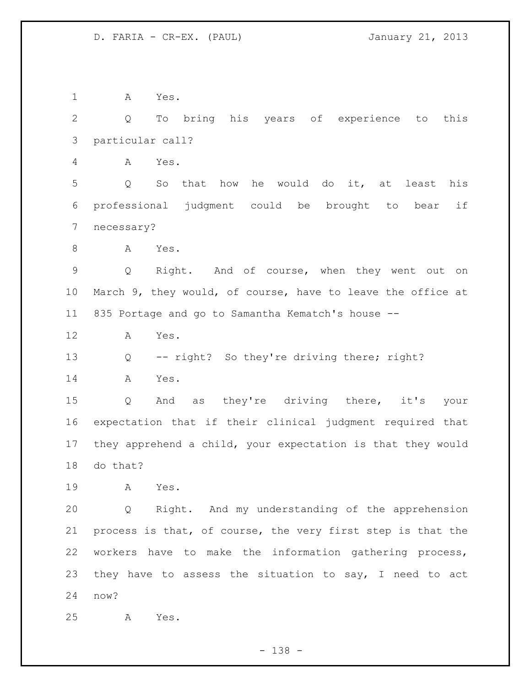A Yes. Q To bring his years of experience to this particular call? A Yes. Q So that how he would do it, at least his professional judgment could be brought to bear if necessary? 8 A Yes. Q Right. And of course, when they went out on March 9, they would, of course, have to leave the office at 835 Portage and go to Samantha Kematch's house -- A Yes. Q -- right? So they're driving there; right? A Yes. Q And as they're driving there, it's your expectation that if their clinical judgment required that they apprehend a child, your expectation is that they would do that? A Yes. Q Right. And my understanding of the apprehension process is that, of course, the very first step is that the workers have to make the information gathering process, they have to assess the situation to say, I need to act now? A Yes.

- 138 -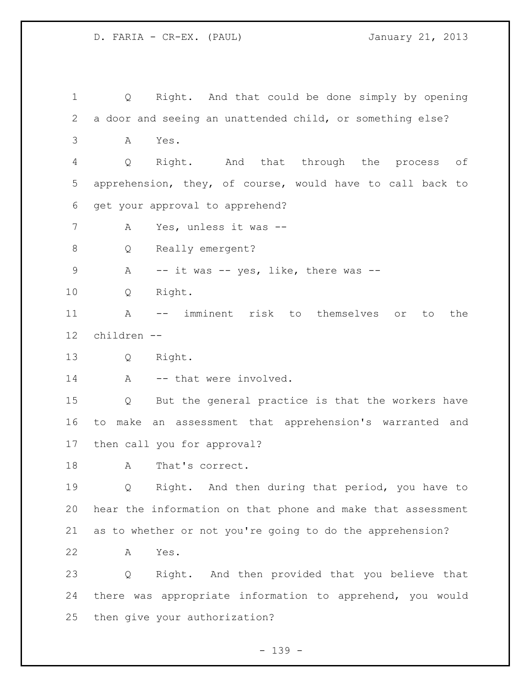Q Right. And that could be done simply by opening a door and seeing an unattended child, or something else? A Yes. Q Right. And that through the process of apprehension, they, of course, would have to call back to get your approval to apprehend? A Yes, unless it was -- 8 Q Really emergent? 9 A -- it was -- yes, like, there was -- Q Right. A -- imminent risk to themselves or to the children -- Q Right. 14 A -- that were involved. Q But the general practice is that the workers have to make an assessment that apprehension's warranted and then call you for approval? 18 A That's correct. Q Right. And then during that period, you have to hear the information on that phone and make that assessment as to whether or not you're going to do the apprehension? A Yes. Q Right. And then provided that you believe that there was appropriate information to apprehend, you would then give your authorization?

- 139 -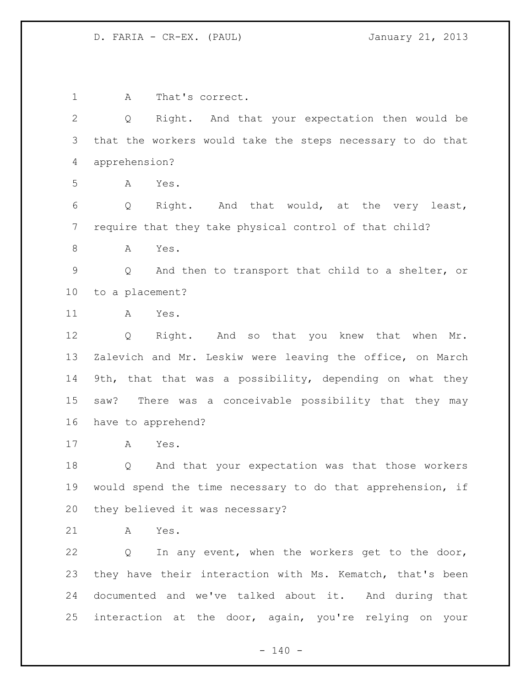A That's correct. Q Right. And that your expectation then would be that the workers would take the steps necessary to do that apprehension? A Yes. Q Right. And that would, at the very least, require that they take physical control of that child? A Yes. Q And then to transport that child to a shelter, or to a placement? A Yes. Q Right. And so that you knew that when Mr. Zalevich and Mr. Leskiw were leaving the office, on March 9th, that that was a possibility, depending on what they saw? There was a conceivable possibility that they may have to apprehend? A Yes. Q And that your expectation was that those workers would spend the time necessary to do that apprehension, if they believed it was necessary? A Yes. Q In any event, when the workers get to the door, they have their interaction with Ms. Kematch, that's been documented and we've talked about it. And during that interaction at the door, again, you're relying on your

 $- 140 -$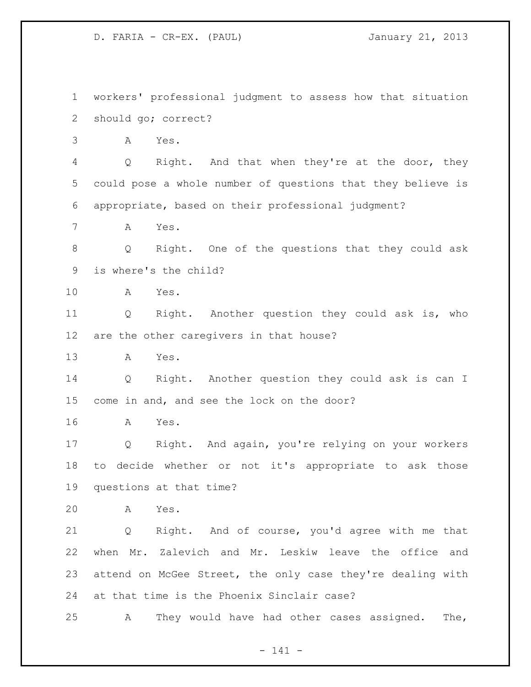workers' professional judgment to assess how that situation should go; correct? A Yes. Q Right. And that when they're at the door, they could pose a whole number of questions that they believe is appropriate, based on their professional judgment? A Yes. Q Right. One of the questions that they could ask is where's the child? A Yes. Q Right. Another question they could ask is, who are the other caregivers in that house? A Yes. Q Right. Another question they could ask is can I come in and, and see the lock on the door? A Yes. Q Right. And again, you're relying on your workers to decide whether or not it's appropriate to ask those questions at that time? A Yes. Q Right. And of course, you'd agree with me that when Mr. Zalevich and Mr. Leskiw leave the office and attend on McGee Street, the only case they're dealing with at that time is the Phoenix Sinclair case? A They would have had other cases assigned. The,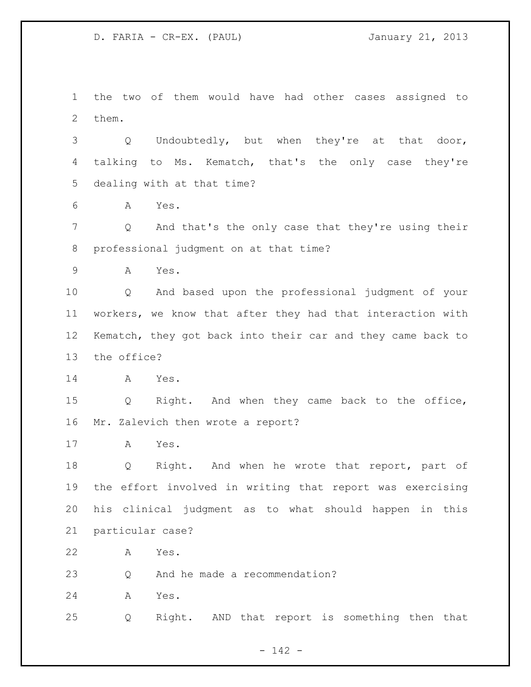D. FARIA - CR-EX. (PAUL) January 21, 2013

 the two of them would have had other cases assigned to them.

 Q Undoubtedly, but when they're at that door, talking to Ms. Kematch, that's the only case they're dealing with at that time?

A Yes.

 Q And that's the only case that they're using their professional judgment on at that time?

A Yes.

 Q And based upon the professional judgment of your workers, we know that after they had that interaction with Kematch, they got back into their car and they came back to the office?

A Yes.

 Q Right. And when they came back to the office, Mr. Zalevich then wrote a report?

A Yes.

18 Q Right. And when he wrote that report, part of the effort involved in writing that report was exercising his clinical judgment as to what should happen in this particular case?

A Yes.

Q And he made a recommendation?

A Yes.

Q Right. AND that report is something then that

- 142 -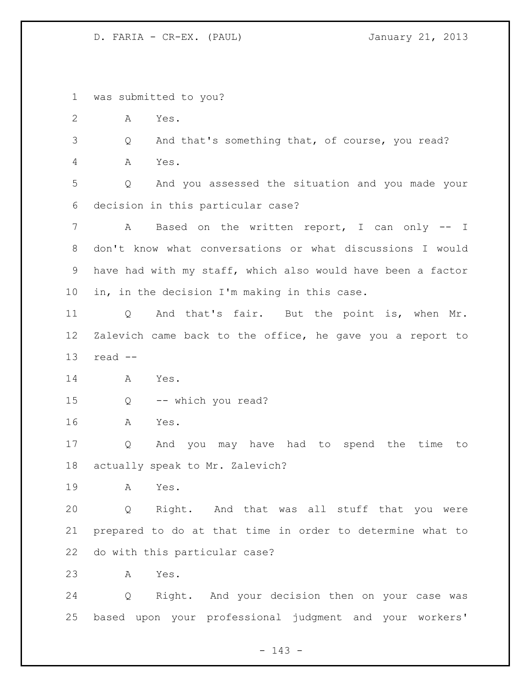D. FARIA - CR-EX. (PAUL) January 21, 2013

was submitted to you?

A Yes.

 Q And that's something that, of course, you read? A Yes.

 Q And you assessed the situation and you made your decision in this particular case?

7 A Based on the written report, I can only -- I don't know what conversations or what discussions I would have had with my staff, which also would have been a factor in, in the decision I'm making in this case.

 Q And that's fair. But the point is, when Mr. Zalevich came back to the office, he gave you a report to read --

A Yes.

Q -- which you read?

A Yes.

 Q And you may have had to spend the time to actually speak to Mr. Zalevich?

A Yes.

 Q Right. And that was all stuff that you were prepared to do at that time in order to determine what to do with this particular case?

A Yes.

 Q Right. And your decision then on your case was based upon your professional judgment and your workers'

- 143 -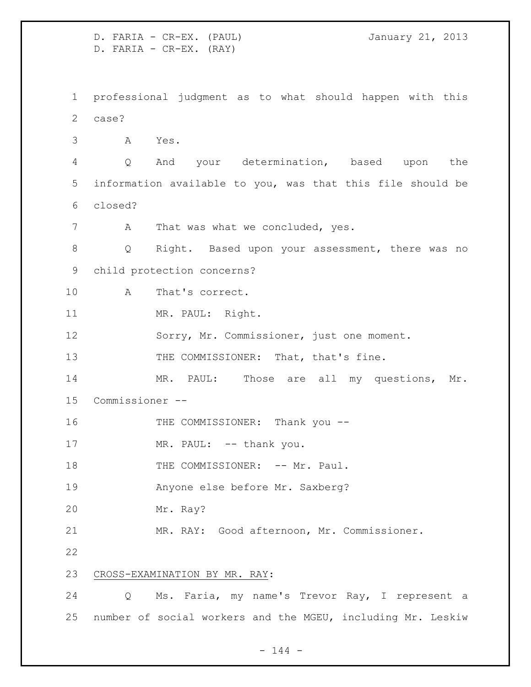D. FARIA - CR-EX. (PAUL) January 21, 2013 D. FARIA - CR-EX. (RAY) professional judgment as to what should happen with this case? A Yes. Q And your determination, based upon the information available to you, was that this file should be closed? 7 A That was what we concluded, yes. Q Right. Based upon your assessment, there was no child protection concerns? A That's correct. 11 MR. PAUL: Right. Sorry, Mr. Commissioner, just one moment. 13 THE COMMISSIONER: That, that's fine. 14 MR. PAUL: Those are all my questions, Mr. Commissioner -- 16 THE COMMISSIONER: Thank you --17 MR. PAUL: -- thank you. 18 THE COMMISSIONER: -- Mr. Paul. Anyone else before Mr. Saxberg? Mr. Ray? MR. RAY: Good afternoon, Mr. Commissioner. CROSS-EXAMINATION BY MR. RAY: Q Ms. Faria, my name's Trevor Ray, I represent a number of social workers and the MGEU, including Mr. Leskiw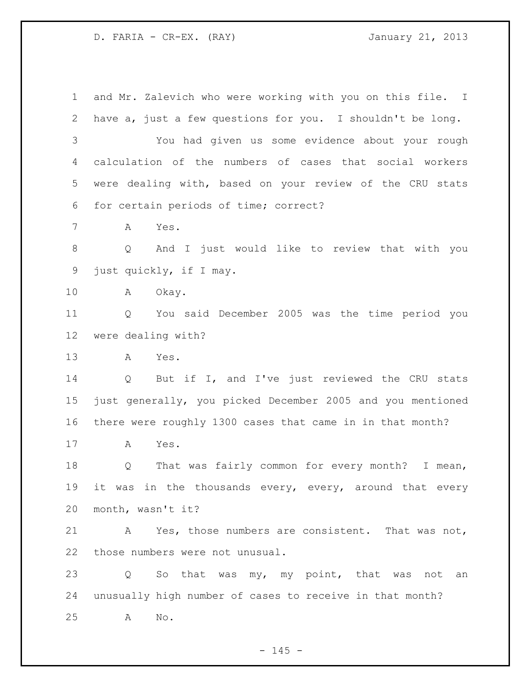D. FARIA - CR-EX. (RAY) January 21, 2013

 and Mr. Zalevich who were working with you on this file. I have a, just a few questions for you. I shouldn't be long.

 You had given us some evidence about your rough calculation of the numbers of cases that social workers were dealing with, based on your review of the CRU stats for certain periods of time; correct?

A Yes.

 Q And I just would like to review that with you just quickly, if I may.

A Okay.

 Q You said December 2005 was the time period you were dealing with?

A Yes.

 Q But if I, and I've just reviewed the CRU stats just generally, you picked December 2005 and you mentioned there were roughly 1300 cases that came in in that month?

A Yes.

 Q That was fairly common for every month? I mean, 19 it was in the thousands every, every, around that every month, wasn't it?

 A Yes, those numbers are consistent. That was not, those numbers were not unusual.

 Q So that was my, my point, that was not an unusually high number of cases to receive in that month? A No.

 $- 145 -$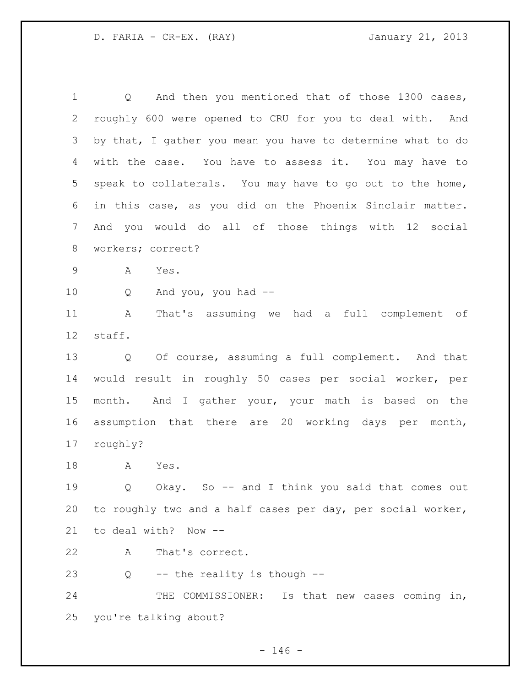1 Q And then you mentioned that of those 1300 cases, roughly 600 were opened to CRU for you to deal with. And by that, I gather you mean you have to determine what to do with the case. You have to assess it. You may have to speak to collaterals. You may have to go out to the home, in this case, as you did on the Phoenix Sinclair matter. And you would do all of those things with 12 social workers; correct? A Yes. Q And you, you had -- A That's assuming we had a full complement of staff. Q Of course, assuming a full complement. And that would result in roughly 50 cases per social worker, per month. And I gather your, your math is based on the assumption that there are 20 working days per month, roughly? A Yes. Q Okay. So -- and I think you said that comes out

 to roughly two and a half cases per day, per social worker, to deal with? Now --

A That's correct.

23  $Q$  -- the reality is though --

24 THE COMMISSIONER: Is that new cases coming in, you're talking about?

 $- 146 -$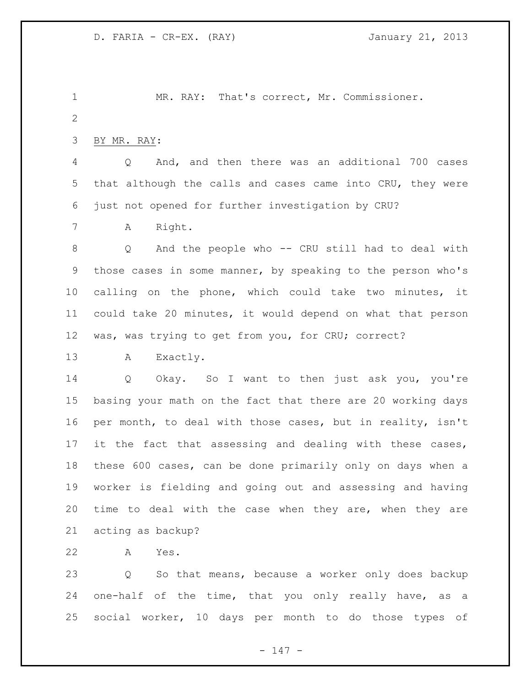MR. RAY: That's correct, Mr. Commissioner. 

BY MR. RAY:

 Q And, and then there was an additional 700 cases that although the calls and cases came into CRU, they were just not opened for further investigation by CRU?

A Right.

 Q And the people who -- CRU still had to deal with those cases in some manner, by speaking to the person who's calling on the phone, which could take two minutes, it could take 20 minutes, it would depend on what that person was, was trying to get from you, for CRU; correct?

A Exactly.

 Q Okay. So I want to then just ask you, you're basing your math on the fact that there are 20 working days per month, to deal with those cases, but in reality, isn't it the fact that assessing and dealing with these cases, these 600 cases, can be done primarily only on days when a worker is fielding and going out and assessing and having time to deal with the case when they are, when they are acting as backup?

A Yes.

 Q So that means, because a worker only does backup one-half of the time, that you only really have, as a social worker, 10 days per month to do those types of

- 147 -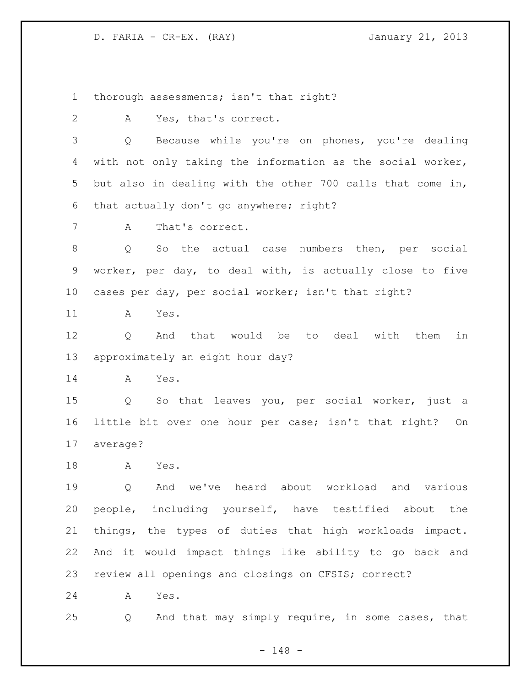D. FARIA - CR-EX. (RAY) January 21, 2013

thorough assessments; isn't that right?

A Yes, that's correct.

 Q Because while you're on phones, you're dealing with not only taking the information as the social worker, but also in dealing with the other 700 calls that come in, that actually don't go anywhere; right?

A That's correct.

 Q So the actual case numbers then, per social worker, per day, to deal with, is actually close to five cases per day, per social worker; isn't that right?

A Yes.

12 0 And that would be to deal with them in approximately an eight hour day?

A Yes.

 Q So that leaves you, per social worker, just a little bit over one hour per case; isn't that right? On average?

A Yes.

 Q And we've heard about workload and various people, including yourself, have testified about the things, the types of duties that high workloads impact. And it would impact things like ability to go back and review all openings and closings on CFSIS; correct?

A Yes.

Q And that may simply require, in some cases, that

- 148 -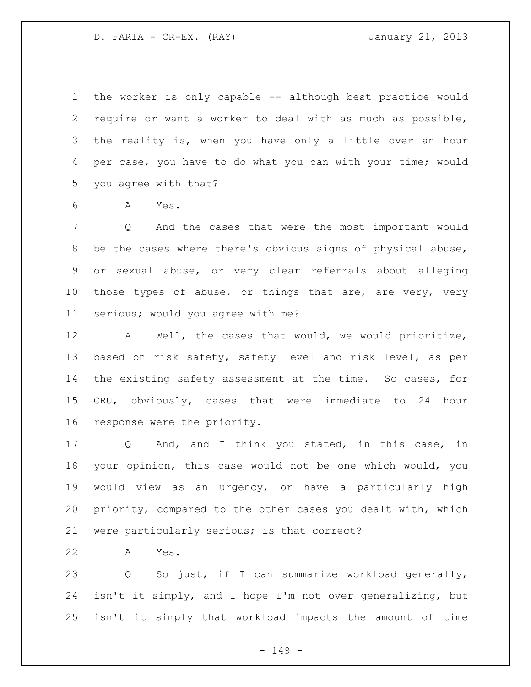D. FARIA - CR-EX. (RAY) January 21, 2013

 the worker is only capable -- although best practice would require or want a worker to deal with as much as possible, the reality is, when you have only a little over an hour 4 per case, you have to do what you can with your time; would you agree with that?

A Yes.

 Q And the cases that were the most important would be the cases where there's obvious signs of physical abuse, or sexual abuse, or very clear referrals about alleging those types of abuse, or things that are, are very, very serious; would you agree with me?

 A Well, the cases that would, we would prioritize, based on risk safety, safety level and risk level, as per the existing safety assessment at the time. So cases, for CRU, obviously, cases that were immediate to 24 hour response were the priority.

 Q And, and I think you stated, in this case, in your opinion, this case would not be one which would, you would view as an urgency, or have a particularly high priority, compared to the other cases you dealt with, which were particularly serious; is that correct?

A Yes.

 Q So just, if I can summarize workload generally, isn't it simply, and I hope I'm not over generalizing, but isn't it simply that workload impacts the amount of time

- 149 -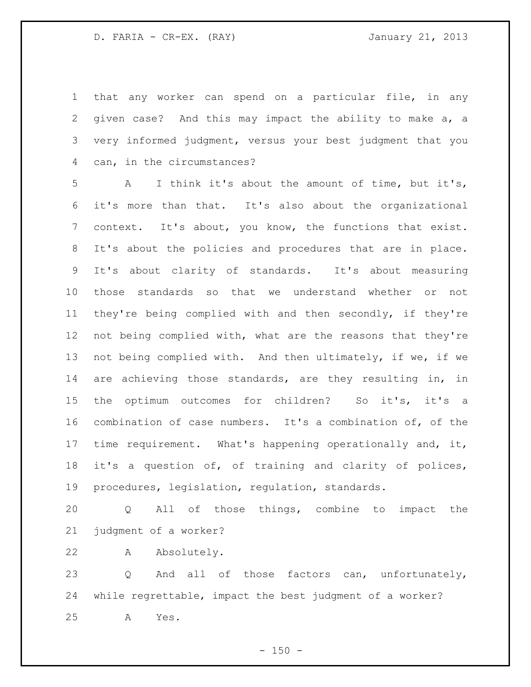that any worker can spend on a particular file, in any given case? And this may impact the ability to make a, a very informed judgment, versus your best judgment that you can, in the circumstances?

 A I think it's about the amount of time, but it's, it's more than that. It's also about the organizational context. It's about, you know, the functions that exist. It's about the policies and procedures that are in place. It's about clarity of standards. It's about measuring those standards so that we understand whether or not they're being complied with and then secondly, if they're 12 not being complied with, what are the reasons that they're not being complied with. And then ultimately, if we, if we are achieving those standards, are they resulting in, in 15 the optimum outcomes for children? So it's, it's a combination of case numbers. It's a combination of, of the time requirement. What's happening operationally and, it, it's a question of, of training and clarity of polices, procedures, legislation, regulation, standards.

 Q All of those things, combine to impact the judgment of a worker?

A Absolutely.

 Q And all of those factors can, unfortunately, while regrettable, impact the best judgment of a worker? A Yes.

 $- 150 -$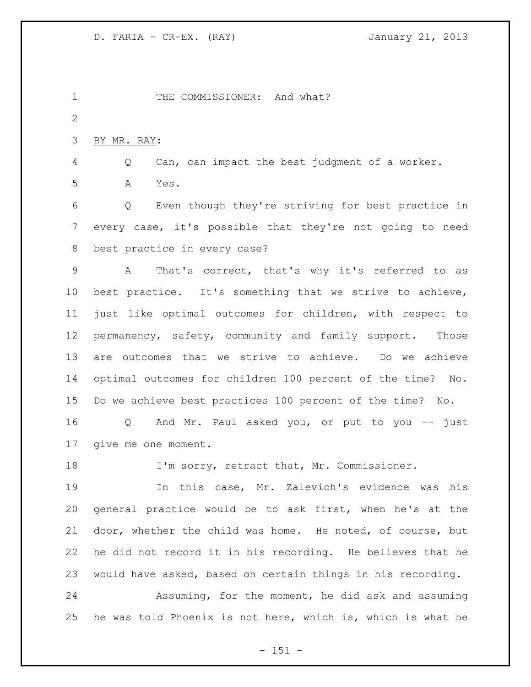1 THE COMMISSIONER: And what? BY MR. RAY: Q Can, can impact the best judgment of a worker. A Yes. Q Even though they're striving for best practice in every case, it's possible that they're not going to need best practice in every case? A That's correct, that's why it's referred to as best practice. It's something that we strive to achieve, just like optimal outcomes for children, with respect to permanency, safety, community and family support. Those are outcomes that we strive to achieve. Do we achieve optimal outcomes for children 100 percent of the time? No. Do we achieve best practices 100 percent of the time? No. Q And Mr. Paul asked you, or put to you -- just give me one moment. I'm sorry, retract that, Mr. Commissioner. In this case, Mr. Zalevich's evidence was his general practice would be to ask first, when he's at the door, whether the child was home. He noted, of course, but he did not record it in his recording. He believes that he would have asked, based on certain things in his recording. Assuming, for the moment, he did ask and assuming he was told Phoenix is not here, which is, which is what he

 $- 151 -$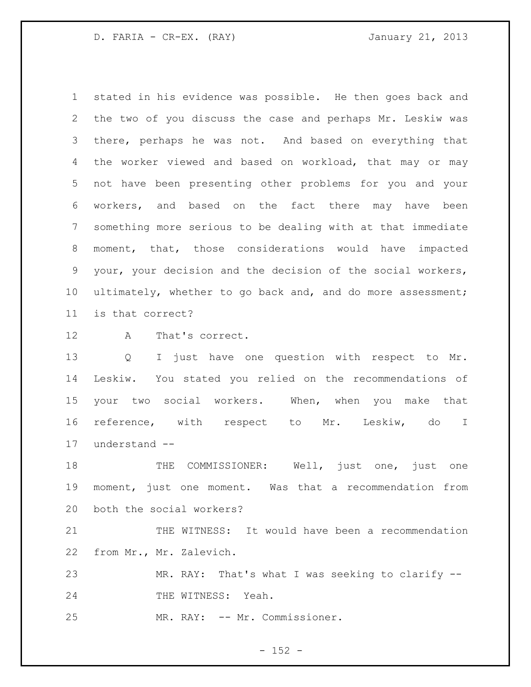D. FARIA - CR-EX. (RAY) January 21, 2013

 stated in his evidence was possible. He then goes back and the two of you discuss the case and perhaps Mr. Leskiw was there, perhaps he was not. And based on everything that the worker viewed and based on workload, that may or may not have been presenting other problems for you and your workers, and based on the fact there may have been something more serious to be dealing with at that immediate moment, that, those considerations would have impacted your, your decision and the decision of the social workers, ultimately, whether to go back and, and do more assessment; is that correct?

A That's correct.

 Q I just have one question with respect to Mr. Leskiw. You stated you relied on the recommendations of your two social workers. When, when you make that reference, with respect to Mr. Leskiw, do I understand --

 THE COMMISSIONER: Well, just one, just one moment, just one moment. Was that a recommendation from both the social workers?

 THE WITNESS: It would have been a recommendation from Mr., Mr. Zalevich.

 MR. RAY: That's what I was seeking to clarify -- 24 THE WITNESS: Yeah.

MR. RAY: -- Mr. Commissioner.

 $- 152 -$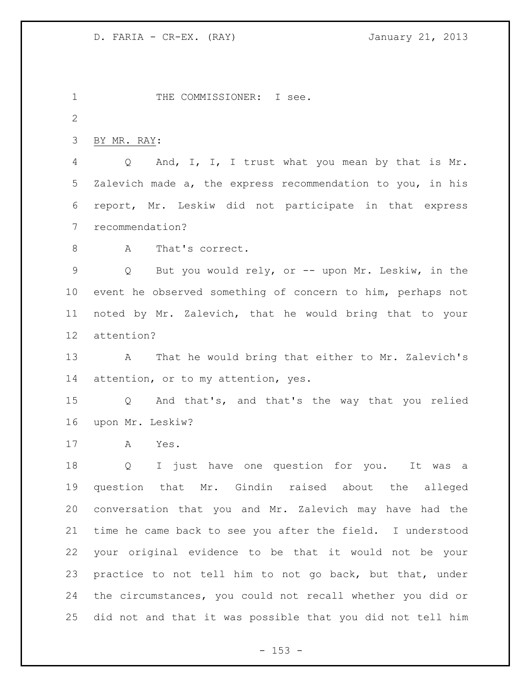1 THE COMMISSIONER: I see. BY MR. RAY: Q And, I, I, I trust what you mean by that is Mr. Zalevich made a, the express recommendation to you, in his report, Mr. Leskiw did not participate in that express recommendation? 8 A That's correct. Q But you would rely, or -- upon Mr. Leskiw, in the event he observed something of concern to him, perhaps not noted by Mr. Zalevich, that he would bring that to your attention? A That he would bring that either to Mr. Zalevich's attention, or to my attention, yes. Q And that's, and that's the way that you relied upon Mr. Leskiw? A Yes. Q I just have one question for you. It was a question that Mr. Gindin raised about the alleged conversation that you and Mr. Zalevich may have had the time he came back to see you after the field. I understood your original evidence to be that it would not be your practice to not tell him to not go back, but that, under the circumstances, you could not recall whether you did or did not and that it was possible that you did not tell him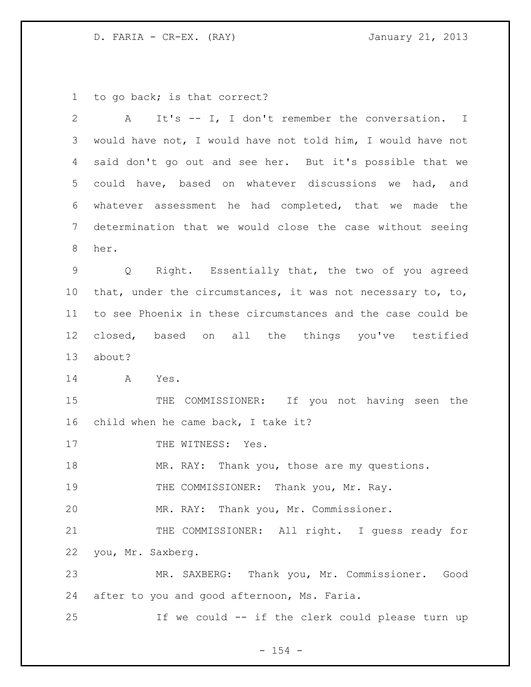D. FARIA - CR-EX. (RAY) 301 January 21, 2013

to go back; is that correct?

| $\overline{2}$  | It's -- I, I don't remember the conversation. I<br>A        |
|-----------------|-------------------------------------------------------------|
| 3               | would have not, I would have not told him, I would have not |
| 4               | said don't go out and see her. But it's possible that we    |
| 5               | could have, based on whatever discussions we had, and       |
| 6               | whatever assessment he had completed, that we made the      |
| $7\phantom{.0}$ | determination that we would close the case without seeing   |
| 8               | her.                                                        |
| $\mathsf 9$     | Q Right. Essentially that, the two of you agreed            |
| $10 \,$         | that, under the circumstances, it was not necessary to, to, |
| 11              | to see Phoenix in these circumstances and the case could be |
| 12              | closed, based on all the things you've testified            |
| 13              | about?                                                      |
| 14              | A<br>Yes.                                                   |
| 15              | THE COMMISSIONER: If you not having seen the                |
| 16              | child when he came back, I take it?                         |
| 17              | THE WITNESS: Yes.                                           |
| 18              | MR. RAY: Thank you, those are my questions.                 |
| 19              | THE COMMISSIONER: Thank you, Mr. Ray.                       |
| 20              | MR. RAY: Thank you, Mr. Commissioner.                       |
| 21              | THE COMMISSIONER: All right. I guess ready for              |
| 22              | you, Mr. Saxberg.                                           |
| 23              | MR. SAXBERG: Thank you, Mr. Commissioner. Good              |
| 24              | after to you and good afternoon, Ms. Faria.                 |
| 25              | If we could -- if the clerk could please turn up            |

- 154 -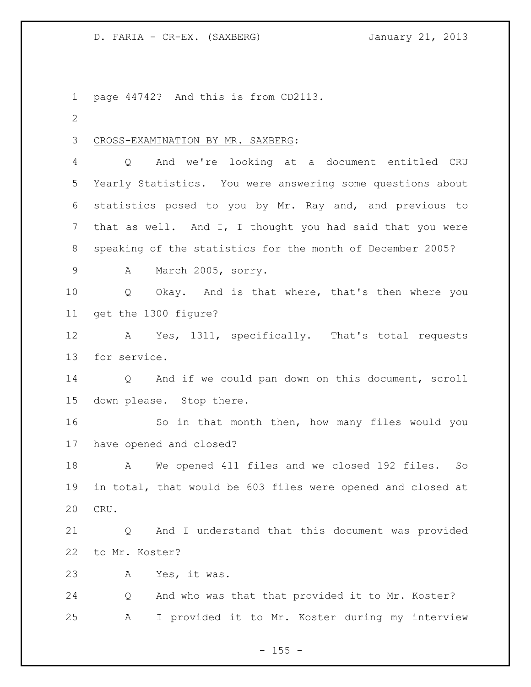page 44742? And this is from CD2113. CROSS-EXAMINATION BY MR. SAXBERG: Q And we're looking at a document entitled CRU Yearly Statistics. You were answering some questions about statistics posed to you by Mr. Ray and, and previous to that as well. And I, I thought you had said that you were speaking of the statistics for the month of December 2005? A March 2005, sorry. Q Okay. And is that where, that's then where you get the 1300 figure? A Yes, 1311, specifically. That's total requests for service. Q And if we could pan down on this document, scroll down please. Stop there. So in that month then, how many files would you have opened and closed? A We opened 411 files and we closed 192 files. So in total, that would be 603 files were opened and closed at CRU. Q And I understand that this document was provided to Mr. Koster? A Yes, it was. Q And who was that that provided it to Mr. Koster? A I provided it to Mr. Koster during my interview

 $- 155 -$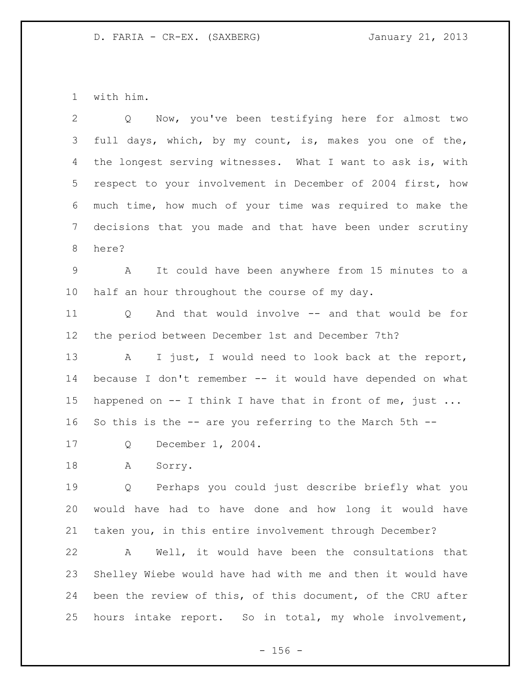with him.

| 2               | Now, you've been testifying here for almost two<br>$Q \qquad \qquad$ |
|-----------------|----------------------------------------------------------------------|
| 3               | full days, which, by my count, is, makes you one of the,             |
| 4               | the longest serving witnesses. What I want to ask is, with           |
| 5 <sup>5</sup>  | respect to your involvement in December of 2004 first, how           |
| 6               | much time, how much of your time was required to make the            |
| $7\phantom{.0}$ | decisions that you made and that have been under scrutiny            |
| 8               | here?                                                                |
| 9               | It could have been anywhere from 15 minutes to a<br>A                |
| 10 <sub>o</sub> | half an hour throughout the course of my day.                        |
| 11              | And that would involve -- and that would be for<br>Q                 |
| 12              | the period between December 1st and December 7th?                    |
| 13              | I just, I would need to look back at the report,<br>A                |
| 14              | because I don't remember -- it would have depended on what           |
| 15              | happened on $--$ I think I have that in front of me, just            |
| 16              | So this is the -- are you referring to the March 5th --              |
| 17              | December 1, 2004.<br>Q                                               |
| 18              | Sorry.<br>А                                                          |
| 19              | Perhaps you could just describe briefly what you<br>Q                |
| 20              | would have had to have done and how long it would have               |
| 21              | taken you, in this entire involvement through December?              |
| 22              | Well, it would have been the consultations that<br>A                 |
| 23              | Shelley Wiebe would have had with me and then it would have          |
| 24              | been the review of this, of this document, of the CRU after          |
| 25              | hours intake report. So in total, my whole involvement,              |

- 156 -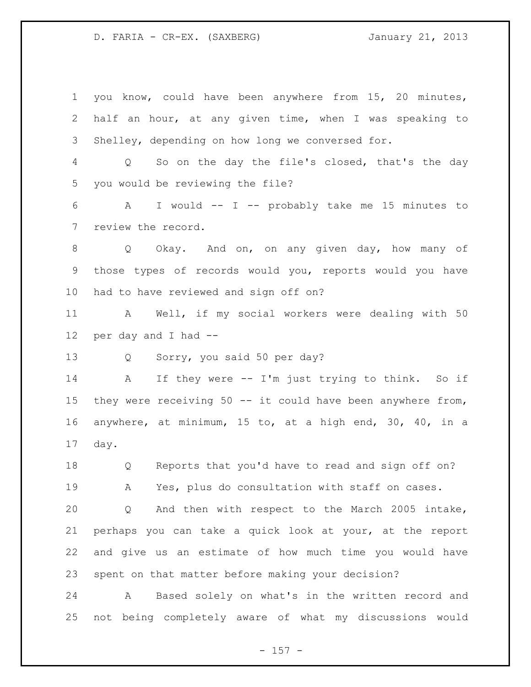you know, could have been anywhere from 15, 20 minutes, half an hour, at any given time, when I was speaking to Shelley, depending on how long we conversed for. Q So on the day the file's closed, that's the day you would be reviewing the file? A I would -- I -- probably take me 15 minutes to review the record. Q Okay. And on, on any given day, how many of those types of records would you, reports would you have had to have reviewed and sign off on? A Well, if my social workers were dealing with 50 per day and I had -- Q Sorry, you said 50 per day? 14 A If they were -- I'm just trying to think. So if 15 they were receiving 50 -- it could have been anywhere from, anywhere, at minimum, 15 to, at a high end, 30, 40, in a day. Q Reports that you'd have to read and sign off on? A Yes, plus do consultation with staff on cases. Q And then with respect to the March 2005 intake, perhaps you can take a quick look at your, at the report and give us an estimate of how much time you would have spent on that matter before making your decision? A Based solely on what's in the written record and

not being completely aware of what my discussions would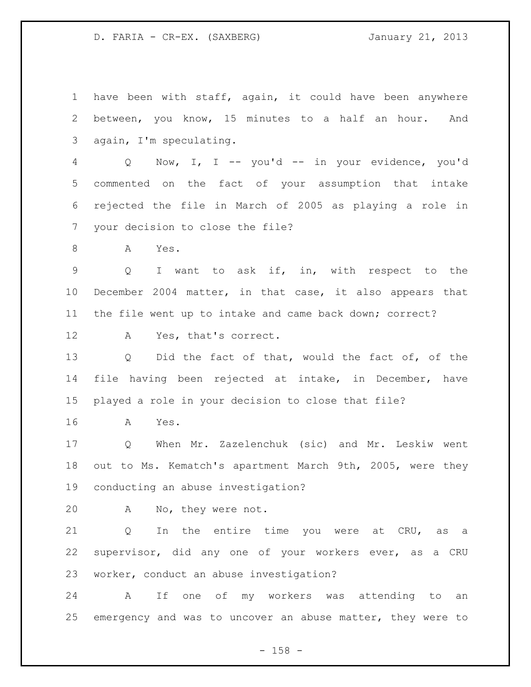have been with staff, again, it could have been anywhere between, you know, 15 minutes to a half an hour. And again, I'm speculating. Q Now, I, I -- you'd -- in your evidence, you'd commented on the fact of your assumption that intake rejected the file in March of 2005 as playing a role in your decision to close the file? A Yes. Q I want to ask if, in, with respect to the December 2004 matter, in that case, it also appears that the file went up to intake and came back down; correct? A Yes, that's correct. Q Did the fact of that, would the fact of, of the file having been rejected at intake, in December, have played a role in your decision to close that file? A Yes. Q When Mr. Zazelenchuk (sic) and Mr. Leskiw went out to Ms. Kematch's apartment March 9th, 2005, were they conducting an abuse investigation? A No, they were not. 21 Q In the entire time you were at CRU, as a supervisor, did any one of your workers ever, as a CRU worker, conduct an abuse investigation? A If one of my workers was attending to an emergency and was to uncover an abuse matter, they were to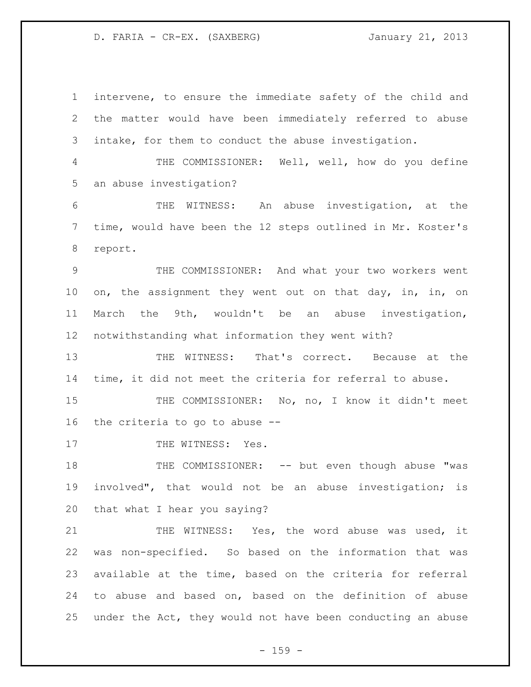intervene, to ensure the immediate safety of the child and the matter would have been immediately referred to abuse intake, for them to conduct the abuse investigation. THE COMMISSIONER: Well, well, how do you define an abuse investigation? THE WITNESS: An abuse investigation, at the time, would have been the 12 steps outlined in Mr. Koster's report. THE COMMISSIONER: And what your two workers went 10 on, the assignment they went out on that day, in, in, on March the 9th, wouldn't be an abuse investigation, notwithstanding what information they went with? THE WITNESS: That's correct. Because at the time, it did not meet the criteria for referral to abuse. 15 THE COMMISSIONER: No, no, I know it didn't meet the criteria to go to abuse -- 17 THE WITNESS: Yes. 18 THE COMMISSIONER: -- but even though abuse "was involved", that would not be an abuse investigation; is that what I hear you saying? 21 THE WITNESS: Yes, the word abuse was used, it was non-specified. So based on the information that was available at the time, based on the criteria for referral to abuse and based on, based on the definition of abuse under the Act, they would not have been conducting an abuse

 $- 159 -$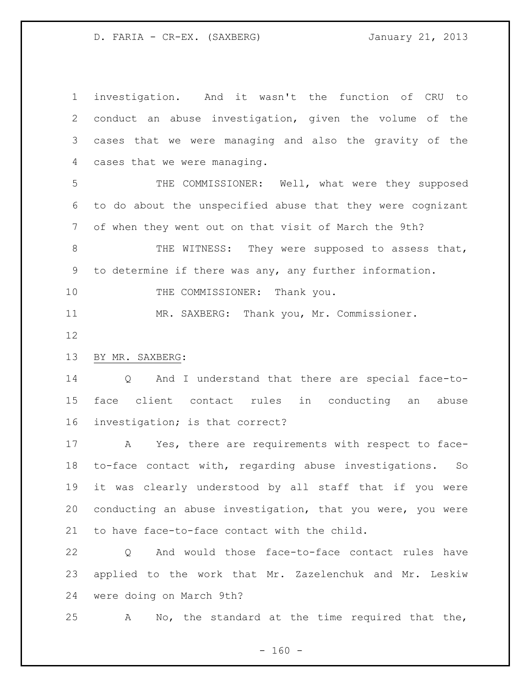investigation. And it wasn't the function of CRU to conduct an abuse investigation, given the volume of the cases that we were managing and also the gravity of the cases that we were managing.

 THE COMMISSIONER: Well, what were they supposed to do about the unspecified abuse that they were cognizant of when they went out on that visit of March the 9th?

8 THE WITNESS: They were supposed to assess that, to determine if there was any, any further information.

10 THE COMMISSIONER: Thank you.

MR. SAXBERG: Thank you, Mr. Commissioner.

# BY MR. SAXBERG:

 Q And I understand that there are special face-to- face client contact rules in conducting an abuse investigation; is that correct?

 A Yes, there are requirements with respect to face- to-face contact with, regarding abuse investigations. So it was clearly understood by all staff that if you were conducting an abuse investigation, that you were, you were to have face-to-face contact with the child.

 Q And would those face-to-face contact rules have applied to the work that Mr. Zazelenchuk and Mr. Leskiw were doing on March 9th?

A No, the standard at the time required that the,

 $- 160 -$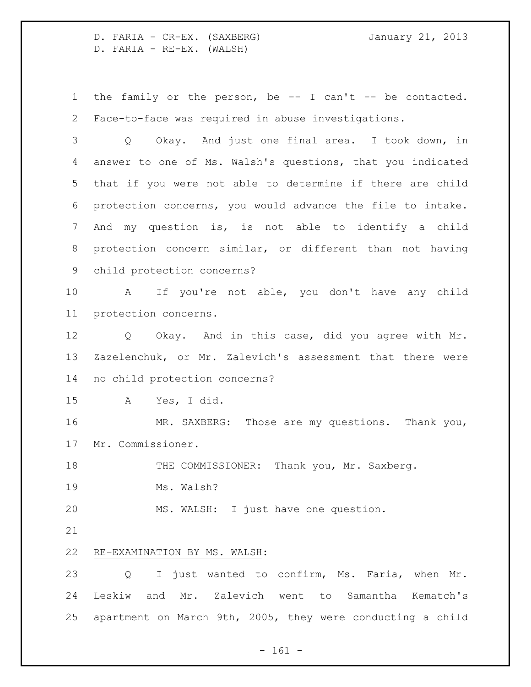D. FARIA - CR-EX. (SAXBERG) January 21, 2013 D. FARIA - RE-EX. (WALSH)

 the family or the person, be -- I can't -- be contacted. Face-to-face was required in abuse investigations.

 Q Okay. And just one final area. I took down, in answer to one of Ms. Walsh's questions, that you indicated that if you were not able to determine if there are child protection concerns, you would advance the file to intake. And my question is, is not able to identify a child protection concern similar, or different than not having child protection concerns?

 A If you're not able, you don't have any child protection concerns.

 Q Okay. And in this case, did you agree with Mr. Zazelenchuk, or Mr. Zalevich's assessment that there were no child protection concerns?

A Yes, I did.

 MR. SAXBERG: Those are my questions. Thank you, Mr. Commissioner.

18 THE COMMISSIONER: Thank you, Mr. Saxberg.

Ms. Walsh?

MS. WALSH: I just have one question.

# RE-EXAMINATION BY MS. WALSH:

 Q I just wanted to confirm, Ms. Faria, when Mr. Leskiw and Mr. Zalevich went to Samantha Kematch's apartment on March 9th, 2005, they were conducting a child

- 161 -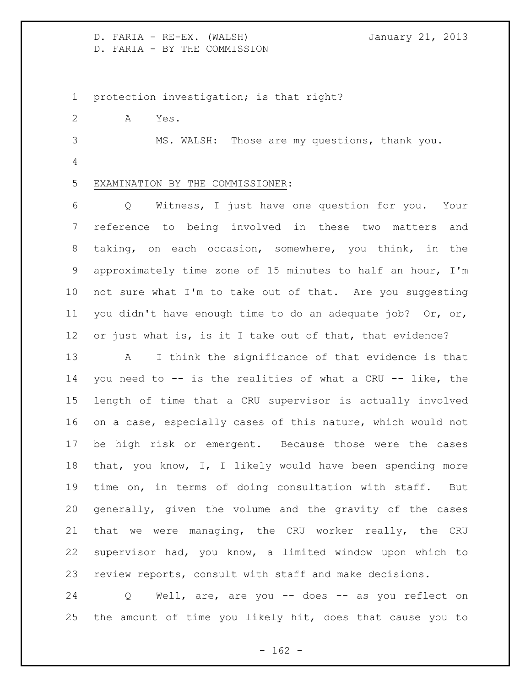D. FARIA - RE-EX. (WALSH) **January 21, 2013** D. FARIA - BY THE COMMISSION

protection investigation; is that right?

A Yes.

 MS. WALSH: Those are my questions, thank you. 

EXAMINATION BY THE COMMISSIONER:

 Q Witness, I just have one question for you. Your reference to being involved in these two matters and taking, on each occasion, somewhere, you think, in the approximately time zone of 15 minutes to half an hour, I'm not sure what I'm to take out of that. Are you suggesting you didn't have enough time to do an adequate job? Or, or, or just what is, is it I take out of that, that evidence?

 A I think the significance of that evidence is that you need to -- is the realities of what a CRU -- like, the length of time that a CRU supervisor is actually involved on a case, especially cases of this nature, which would not be high risk or emergent. Because those were the cases that, you know, I, I likely would have been spending more time on, in terms of doing consultation with staff. But generally, given the volume and the gravity of the cases that we were managing, the CRU worker really, the CRU supervisor had, you know, a limited window upon which to review reports, consult with staff and make decisions.

 Q Well, are, are you -- does -- as you reflect on the amount of time you likely hit, does that cause you to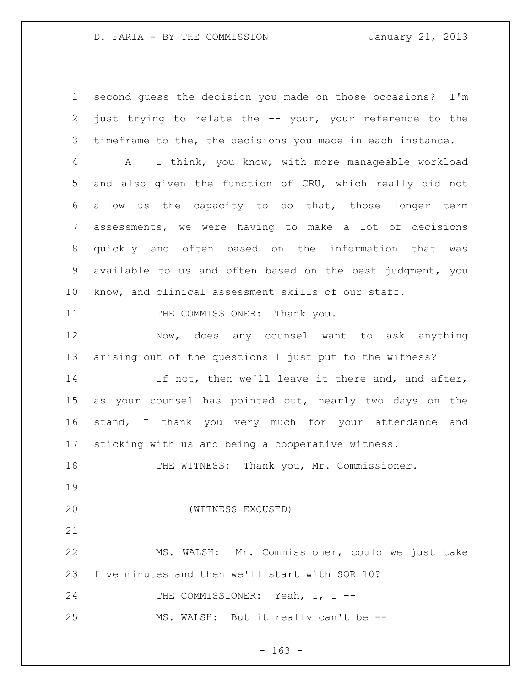### D. FARIA - BY THE COMMISSION January 21, 2013

 second guess the decision you made on those occasions? I'm just trying to relate the -- your, your reference to the timeframe to the, the decisions you made in each instance.

 A I think, you know, with more manageable workload and also given the function of CRU, which really did not allow us the capacity to do that, those longer term assessments, we were having to make a lot of decisions quickly and often based on the information that was available to us and often based on the best judgment, you know, and clinical assessment skills of our staff.

11 THE COMMISSIONER: Thank you.

 Now, does any counsel want to ask anything arising out of the questions I just put to the witness?

14 If not, then we'll leave it there and, and after, as your counsel has pointed out, nearly two days on the stand, I thank you very much for your attendance and sticking with us and being a cooperative witness.

THE WITNESS: Thank you, Mr. Commissioner.

(WITNESS EXCUSED)

 MS. WALSH: Mr. Commissioner, could we just take five minutes and then we'll start with SOR 10?

24 THE COMMISSIONER: Yeah, I, I --

MS. WALSH: But it really can't be --

- 163 -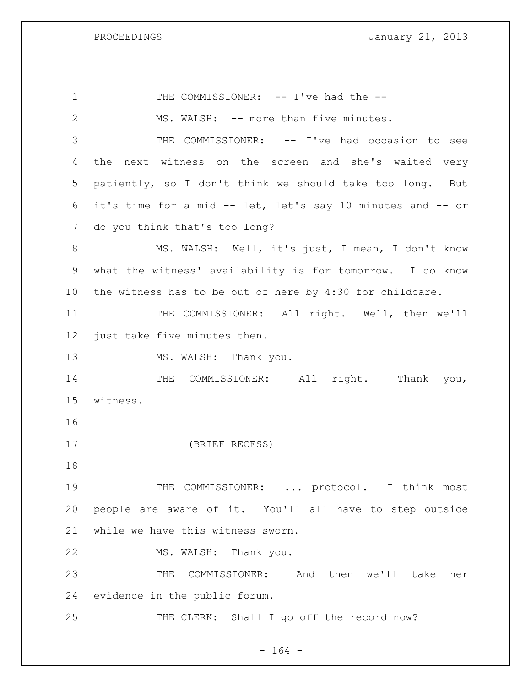PROCEEDINGS **January 21, 2013** 

1 THE COMMISSIONER: -- I've had the --2 MS. WALSH: -- more than five minutes. THE COMMISSIONER: -- I've had occasion to see the next witness on the screen and she's waited very patiently, so I don't think we should take too long. But it's time for a mid -- let, let's say 10 minutes and -- or do you think that's too long? 8 MS. WALSH: Well, it's just, I mean, I don't know what the witness' availability is for tomorrow. I do know the witness has to be out of here by 4:30 for childcare. 11 THE COMMISSIONER: All right. Well, then we'll just take five minutes then. 13 MS. WALSH: Thank you. 14 THE COMMISSIONER: All right. Thank you, witness. (BRIEF RECESS) THE COMMISSIONER: ... protocol. I think most people are aware of it. You'll all have to step outside while we have this witness sworn. MS. WALSH: Thank you. THE COMMISSIONER: And then we'll take her evidence in the public forum. 25 THE CLERK: Shall I go off the record now?

- 164 -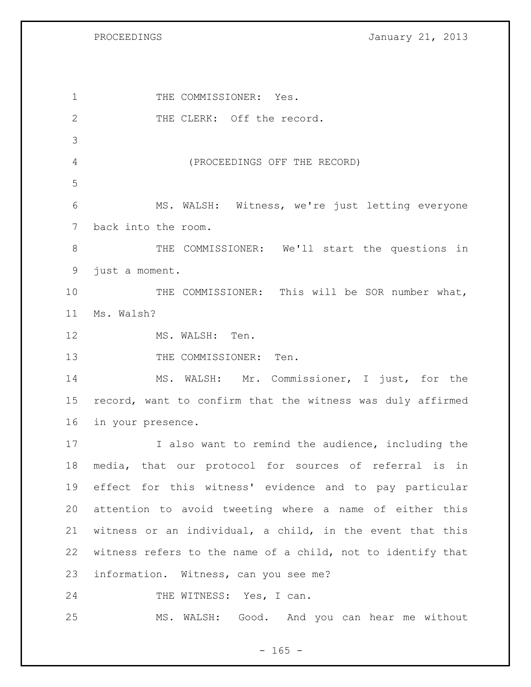PROCEEDINGS **January 21, 2013** 

1 THE COMMISSIONER: Yes. 2 THE CLERK: Off the record. (PROCEEDINGS OFF THE RECORD) MS. WALSH: Witness, we're just letting everyone back into the room. THE COMMISSIONER: We'll start the questions in just a moment. THE COMMISSIONER: This will be SOR number what, Ms. Walsh? 12 MS. WALSH: Ten. 13 THE COMMISSIONER: Ten. MS. WALSH: Mr. Commissioner, I just, for the record, want to confirm that the witness was duly affirmed in your presence. I also want to remind the audience, including the media, that our protocol for sources of referral is in effect for this witness' evidence and to pay particular attention to avoid tweeting where a name of either this witness or an individual, a child, in the event that this witness refers to the name of a child, not to identify that information. Witness, can you see me? 24 THE WITNESS: Yes, I can. MS. WALSH: Good. And you can hear me without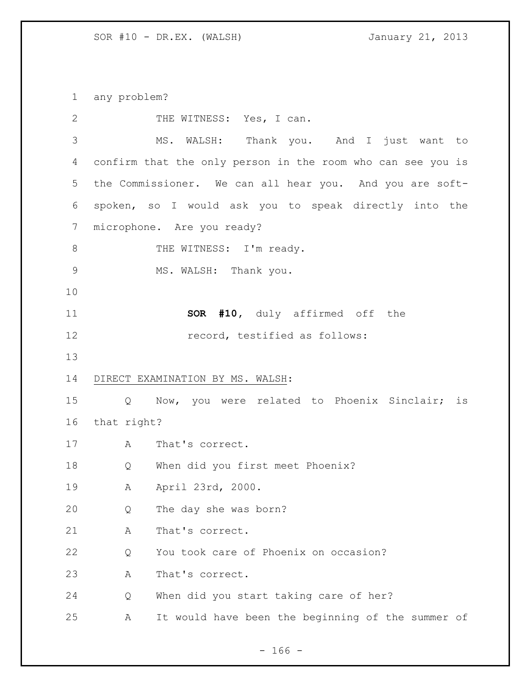any problem?

| $\mathbf{2}$  |             | THE WITNESS: Yes, I can.                                    |
|---------------|-------------|-------------------------------------------------------------|
| $\mathcal{S}$ |             | MS. WALSH: Thank you. And I just want to                    |
| 4             |             | confirm that the only person in the room who can see you is |
| 5             |             | the Commissioner. We can all hear you. And you are soft-    |
| 6             |             | spoken, so I would ask you to speak directly into the       |
| 7             |             | microphone. Are you ready?                                  |
| $\,8\,$       |             | THE WITNESS: I'm ready.                                     |
| $\mathsf 9$   |             | MS. WALSH: Thank you.                                       |
| 10            |             |                                                             |
| 11            |             | <b>SOR #10,</b> duly affirmed off the                       |
| 12            |             | record, testified as follows:                               |
| 13            |             |                                                             |
| 14            |             | DIRECT EXAMINATION BY MS. WALSH:                            |
| 15            |             | Q Now, you were related to Phoenix Sinclair; is             |
| 16            | that right? |                                                             |
| 17            | A           | That's correct.                                             |
| 18            | Q           | When did you first meet Phoenix?                            |
| 19            | Α           | April 23rd, 2000.                                           |
| 20            | Q           | The day she was born?                                       |
| 21            | Α           | That's correct.                                             |
| 22            | Q           | You took care of Phoenix on occasion?                       |
| 23            | Α           | That's correct.                                             |
| 24            | Q           | When did you start taking care of her?                      |
| 25            | Α           | It would have been the beginning of the summer of           |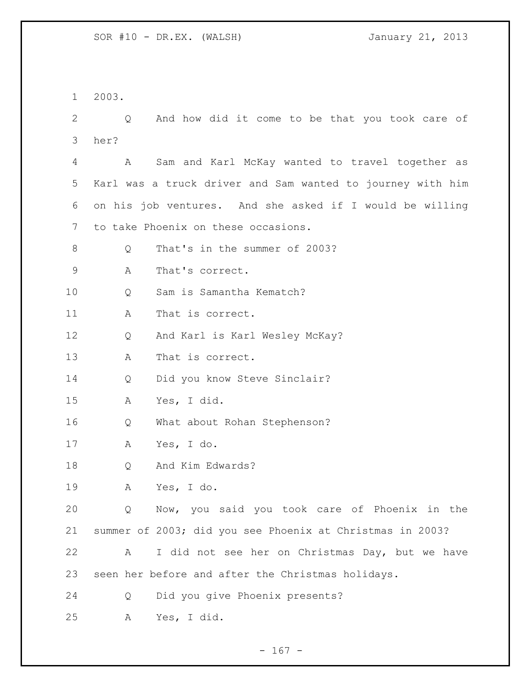2003.

 Q And how did it come to be that you took care of her?

 A Sam and Karl McKay wanted to travel together as Karl was a truck driver and Sam wanted to journey with him on his job ventures. And she asked if I would be willing to take Phoenix on these occasions.

Q That's in the summer of 2003?

A That's correct.

Q Sam is Samantha Kematch?

11 A That is correct.

Q And Karl is Karl Wesley McKay?

A That is correct.

Q Did you know Steve Sinclair?

A Yes, I did.

Q What about Rohan Stephenson?

A Yes, I do.

Q And Kim Edwards?

A Yes, I do.

 Q Now, you said you took care of Phoenix in the summer of 2003; did you see Phoenix at Christmas in 2003?

 A I did not see her on Christmas Day, but we have seen her before and after the Christmas holidays.

Q Did you give Phoenix presents?

A Yes, I did.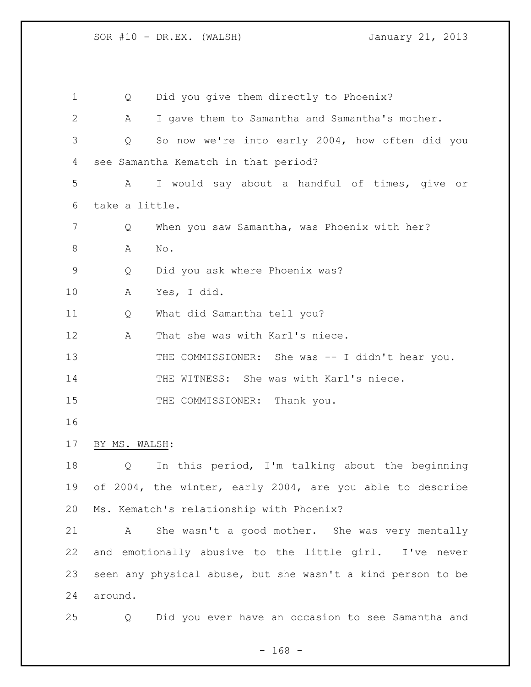| 1  | Q              | Did you give them directly to Phoenix?                      |
|----|----------------|-------------------------------------------------------------|
| 2  | А              | I gave them to Samantha and Samantha's mother.              |
| 3  | Q              | So now we're into early 2004, how often did you             |
| 4  |                | see Samantha Kematch in that period?                        |
| 5  | A              | I would say about a handful of times, give or               |
| 6  | take a little. |                                                             |
| 7  | Q              | When you saw Samantha, was Phoenix with her?                |
| 8  | A              | No.                                                         |
| 9  | Q              | Did you ask where Phoenix was?                              |
| 10 | Α              | Yes, I did.                                                 |
| 11 | Q              | What did Samantha tell you?                                 |
| 12 | Α              | That she was with Karl's niece.                             |
| 13 |                | THE COMMISSIONER: She was -- I didn't hear you.             |
| 14 |                | THE WITNESS: She was with Karl's niece.                     |
| 15 |                | THE COMMISSIONER:<br>Thank you.                             |
| 16 |                |                                                             |
| 17 | BY MS. WALSH:  |                                                             |
| 18 | Q              | In this period, I'm talking about the beginning             |
| 19 |                | of 2004, the winter, early 2004, are you able to describe   |
| 20 |                | Ms. Kematch's relationship with Phoenix?                    |
| 21 | Α              | She wasn't a good mother. She was very mentally             |
| 22 |                | and emotionally abusive to the little girl. I've never      |
| 23 |                | seen any physical abuse, but she wasn't a kind person to be |
| 24 | around.        |                                                             |
| 25 | Q              | Did you ever have an occasion to see Samantha and           |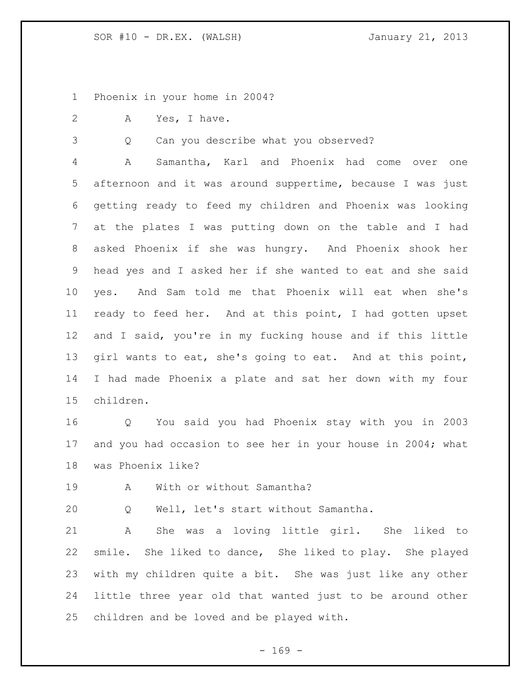Phoenix in your home in 2004?

A Yes, I have.

Q Can you describe what you observed?

 A Samantha, Karl and Phoenix had come over one afternoon and it was around suppertime, because I was just getting ready to feed my children and Phoenix was looking at the plates I was putting down on the table and I had asked Phoenix if she was hungry. And Phoenix shook her head yes and I asked her if she wanted to eat and she said yes. And Sam told me that Phoenix will eat when she's ready to feed her. And at this point, I had gotten upset and I said, you're in my fucking house and if this little girl wants to eat, she's going to eat. And at this point, I had made Phoenix a plate and sat her down with my four children.

 Q You said you had Phoenix stay with you in 2003 17 and you had occasion to see her in your house in 2004; what was Phoenix like?

19 A With or without Samantha?

Q Well, let's start without Samantha.

 A She was a loving little girl. She liked to smile. She liked to dance, She liked to play. She played with my children quite a bit. She was just like any other little three year old that wanted just to be around other children and be loved and be played with.

 $- 169 -$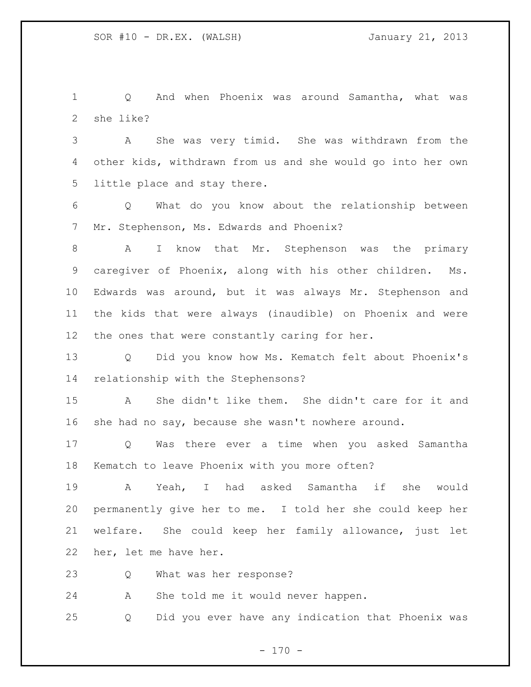Q And when Phoenix was around Samantha, what was she like?

 A She was very timid. She was withdrawn from the other kids, withdrawn from us and she would go into her own little place and stay there.

 Q What do you know about the relationship between Mr. Stephenson, Ms. Edwards and Phoenix?

 A I know that Mr. Stephenson was the primary caregiver of Phoenix, along with his other children. Ms. Edwards was around, but it was always Mr. Stephenson and the kids that were always (inaudible) on Phoenix and were the ones that were constantly caring for her.

 Q Did you know how Ms. Kematch felt about Phoenix's relationship with the Stephensons?

 A She didn't like them. She didn't care for it and she had no say, because she wasn't nowhere around.

 Q Was there ever a time when you asked Samantha Kematch to leave Phoenix with you more often?

 A Yeah, I had asked Samantha if she would permanently give her to me. I told her she could keep her welfare. She could keep her family allowance, just let her, let me have her.

Q What was her response?

A She told me it would never happen.

Q Did you ever have any indication that Phoenix was

 $- 170 -$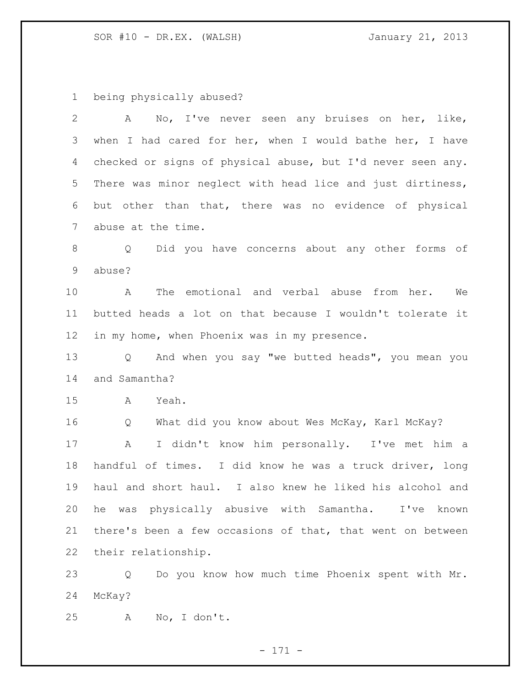being physically abused?

| $\mathbf{2}$    | No, I've never seen any bruises on her, like,<br>A             |
|-----------------|----------------------------------------------------------------|
| 3               | when I had cared for her, when I would bathe her, I have       |
| 4               | checked or signs of physical abuse, but I'd never seen any.    |
| 5               | There was minor neglect with head lice and just dirtiness,     |
| 6               | but other than that, there was no evidence of physical         |
| $7\phantom{.0}$ | abuse at the time.                                             |
| 8               | Did you have concerns about any other forms of<br>Q            |
| 9               | abuse?                                                         |
| 10 <sub>o</sub> | The emotional and verbal abuse from her. We<br>A               |
| 11              | butted heads a lot on that because I wouldn't tolerate it      |
| 12              | in my home, when Phoenix was in my presence.                   |
| 13              | And when you say "we butted heads", you mean you<br>$Q \qquad$ |
| 14              | and Samantha?                                                  |
| 15              | Yeah.<br>A                                                     |
| 16              | What did you know about Wes McKay, Karl McKay?<br>Q            |
| 17              | I didn't know him personally. I've met him a<br>A              |
| 18              | handful of times. I did know he was a truck driver, long       |
| 19              | haul and short haul. I also knew he liked his alcohol and      |
| 20              | he was physically abusive with Samantha.<br>I've<br>known      |
| 21              | there's been a few occasions of that, that went on between     |
| 22              | their relationship.                                            |
| 23              | Do you know how much time Phoenix spent with Mr.<br>Q          |
| 24              | McKay?                                                         |

A No, I don't.

- 171 -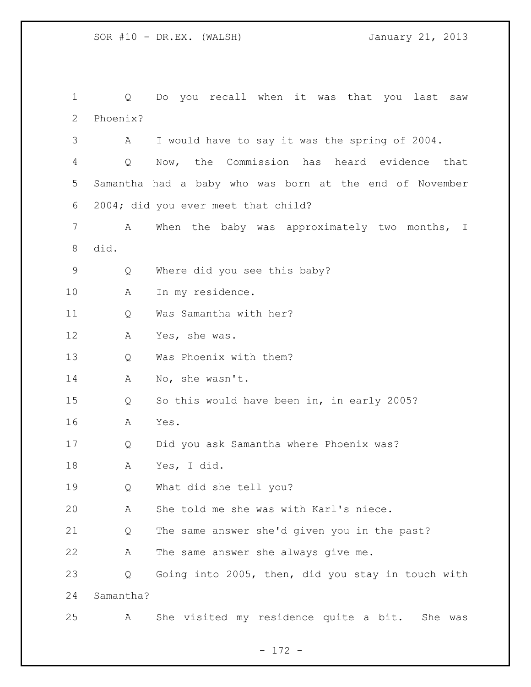Q Do you recall when it was that you last saw Phoenix? A I would have to say it was the spring of 2004. Q Now, the Commission has heard evidence that Samantha had a baby who was born at the end of November 2004; did you ever meet that child? A When the baby was approximately two months, I did. Q Where did you see this baby? A In my residence. Q Was Samantha with her? A Yes, she was. Q Was Phoenix with them? 14 A No, she wasn't. Q So this would have been in, in early 2005? A Yes. Q Did you ask Samantha where Phoenix was? A Yes, I did. Q What did she tell you? A She told me she was with Karl's niece. Q The same answer she'd given you in the past? A The same answer she always give me. Q Going into 2005, then, did you stay in touch with Samantha? A She visited my residence quite a bit. She was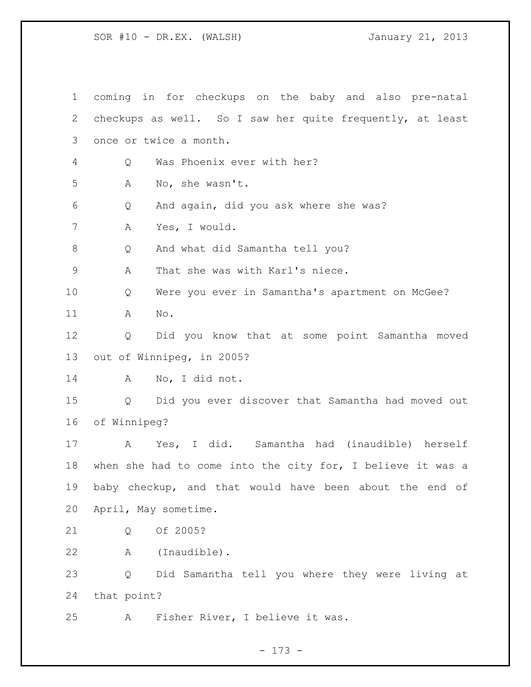coming in for checkups on the baby and also pre-natal checkups as well. So I saw her quite frequently, at least once or twice a month. Q Was Phoenix ever with her? A No, she wasn't. Q And again, did you ask where she was? A Yes, I would. 8 Q And what did Samantha tell you? A That she was with Karl's niece. Q Were you ever in Samantha's apartment on McGee? A No. Q Did you know that at some point Samantha moved out of Winnipeg, in 2005? A No, I did not. Q Did you ever discover that Samantha had moved out of Winnipeg? A Yes, I did. Samantha had (inaudible) herself when she had to come into the city for, I believe it was a baby checkup, and that would have been about the end of April, May sometime. Q Of 2005? A (Inaudible). Q Did Samantha tell you where they were living at that point? A Fisher River, I believe it was.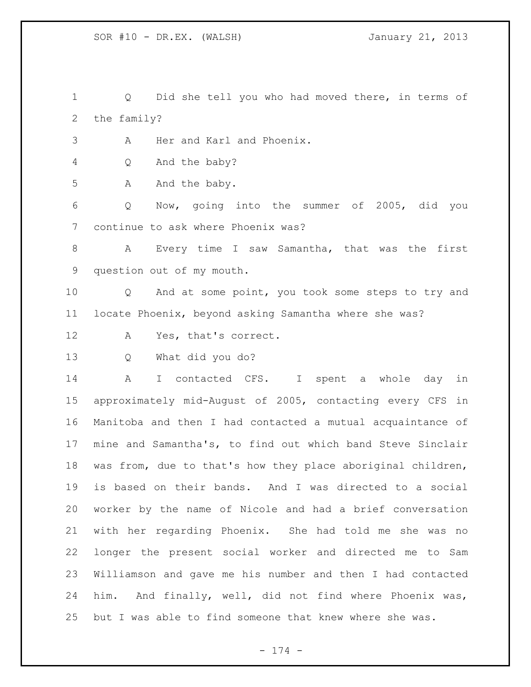Q Did she tell you who had moved there, in terms of the family?

A Her and Karl and Phoenix.

Q And the baby?

5 A And the baby.

 Q Now, going into the summer of 2005, did you continue to ask where Phoenix was?

 A Every time I saw Samantha, that was the first question out of my mouth.

 Q And at some point, you took some steps to try and locate Phoenix, beyond asking Samantha where she was?

- A Yes, that's correct.
- 

Q What did you do?

 A I contacted CFS. I spent a whole day in approximately mid-August of 2005, contacting every CFS in Manitoba and then I had contacted a mutual acquaintance of mine and Samantha's, to find out which band Steve Sinclair was from, due to that's how they place aboriginal children, is based on their bands. And I was directed to a social worker by the name of Nicole and had a brief conversation with her regarding Phoenix. She had told me she was no longer the present social worker and directed me to Sam Williamson and gave me his number and then I had contacted him. And finally, well, did not find where Phoenix was, but I was able to find someone that knew where she was.

- 174 -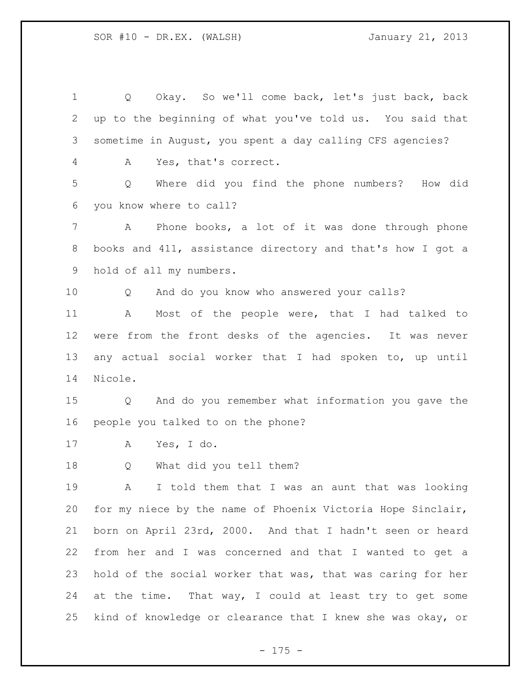Q Okay. So we'll come back, let's just back, back up to the beginning of what you've told us. You said that sometime in August, you spent a day calling CFS agencies? A Yes, that's correct. Q Where did you find the phone numbers? How did you know where to call? A Phone books, a lot of it was done through phone books and 411, assistance directory and that's how I got a hold of all my numbers. Q And do you know who answered your calls? A Most of the people were, that I had talked to were from the front desks of the agencies. It was never any actual social worker that I had spoken to, up until Nicole. Q And do you remember what information you gave the people you talked to on the phone? A Yes, I do. Q What did you tell them? A I told them that I was an aunt that was looking for my niece by the name of Phoenix Victoria Hope Sinclair, born on April 23rd, 2000. And that I hadn't seen or heard from her and I was concerned and that I wanted to get a hold of the social worker that was, that was caring for her at the time. That way, I could at least try to get some kind of knowledge or clearance that I knew she was okay, or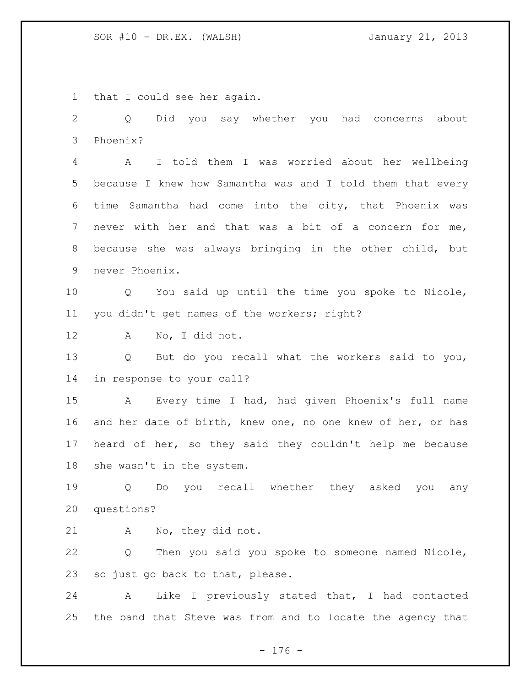that I could see her again.

 Q Did you say whether you had concerns about Phoenix?

 A I told them I was worried about her wellbeing because I knew how Samantha was and I told them that every time Samantha had come into the city, that Phoenix was never with her and that was a bit of a concern for me, because she was always bringing in the other child, but never Phoenix.

 Q You said up until the time you spoke to Nicole, you didn't get names of the workers; right?

A No, I did not.

 Q But do you recall what the workers said to you, in response to your call?

 A Every time I had, had given Phoenix's full name and her date of birth, knew one, no one knew of her, or has heard of her, so they said they couldn't help me because she wasn't in the system.

 Q Do you recall whether they asked you any questions?

A No, they did not.

 Q Then you said you spoke to someone named Nicole, so just go back to that, please.

 A Like I previously stated that, I had contacted the band that Steve was from and to locate the agency that

- 176 -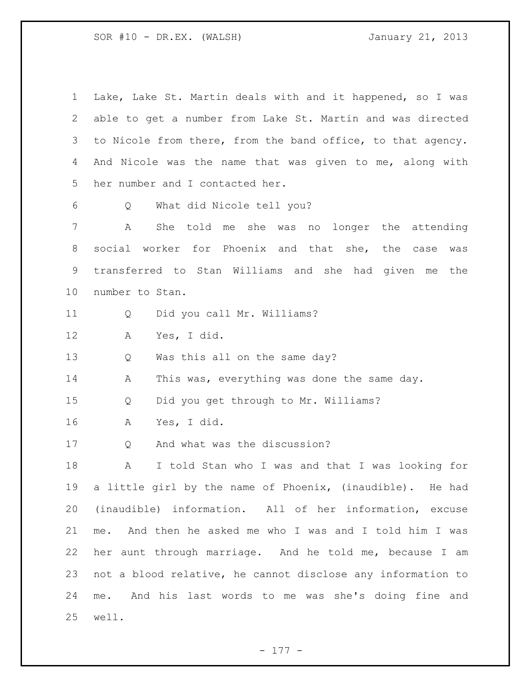| $\mathbf 1$ | Lake, Lake St. Martin deals with and it happened, so I was  |
|-------------|-------------------------------------------------------------|
| 2           | able to get a number from Lake St. Martin and was directed  |
| 3           | to Nicole from there, from the band office, to that agency. |
| 4           | And Nicole was the name that was given to me, along with    |
| 5           | her number and I contacted her.                             |
| 6           | What did Nicole tell you?<br>Q                              |
| 7           | She told me she was<br>Α<br>no longer the attending         |
| 8           | social worker for Phoenix and that she, the case<br>was     |
| 9           | transferred to Stan Williams and she had given me<br>the    |
| 10          | number to Stan.                                             |
| 11          | Did you call Mr. Williams?<br>Q                             |
| 12          | Yes, I did.<br>A                                            |
| 13          | Was this all on the same day?<br>Q                          |
| 14          | This was, everything was done the same day.<br>A            |
| 15          | Did you get through to Mr. Williams?<br>Q                   |
| 16          | Yes, I did.<br>A                                            |
| 17          | And what was the discussion?<br>Q                           |
| 18          | I told Stan who I was and that I was looking for<br>Α       |
| 19          | a little girl by the name of Phoenix, (inaudible). He had   |
| 20          | (inaudible) information. All of her information, excuse     |
| 21          | And then he asked me who I was and I told him I was<br>me.  |
| 22          | her aunt through marriage. And he told me, because I am     |
| 23          | not a blood relative, he cannot disclose any information to |
| 24          | And his last words to me was she's doing fine and<br>me.    |
| 25          | well.                                                       |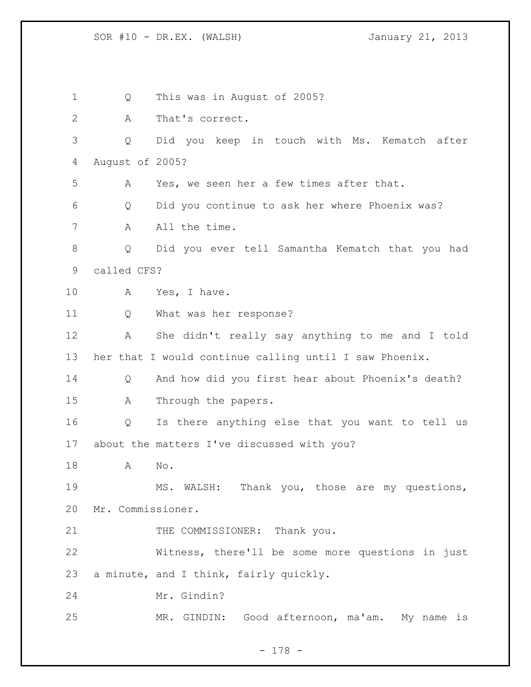SOR #10 - DR.EX. (WALSH) January 21, 2013

 Q This was in August of 2005? A That's correct. Q Did you keep in touch with Ms. Kematch after August of 2005? A Yes, we seen her a few times after that. Q Did you continue to ask her where Phoenix was? 7 A All the time. Q Did you ever tell Samantha Kematch that you had called CFS? 10 A Yes, I have. Q What was her response? A She didn't really say anything to me and I told her that I would continue calling until I saw Phoenix. Q And how did you first hear about Phoenix's death? A Through the papers. Q Is there anything else that you want to tell us about the matters I've discussed with you? A No. MS. WALSH: Thank you, those are my questions, Mr. Commissioner. 21 THE COMMISSIONER: Thank you. Witness, there'll be some more questions in just a minute, and I think, fairly quickly. Mr. Gindin? MR. GINDIN: Good afternoon, ma'am. My name is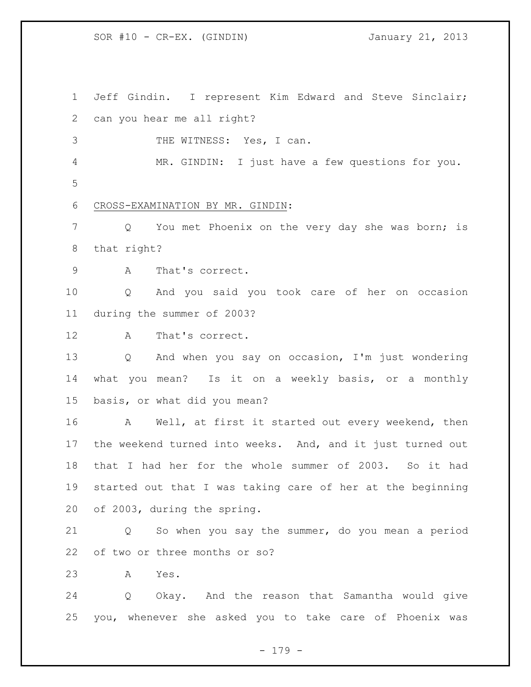Jeff Gindin. I represent Kim Edward and Steve Sinclair; can you hear me all right?

THE WITNESS: Yes, I can.

 MR. GINDIN: I just have a few questions for you. 

CROSS-EXAMINATION BY MR. GINDIN:

 Q You met Phoenix on the very day she was born; is that right?

A That's correct.

 Q And you said you took care of her on occasion during the summer of 2003?

A That's correct.

 Q And when you say on occasion, I'm just wondering what you mean? Is it on a weekly basis, or a monthly basis, or what did you mean?

16 A Well, at first it started out every weekend, then the weekend turned into weeks. And, and it just turned out that I had her for the whole summer of 2003. So it had started out that I was taking care of her at the beginning of 2003, during the spring.

 Q So when you say the summer, do you mean a period of two or three months or so?

A Yes.

 Q Okay. And the reason that Samantha would give you, whenever she asked you to take care of Phoenix was

- 179 -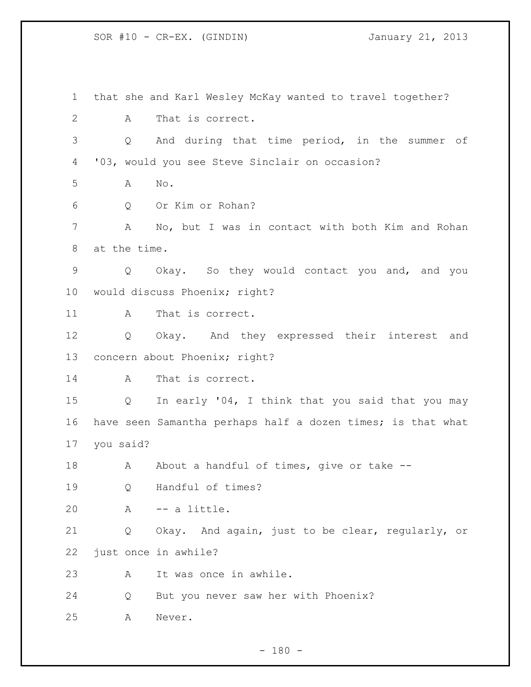that she and Karl Wesley McKay wanted to travel together? A That is correct. Q And during that time period, in the summer of '03, would you see Steve Sinclair on occasion? A No. Q Or Kim or Rohan? A No, but I was in contact with both Kim and Rohan at the time. Q Okay. So they would contact you and, and you would discuss Phoenix; right? A That is correct. Q Okay. And they expressed their interest and concern about Phoenix; right? A That is correct. Q In early '04, I think that you said that you may have seen Samantha perhaps half a dozen times; is that what you said? 18 A About a handful of times, give or take -- Q Handful of times? A -- a little. Q Okay. And again, just to be clear, regularly, or just once in awhile? A It was once in awhile. Q But you never saw her with Phoenix? A Never.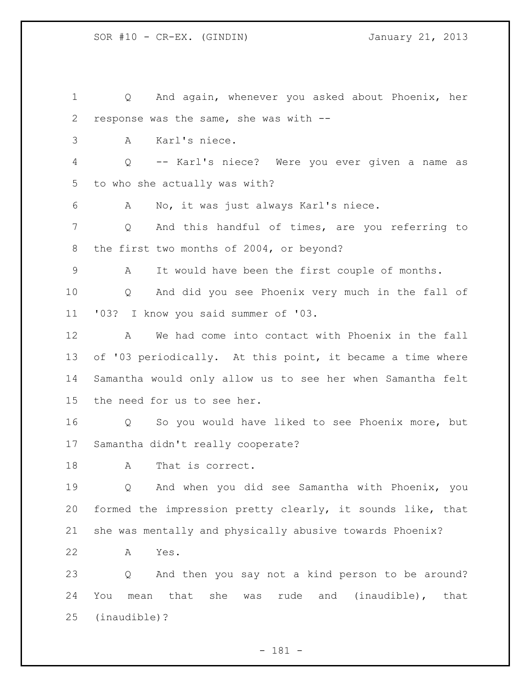Q And again, whenever you asked about Phoenix, her response was the same, she was with -- A Karl's niece. Q -- Karl's niece? Were you ever given a name as to who she actually was with? A No, it was just always Karl's niece. 7 Q And this handful of times, are you referring to 8 the first two months of 2004, or beyond? A It would have been the first couple of months. Q And did you see Phoenix very much in the fall of '03? I know you said summer of '03. A We had come into contact with Phoenix in the fall of '03 periodically. At this point, it became a time where Samantha would only allow us to see her when Samantha felt the need for us to see her. Q So you would have liked to see Phoenix more, but Samantha didn't really cooperate? A That is correct. Q And when you did see Samantha with Phoenix, you formed the impression pretty clearly, it sounds like, that she was mentally and physically abusive towards Phoenix? A Yes. Q And then you say not a kind person to be around? You mean that she was rude and (inaudible), that (inaudible)?

- 181 -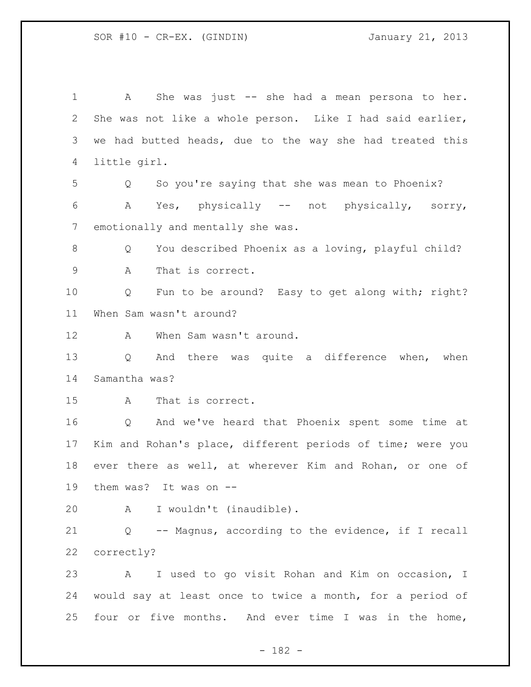A She was just -- she had a mean persona to her. She was not like a whole person. Like I had said earlier, we had butted heads, due to the way she had treated this little girl. Q So you're saying that she was mean to Phoenix? A Yes, physically -- not physically, sorry, emotionally and mentally she was. Q You described Phoenix as a loving, playful child? A That is correct. Q Fun to be around? Easy to get along with; right? When Sam wasn't around? 12 A When Sam wasn't around. Q And there was quite a difference when, when Samantha was? A That is correct. Q And we've heard that Phoenix spent some time at Kim and Rohan's place, different periods of time; were you ever there as well, at wherever Kim and Rohan, or one of them was? It was on -- A I wouldn't (inaudible). Q -- Magnus, according to the evidence, if I recall correctly? A I used to go visit Rohan and Kim on occasion, I would say at least once to twice a month, for a period of four or five months. And ever time I was in the home,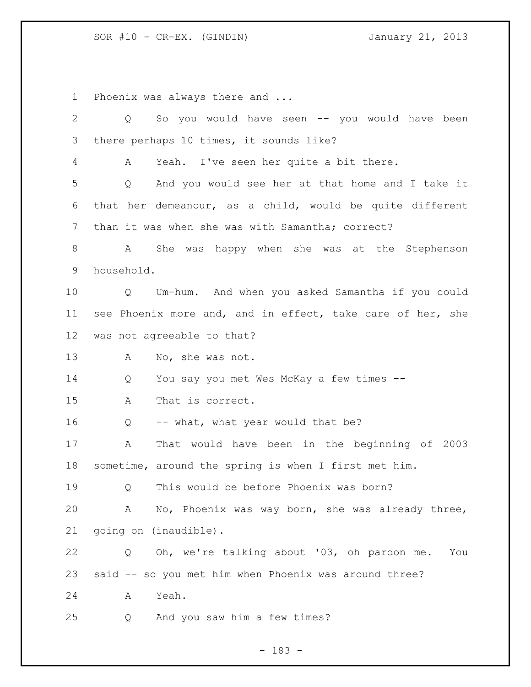Phoenix was always there and ...

| $\mathbf{2}$ | So you would have seen -- you would have been<br>Q         |
|--------------|------------------------------------------------------------|
| 3            | there perhaps 10 times, it sounds like?                    |
| 4            | Yeah. I've seen her quite a bit there.<br>A                |
| 5            | And you would see her at that home and I take it<br>Q      |
| 6            | that her demeanour, as a child, would be quite different   |
| 7            | than it was when she was with Samantha; correct?           |
| 8            | She was happy when she was at the Stephenson<br>A          |
| 9            | household.                                                 |
| 10           | Q Um-hum. And when you asked Samantha if you could         |
| 11           | see Phoenix more and, and in effect, take care of her, she |
| 12           | was not agreeable to that?                                 |
| 13           | No, she was not.<br>A                                      |
| 14           | You say you met Wes McKay a few times --<br>Q              |
| 15           | That is correct.<br>A                                      |
| 16           | -- what, what year would that be?<br>Q                     |
| 17           | That would have been in the beginning of 2003<br>A         |
| 18           | sometime, around the spring is when I first met him.       |
| 19           | This would be before Phoenix was born?<br>0                |
| 20           | No, Phoenix was way born, she was already three,<br>A      |
| 21           | going on (inaudible).                                      |
| 22           | Oh, we're talking about '03, oh pardon me.<br>Q<br>You     |
| 23           | said -- so you met him when Phoenix was around three?      |
| 24           | Yeah.<br>Α                                                 |
| 25           | And you saw him a few times?<br>Q                          |

- 183 -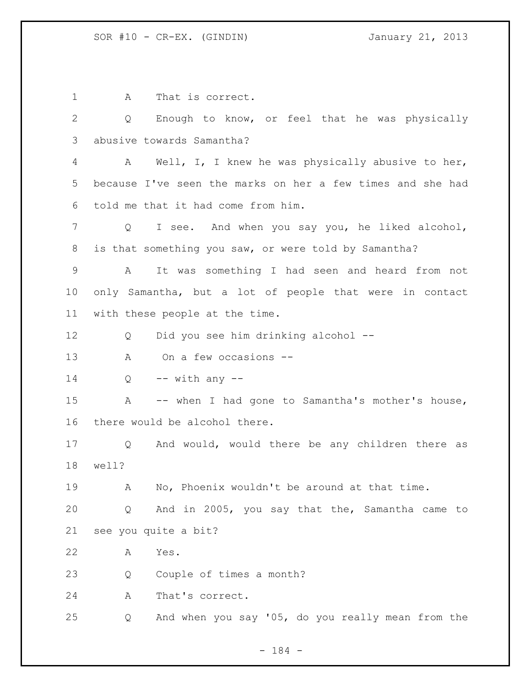1 A That is correct. Q Enough to know, or feel that he was physically abusive towards Samantha? A Well, I, I knew he was physically abusive to her, because I've seen the marks on her a few times and she had told me that it had come from him. Q I see. And when you say you, he liked alcohol, is that something you saw, or were told by Samantha? A It was something I had seen and heard from not only Samantha, but a lot of people that were in contact with these people at the time. Q Did you see him drinking alcohol -- A On a few occasions -- Q  $-$  with any  $-$  A -- when I had gone to Samantha's mother's house, there would be alcohol there. Q And would, would there be any children there as well? A No, Phoenix wouldn't be around at that time. Q And in 2005, you say that the, Samantha came to see you quite a bit? A Yes. Q Couple of times a month? A That's correct. Q And when you say '05, do you really mean from the

- 184 -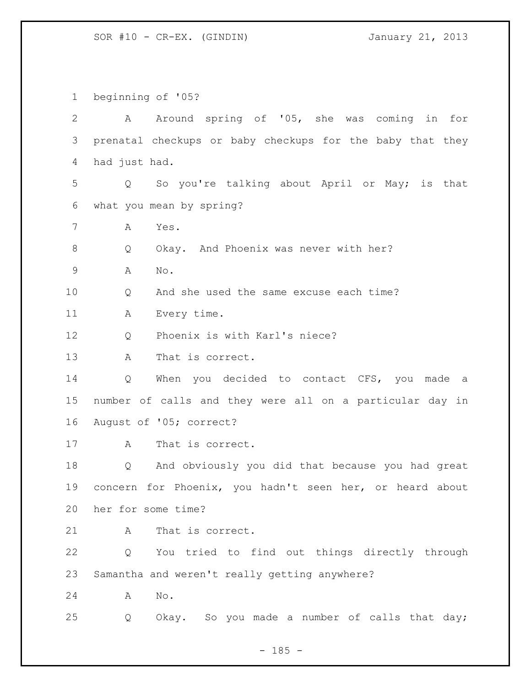beginning of '05?

 A Around spring of '05, she was coming in for prenatal checkups or baby checkups for the baby that they had just had. Q So you're talking about April or May; is that what you mean by spring? A Yes. 8 Q Okay. And Phoenix was never with her? A No. Q And she used the same excuse each time? A Every time. 12 O Phoenix is with Karl's niece? A That is correct. 14 Q When you decided to contact CFS, you made a number of calls and they were all on a particular day in August of '05; correct? A That is correct. Q And obviously you did that because you had great concern for Phoenix, you hadn't seen her, or heard about her for some time? 21 A That is correct. Q You tried to find out things directly through Samantha and weren't really getting anywhere? A No. Q Okay. So you made a number of calls that day;

 $- 185 -$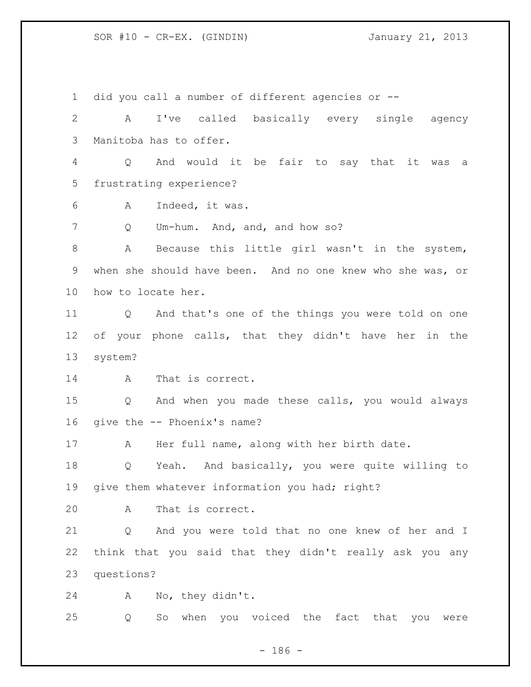did you call a number of different agencies or -- A I've called basically every single agency Manitoba has to offer. Q And would it be fair to say that it was a frustrating experience? A Indeed, it was. Q Um-hum. And, and, and how so? A Because this little girl wasn't in the system, when she should have been. And no one knew who she was, or how to locate her. Q And that's one of the things you were told on one of your phone calls, that they didn't have her in the system? A That is correct. Q And when you made these calls, you would always give the -- Phoenix's name? A Her full name, along with her birth date. Q Yeah. And basically, you were quite willing to give them whatever information you had; right? A That is correct. Q And you were told that no one knew of her and I think that you said that they didn't really ask you any questions? A No, they didn't. Q So when you voiced the fact that you were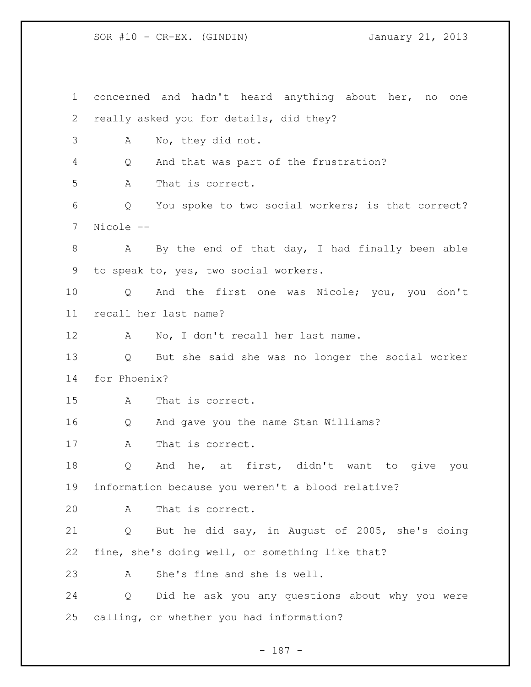concerned and hadn't heard anything about her, no one really asked you for details, did they? A No, they did not. Q And that was part of the frustration? A That is correct. Q You spoke to two social workers; is that correct? Nicole -- 8 A By the end of that day, I had finally been able to speak to, yes, two social workers. Q And the first one was Nicole; you, you don't recall her last name? A No, I don't recall her last name. Q But she said she was no longer the social worker for Phoenix? A That is correct. Q And gave you the name Stan Williams? A That is correct. Q And he, at first, didn't want to give you information because you weren't a blood relative? A That is correct. Q But he did say, in August of 2005, she's doing fine, she's doing well, or something like that? A She's fine and she is well. Q Did he ask you any questions about why you were calling, or whether you had information?

- 187 -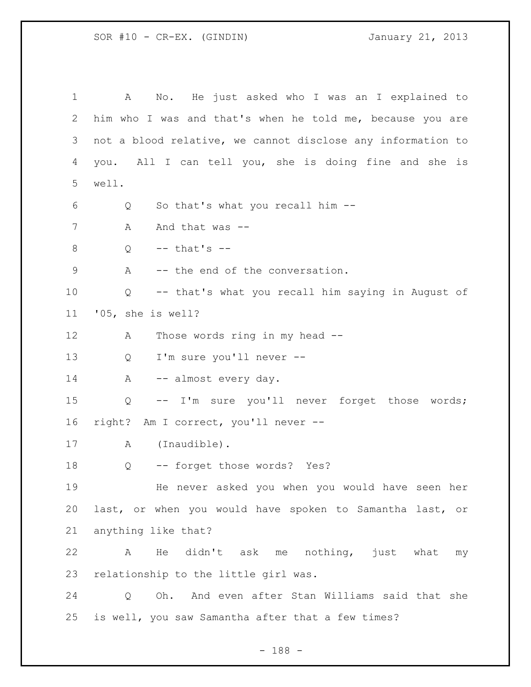A No. He just asked who I was an I explained to him who I was and that's when he told me, because you are not a blood relative, we cannot disclose any information to you. All I can tell you, she is doing fine and she is well. Q So that's what you recall him -- 7 A And that was -- $Q \leftarrow$  that's  $\leftarrow$ 9 A -- the end of the conversation. Q -- that's what you recall him saying in August of '05, she is well? 12 A Those words ring in my head -- Q I'm sure you'll never -- 14 A -- almost every day. Q -- I'm sure you'll never forget those words; right? Am I correct, you'll never -- A (Inaudible). Q -- forget those words? Yes? He never asked you when you would have seen her last, or when you would have spoken to Samantha last, or anything like that? A He didn't ask me nothing, just what my relationship to the little girl was. Q Oh. And even after Stan Williams said that she is well, you saw Samantha after that a few times?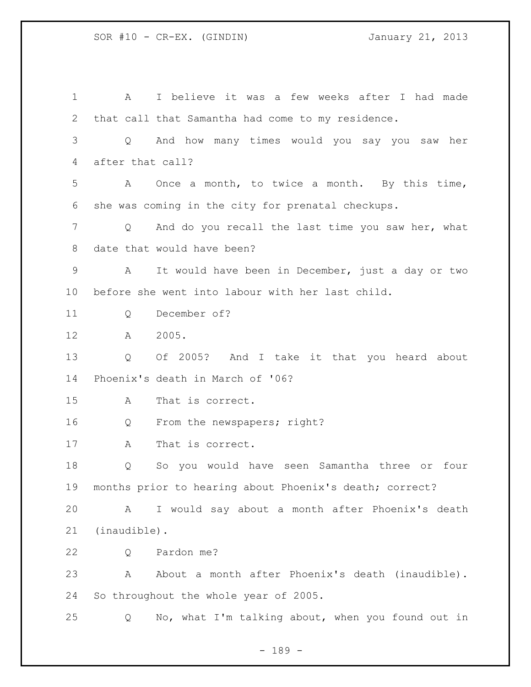A I believe it was a few weeks after I had made that call that Samantha had come to my residence. Q And how many times would you say you saw her after that call? A Once a month, to twice a month. By this time, she was coming in the city for prenatal checkups. Q And do you recall the last time you saw her, what date that would have been? A It would have been in December, just a day or two before she went into labour with her last child. Q December of? A 2005. Q Of 2005? And I take it that you heard about Phoenix's death in March of '06? A That is correct. Q From the newspapers; right? A That is correct. Q So you would have seen Samantha three or four months prior to hearing about Phoenix's death; correct? A I would say about a month after Phoenix's death (inaudible). Q Pardon me? A About a month after Phoenix's death (inaudible). So throughout the whole year of 2005. Q No, what I'm talking about, when you found out in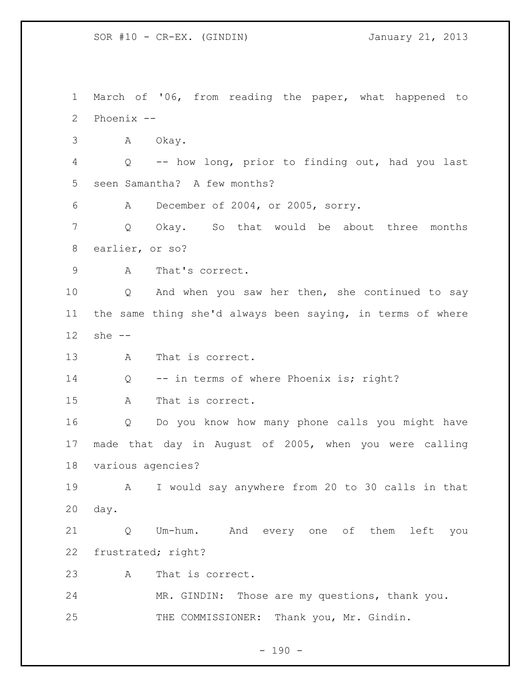March of '06, from reading the paper, what happened to Phoenix -- A Okay. Q -- how long, prior to finding out, had you last seen Samantha? A few months? A December of 2004, or 2005, sorry. Q Okay. So that would be about three months earlier, or so? A That's correct. Q And when you saw her then, she continued to say the same thing she'd always been saying, in terms of where she -- 13 A That is correct. 14 Q -- in terms of where Phoenix is; right? A That is correct. Q Do you know how many phone calls you might have made that day in August of 2005, when you were calling various agencies? A I would say anywhere from 20 to 30 calls in that day. Q Um-hum. And every one of them left you frustrated; right? A That is correct. MR. GINDIN: Those are my questions, thank you. THE COMMISSIONER: Thank you, Mr. Gindin.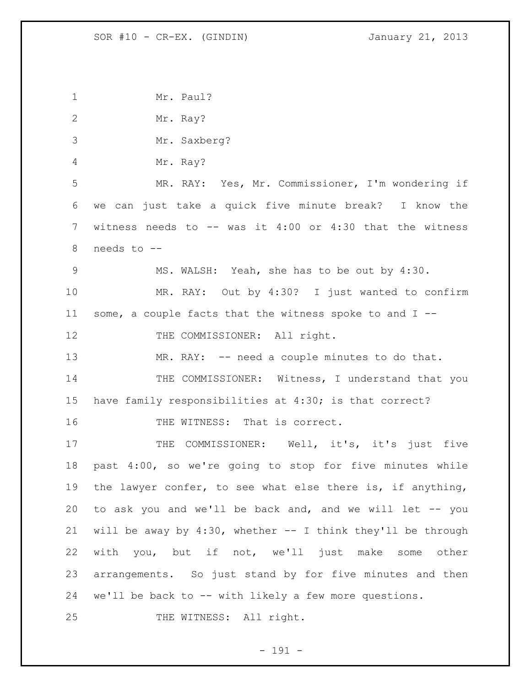| $\mathbf{1}$ | Mr. Paul?                                                      |
|--------------|----------------------------------------------------------------|
| $\mathbf{2}$ | Mr. Ray?                                                       |
| 3            | Mr. Saxberg?                                                   |
| 4            | Mr. Ray?                                                       |
| 5            | MR. RAY: Yes, Mr. Commissioner, I'm wondering if               |
| 6            | we can just take a quick five minute break? I know the         |
| 7            | witness needs to $--$ was it 4:00 or 4:30 that the witness     |
| 8            | needs to --                                                    |
| 9            | MS. WALSH: Yeah, she has to be out by 4:30.                    |
| 10           | MR. RAY: Out by 4:30? I just wanted to confirm                 |
| 11           | some, a couple facts that the witness spoke to and I --        |
| 12           | THE COMMISSIONER: All right.                                   |
| 13           | MR. RAY: -- need a couple minutes to do that.                  |
| 14           | THE COMMISSIONER: Witness, I understand that you               |
| 15           | have family responsibilities at 4:30; is that correct?         |
| 16           | THE WITNESS: That is correct.                                  |
| 17           | COMMISSIONER: Well, it's, it's just five<br>THE                |
| 18           | past 4:00, so we're going to stop for five minutes while       |
| 19           | the lawyer confer, to see what else there is, if anything,     |
| 20           | to ask you and we'll be back and, and we will let -- you       |
| 21           | will be away by $4:30$ , whether -- I think they'll be through |
| 22           | with you, but if not, we'll just make some other               |
| 23           | arrangements. So just stand by for five minutes and then       |
| 24           | we'll be back to -- with likely a few more questions.          |
| 25           | THE WITNESS: All right.                                        |

- 191 -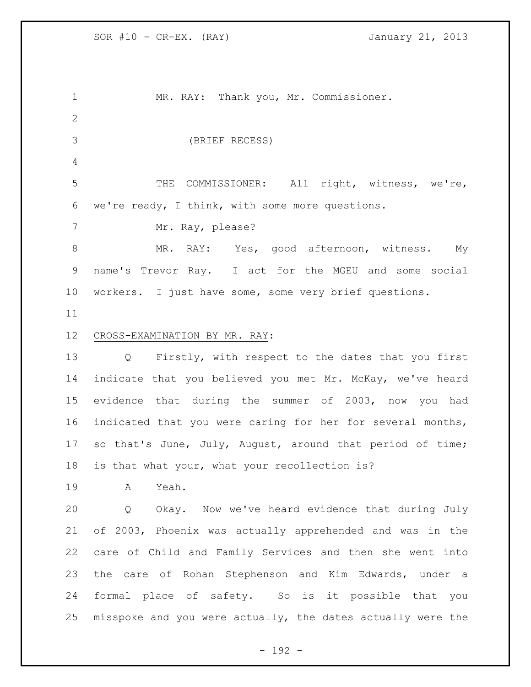MR. RAY: Thank you, Mr. Commissioner. (BRIEF RECESS) THE COMMISSIONER: All right, witness, we're, we're ready, I think, with some more questions. 7 Mr. Ray, please? 8 MR. RAY: Yes, good afternoon, witness. My name's Trevor Ray. I act for the MGEU and some social workers. I just have some, some very brief questions. CROSS-EXAMINATION BY MR. RAY: Q Firstly, with respect to the dates that you first indicate that you believed you met Mr. McKay, we've heard evidence that during the summer of 2003, now you had indicated that you were caring for her for several months, so that's June, July, August, around that period of time; is that what your, what your recollection is? A Yeah. Q Okay. Now we've heard evidence that during July of 2003, Phoenix was actually apprehended and was in the care of Child and Family Services and then she went into the care of Rohan Stephenson and Kim Edwards, under a formal place of safety. So is it possible that you misspoke and you were actually, the dates actually were the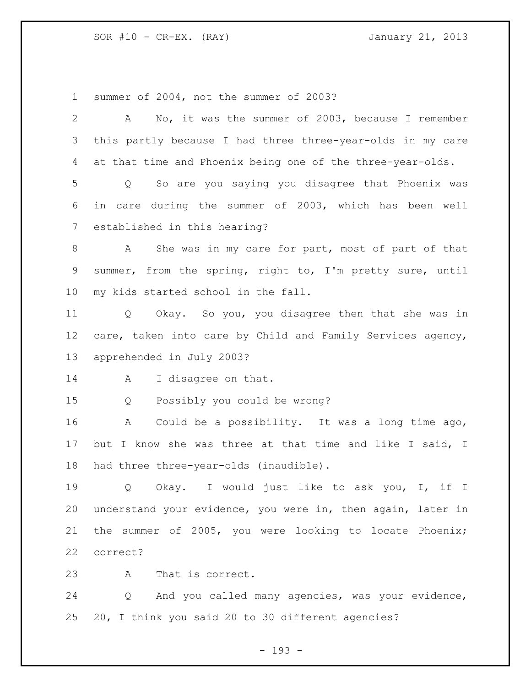summer of 2004, not the summer of 2003?

| $\overline{2}$  | No, it was the summer of 2003, because I remember<br>A                |
|-----------------|-----------------------------------------------------------------------|
| 3               | this partly because I had three three-year-olds in my care            |
| 4               | at that time and Phoenix being one of the three-year-olds.            |
| 5               | So are you saying you disagree that Phoenix was<br>Q                  |
| 6               | in care during the summer of 2003, which has been well                |
| 7               | established in this hearing?                                          |
| 8               | She was in my care for part, most of part of that<br>A                |
| 9               | summer, from the spring, right to, I'm pretty sure, until             |
| 10 <sub>o</sub> | my kids started school in the fall.                                   |
| 11              | Q Okay. So you, you disagree then that she was in                     |
| 12              | care, taken into care by Child and Family Services agency,            |
| 13              | apprehended in July 2003?                                             |
| 14              | I disagree on that.<br>A                                              |
| 15              | Possibly you could be wrong?<br>Q                                     |
| 16              | Could be a possibility. It was a long time ago,<br>Α                  |
| 17              | but I know she was three at that time and like I said, I              |
| 18              | had three three-year-olds (inaudible).                                |
| 19              | I would just like to ask you, I, if I<br>Q<br>Okay.                   |
| 20              | understand your evidence, you were in, then again, later in           |
| 21              | the summer of 2005, you were looking to locate Phoenix;               |
| 22              | correct?                                                              |
| 23              | That is correct.<br>Α                                                 |
| 24              | And you called many agencies, was your evidence,<br>$Q \qquad \qquad$ |
| 25              | 20, I think you said 20 to 30 different agencies?                     |

- 193 -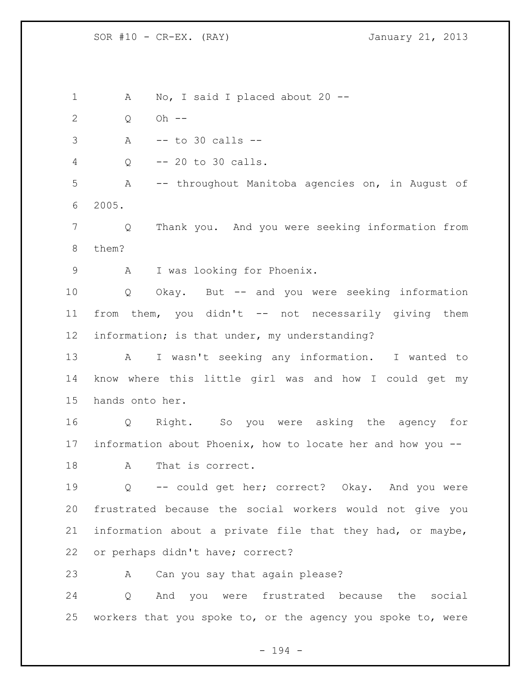1 A No, I said I placed about 20 -- Q Oh -- A -- to 30 calls -- Q -- 20 to 30 calls. A -- throughout Manitoba agencies on, in August of 2005. Q Thank you. And you were seeking information from them? A I was looking for Phoenix. Q Okay. But -- and you were seeking information from them, you didn't -- not necessarily giving them information; is that under, my understanding? A I wasn't seeking any information. I wanted to know where this little girl was and how I could get my hands onto her. Q Right. So you were asking the agency for information about Phoenix, how to locate her and how you -- A That is correct. Q -- could get her; correct? Okay. And you were frustrated because the social workers would not give you information about a private file that they had, or maybe, or perhaps didn't have; correct? A Can you say that again please? Q And you were frustrated because the social workers that you spoke to, or the agency you spoke to, were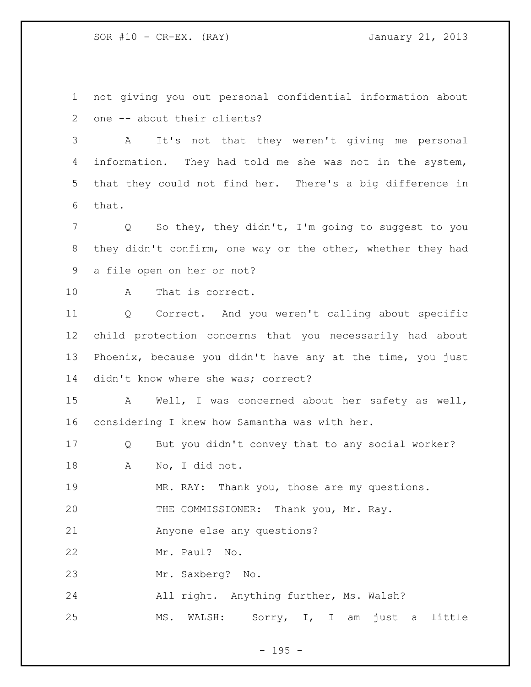not giving you out personal confidential information about one -- about their clients?

 A It's not that they weren't giving me personal information. They had told me she was not in the system, that they could not find her. There's a big difference in that.

 Q So they, they didn't, I'm going to suggest to you 8 they didn't confirm, one way or the other, whether they had a file open on her or not?

A That is correct.

 Q Correct. And you weren't calling about specific child protection concerns that you necessarily had about Phoenix, because you didn't have any at the time, you just 14 didn't know where she was; correct?

 A Well, I was concerned about her safety as well, considering I knew how Samantha was with her.

Q But you didn't convey that to any social worker?

A No, I did not.

MR. RAY: Thank you, those are my questions.

THE COMMISSIONER: Thank you, Mr. Ray.

Anyone else any questions?

Mr. Paul? No.

Mr. Saxberg? No.

All right. Anything further, Ms. Walsh?

MS. WALSH: Sorry, I, I am just a little

- 195 -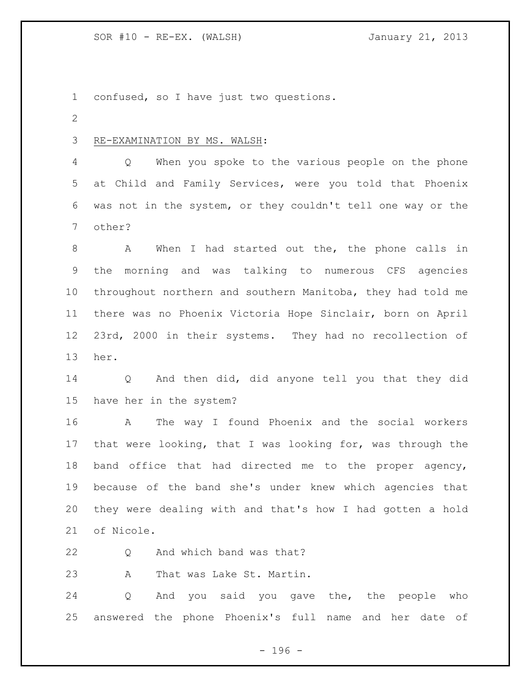confused, so I have just two questions.

## RE-EXAMINATION BY MS. WALSH:

 Q When you spoke to the various people on the phone at Child and Family Services, were you told that Phoenix was not in the system, or they couldn't tell one way or the other?

 A When I had started out the, the phone calls in the morning and was talking to numerous CFS agencies throughout northern and southern Manitoba, they had told me there was no Phoenix Victoria Hope Sinclair, born on April 23rd, 2000 in their systems. They had no recollection of her.

 Q And then did, did anyone tell you that they did have her in the system?

 A The way I found Phoenix and the social workers that were looking, that I was looking for, was through the band office that had directed me to the proper agency, because of the band she's under knew which agencies that they were dealing with and that's how I had gotten a hold of Nicole.

Q And which band was that?

A That was Lake St. Martin.

 Q And you said you gave the, the people who answered the phone Phoenix's full name and her date of

- 196 -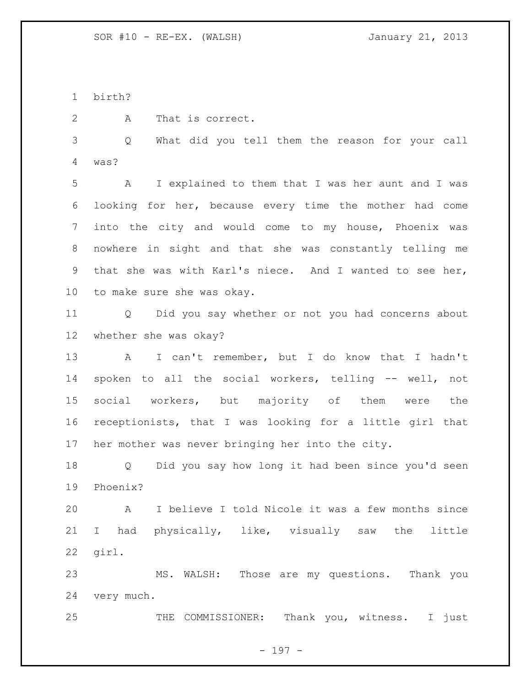birth?

A That is correct.

 Q What did you tell them the reason for your call was?

 A I explained to them that I was her aunt and I was looking for her, because every time the mother had come into the city and would come to my house, Phoenix was nowhere in sight and that she was constantly telling me that she was with Karl's niece. And I wanted to see her, to make sure she was okay.

 Q Did you say whether or not you had concerns about whether she was okay?

 A I can't remember, but I do know that I hadn't spoken to all the social workers, telling -- well, not social workers, but majority of them were the receptionists, that I was looking for a little girl that her mother was never bringing her into the city.

 Q Did you say how long it had been since you'd seen Phoenix?

 A I believe I told Nicole it was a few months since I had physically, like, visually saw the little girl.

 MS. WALSH: Those are my questions. Thank you very much.

THE COMMISSIONER: Thank you, witness. I just

- 197 -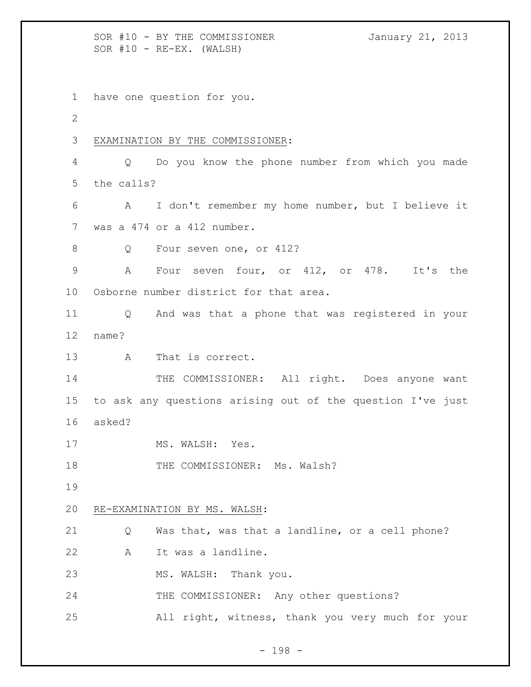SOR #10 - BY THE COMMISSIONER January 21, 2013  $SOR$   $#10$  -  $RE-EX.$  (WALSH) have one question for you. EXAMINATION BY THE COMMISSIONER: Q Do you know the phone number from which you made the calls? A I don't remember my home number, but I believe it was a 474 or a 412 number. 8 Q Four seven one, or 412? A Four seven four, or 412, or 478. It's the Osborne number district for that area. Q And was that a phone that was registered in your name? 13 A That is correct. 14 THE COMMISSIONER: All right. Does anyone want to ask any questions arising out of the question I've just asked? 17 MS. WALSH: Yes. 18 THE COMMISSIONER: Ms. Walsh? RE-EXAMINATION BY MS. WALSH: Q Was that, was that a landline, or a cell phone? A It was a landline. MS. WALSH: Thank you. THE COMMISSIONER: Any other questions? All right, witness, thank you very much for your

- 198 -